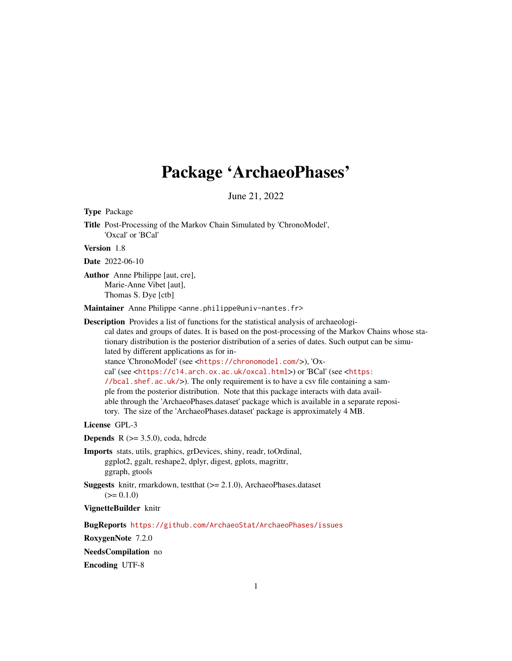# Package 'ArchaeoPhases'

June 21, 2022

<span id="page-0-0"></span>

| <b>Type Package</b>                                                                                                                                                                                                                                                                                                                                                                                                                                                                                                                                                                                                                                                                                                                                                                                                                                                                                     |
|---------------------------------------------------------------------------------------------------------------------------------------------------------------------------------------------------------------------------------------------------------------------------------------------------------------------------------------------------------------------------------------------------------------------------------------------------------------------------------------------------------------------------------------------------------------------------------------------------------------------------------------------------------------------------------------------------------------------------------------------------------------------------------------------------------------------------------------------------------------------------------------------------------|
| Title Post-Processing of the Markov Chain Simulated by 'ChronoModel',<br>'Oxcal' or 'BCal'                                                                                                                                                                                                                                                                                                                                                                                                                                                                                                                                                                                                                                                                                                                                                                                                              |
| Version 1.8                                                                                                                                                                                                                                                                                                                                                                                                                                                                                                                                                                                                                                                                                                                                                                                                                                                                                             |
| Date 2022-06-10                                                                                                                                                                                                                                                                                                                                                                                                                                                                                                                                                                                                                                                                                                                                                                                                                                                                                         |
| <b>Author</b> Anne Philippe [aut, cre],<br>Marie-Anne Vibet [aut],<br>Thomas S. Dye [ctb]                                                                                                                                                                                                                                                                                                                                                                                                                                                                                                                                                                                                                                                                                                                                                                                                               |
| Maintainer Anne Philippe <anne.philippe@univ-nantes.fr></anne.philippe@univ-nantes.fr>                                                                                                                                                                                                                                                                                                                                                                                                                                                                                                                                                                                                                                                                                                                                                                                                                  |
| <b>Description</b> Provides a list of functions for the statistical analysis of archaeologi-<br>cal dates and groups of dates. It is based on the post-processing of the Markov Chains whose sta-<br>tionary distribution is the posterior distribution of a series of dates. Such output can be simu-<br>lated by different applications as for in-<br>stance 'ChronoModel' (see <https: chronomodel.com=""></https:> ), 'Ox-<br>cal' (see <https: c14.arch.ox.ac.uk="" oxcal.html="">) or 'BCal' (see <https:<br>//bcal.shef.ac.uk/&gt;). The only requirement is to have a csv file containing a sam-<br/>ple from the posterior distribution. Note that this package interacts with data avail-<br/>able through the 'ArchaeoPhases.dataset' package which is available in a separate reposi-<br/>tory. The size of the 'ArchaeoPhases.dataset' package is approximately 4 MB.</https:<br></https:> |
| License GPL-3                                                                                                                                                                                                                                                                                                                                                                                                                                                                                                                                                                                                                                                                                                                                                                                                                                                                                           |
| <b>Depends</b> $R$ ( $> = 3.5.0$ ), coda, hdrcde                                                                                                                                                                                                                                                                                                                                                                                                                                                                                                                                                                                                                                                                                                                                                                                                                                                        |
| Imports stats, utils, graphics, grDevices, shiny, readr, toOrdinal,<br>ggplot2, ggalt, reshape2, dplyr, digest, gplots, magrittr,<br>ggraph, gtools                                                                                                                                                                                                                                                                                                                                                                                                                                                                                                                                                                                                                                                                                                                                                     |
| <b>Suggests</b> knitr, rmarkdown, test that $(>= 2.1.0)$ , ArchaeoPhases.dataset<br>$(>= 0.1.0)$                                                                                                                                                                                                                                                                                                                                                                                                                                                                                                                                                                                                                                                                                                                                                                                                        |
| VignetteBuilder knitr                                                                                                                                                                                                                                                                                                                                                                                                                                                                                                                                                                                                                                                                                                                                                                                                                                                                                   |
| BugReports https://github.com/ArchaeoStat/ArchaeoPhases/issues                                                                                                                                                                                                                                                                                                                                                                                                                                                                                                                                                                                                                                                                                                                                                                                                                                          |
| RoxygenNote 7.2.0                                                                                                                                                                                                                                                                                                                                                                                                                                                                                                                                                                                                                                                                                                                                                                                                                                                                                       |
| NeedsCompilation no                                                                                                                                                                                                                                                                                                                                                                                                                                                                                                                                                                                                                                                                                                                                                                                                                                                                                     |
| <b>Encoding UTF-8</b>                                                                                                                                                                                                                                                                                                                                                                                                                                                                                                                                                                                                                                                                                                                                                                                                                                                                                   |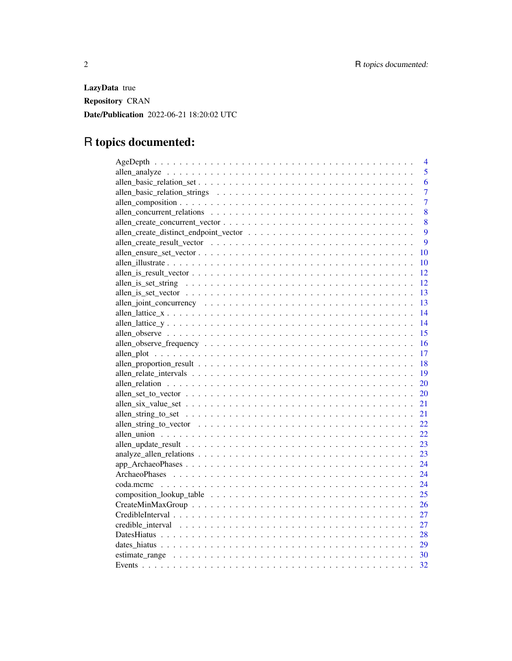LazyData true Repository CRAN Date/Publication 2022-06-21 18:20:02 UTC

# R topics documented:

| $\overline{4}$ |
|----------------|
| 5              |
| 6              |
| $\overline{7}$ |
| $\overline{7}$ |
| 8              |
| 8              |
| 9              |
| 9              |
| 10             |
| 10             |
| 12             |
| 12             |
|                |
|                |
|                |
| 14             |
| 15             |
| 16             |
| 17             |
| 18             |
|                |
| 20             |
| 20             |
| 21             |
|                |
| 22             |
| 22             |
| 23             |
| 23             |
| 24             |
| 24             |
| 24             |
| 25             |
|                |
| 27             |
|                |
|                |
|                |
|                |
| 32             |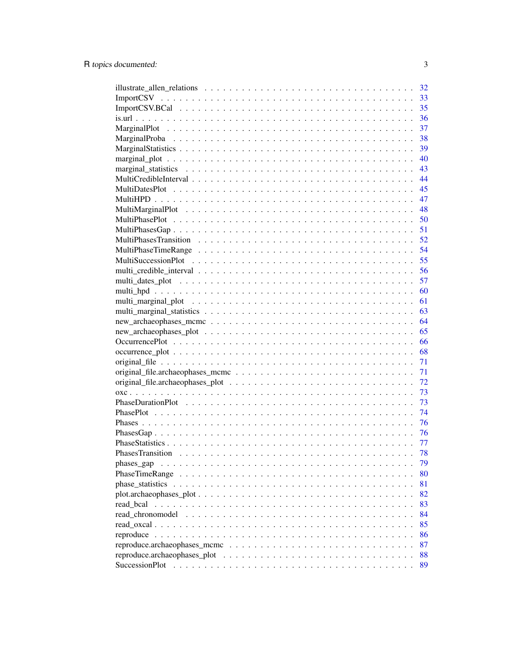|                              | 32 |
|------------------------------|----|
|                              | 33 |
|                              | 35 |
|                              | 36 |
|                              | 37 |
|                              | 38 |
|                              | 39 |
|                              | 40 |
|                              | 43 |
|                              | 44 |
|                              | 45 |
|                              | 47 |
|                              | 48 |
|                              | 50 |
|                              | 51 |
|                              | 52 |
|                              | 54 |
|                              | 55 |
|                              | 56 |
|                              | 57 |
|                              | 60 |
|                              | 61 |
|                              | 63 |
|                              | 64 |
|                              | 65 |
|                              | 66 |
|                              | 68 |
|                              | 71 |
|                              | 71 |
|                              | 72 |
|                              | 73 |
|                              | 73 |
|                              | 74 |
|                              | 76 |
|                              | 76 |
|                              | 77 |
|                              | 78 |
| phases_gap                   | 79 |
|                              | 80 |
|                              | 81 |
| $plot. archaeophases_ plot.$ | 82 |
| read bcal                    | 83 |
|                              | 84 |
| read chronomodel             | 85 |
|                              | 86 |
|                              | 87 |
|                              |    |
|                              | 88 |
| SuccessionPlot               | 89 |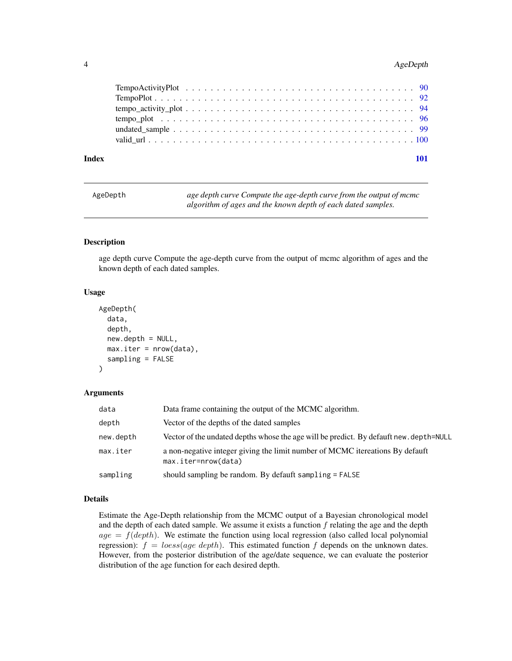# <span id="page-3-0"></span>4 AgeDepth

| AgeDepth | age depth curve Compute the age-depth curve from the output of mcmc |
|----------|---------------------------------------------------------------------|
|          | algorithm of ages and the known depth of each dated samples.        |

#### Description

age depth curve Compute the age-depth curve from the output of mcmc algorithm of ages and the known depth of each dated samples.

#### Usage

```
AgeDepth(
  data,
  depth,
  new.depth = NULL,
  max.iter = nrow(data),
  sampling = FALSE
\mathcal{L}
```
#### Arguments

| data      | Data frame containing the output of the MCMC algorithm.                                              |
|-----------|------------------------------------------------------------------------------------------------------|
| depth     | Vector of the depths of the dated samples                                                            |
| new.depth | Vector of the undated depths whose the age will be predict. By defauft new. depth=NULL               |
| max.iter  | a non-negative integer giving the limit number of MCMC itereations By defauft<br>max.iter=nrow(data) |
| sampling  | should sampling be random. By defauft sampling = FALSE                                               |

# Details

Estimate the Age-Depth relationship from the MCMC output of a Bayesian chronological model and the depth of each dated sample. We assume it exists a function  $f$  relating the age and the depth  $age = f(depth)$ . We estimate the function using local regression (also called local polynomial regression):  $f = \text{loss}(\text{age depth})$ . This estimated function f depends on the unknown dates. However, from the posterior distribution of the age/date sequence, we can evaluate the posterior distribution of the age function for each desired depth.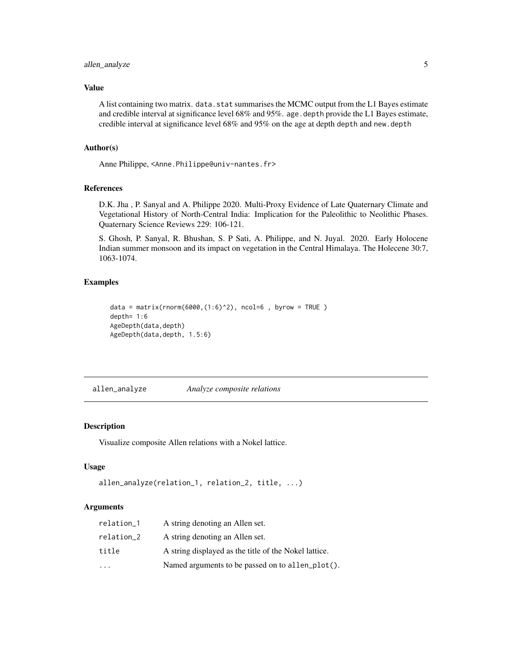# <span id="page-4-0"></span>allen\_analyze 5

#### Value

A list containing two matrix. data. stat summarises the MCMC output from the L1 Bayes estimate and credible interval at significance level 68% and 95%. age.depth provide the L1 Bayes estimate, credible interval at significance level 68% and 95% on the age at depth depth and new.depth

# Author(s)

Anne Philippe, <Anne.Philippe@univ-nantes.fr>

# References

D.K. Jha , P. Sanyal and A. Philippe 2020. Multi-Proxy Evidence of Late Quaternary Climate and Vegetational History of North-Central India: Implication for the Paleolithic to Neolithic Phases. Quaternary Science Reviews 229: 106-121.

S. Ghosh, P. Sanyal, R. Bhushan, S. P Sati, A. Philippe, and N. Juyal. 2020. Early Holocene Indian summer monsoon and its impact on vegetation in the Central Himalaya. The Holecene 30:7, 1063-1074.

#### Examples

```
data = matrix(rnorm(6000,(1:6)^2), ncol=6 , byrow = TRUE )
depth= 1:6
AgeDepth(data,depth)
AgeDepth(data,depth, 1.5:6)
```
allen\_analyze *Analyze composite relations*

# Description

Visualize composite Allen relations with a Nokel lattice.

#### Usage

```
allen_analyze(relation_1, relation_2, title, ...)
```
#### Arguments

| relation_1              | A string denoting an Allen set.                       |
|-------------------------|-------------------------------------------------------|
| relation_2              | A string denoting an Allen set.                       |
| title                   | A string displayed as the title of the Nokel lattice. |
| $\cdot$ $\cdot$ $\cdot$ | Named arguments to be passed on to allen_plot().      |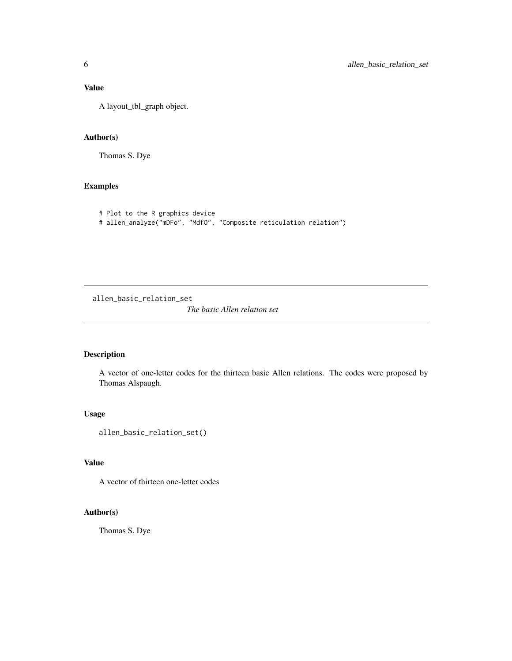# <span id="page-5-0"></span>Value

A layout\_tbl\_graph object.

# Author(s)

Thomas S. Dye

# Examples

```
# Plot to the R graphics device
# allen_analyze("mDFo", "MdfO", "Composite reticulation relation")
```
allen\_basic\_relation\_set

*The basic Allen relation set*

#### Description

A vector of one-letter codes for the thirteen basic Allen relations. The codes were proposed by Thomas Alspaugh.

# Usage

```
allen_basic_relation_set()
```
# Value

A vector of thirteen one-letter codes

# Author(s)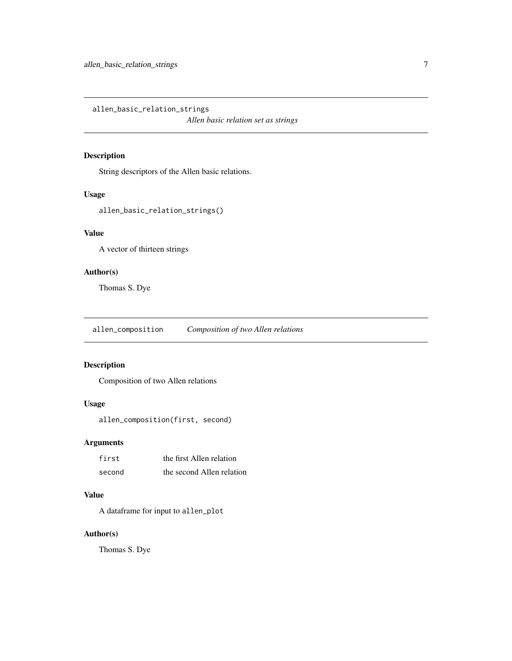<span id="page-6-0"></span>allen\_basic\_relation\_strings

*Allen basic relation set as strings*

# Description

String descriptors of the Allen basic relations.

#### Usage

allen\_basic\_relation\_strings()

# Value

A vector of thirteen strings

# Author(s)

Thomas S. Dye

allen\_composition *Composition of two Allen relations*

# Description

Composition of two Allen relations

# Usage

allen\_composition(first, second)

#### Arguments

| first  | the first Allen relation  |
|--------|---------------------------|
| second | the second Allen relation |

#### Value

A dataframe for input to allen\_plot

# Author(s)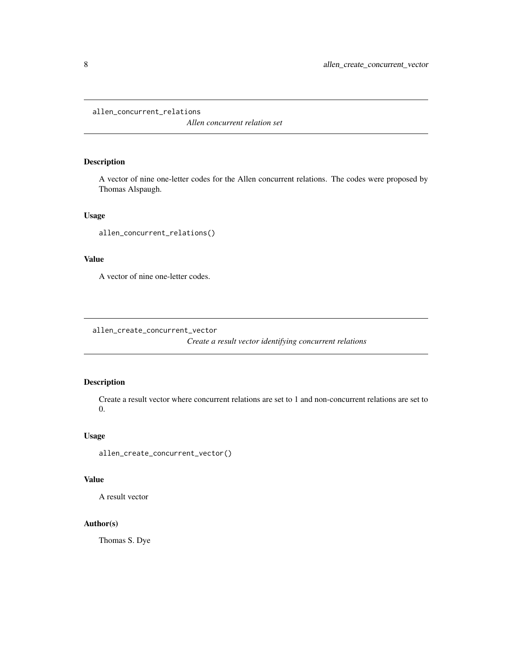<span id="page-7-0"></span>allen\_concurrent\_relations

*Allen concurrent relation set*

# Description

A vector of nine one-letter codes for the Allen concurrent relations. The codes were proposed by Thomas Alspaugh.

# Usage

allen\_concurrent\_relations()

#### Value

A vector of nine one-letter codes.

allen\_create\_concurrent\_vector

*Create a result vector identifying concurrent relations*

# Description

Create a result vector where concurrent relations are set to 1 and non-concurrent relations are set to 0.

# Usage

allen\_create\_concurrent\_vector()

# Value

A result vector

# Author(s)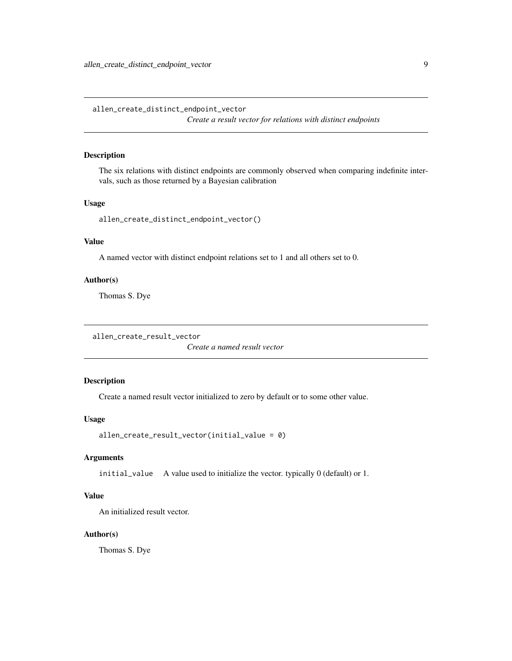<span id="page-8-0"></span>allen\_create\_distinct\_endpoint\_vector *Create a result vector for relations with distinct endpoints*

#### Description

The six relations with distinct endpoints are commonly observed when comparing indefinite intervals, such as those returned by a Bayesian calibration

# Usage

allen\_create\_distinct\_endpoint\_vector()

#### Value

A named vector with distinct endpoint relations set to 1 and all others set to 0.

# Author(s)

Thomas S. Dye

```
allen_create_result_vector
```
*Create a named result vector*

# Description

Create a named result vector initialized to zero by default or to some other value.

#### Usage

```
allen_create_result_vector(initial_value = 0)
```
#### Arguments

initial\_value A value used to initialize the vector. typically 0 (default) or 1.

# Value

An initialized result vector.

# Author(s)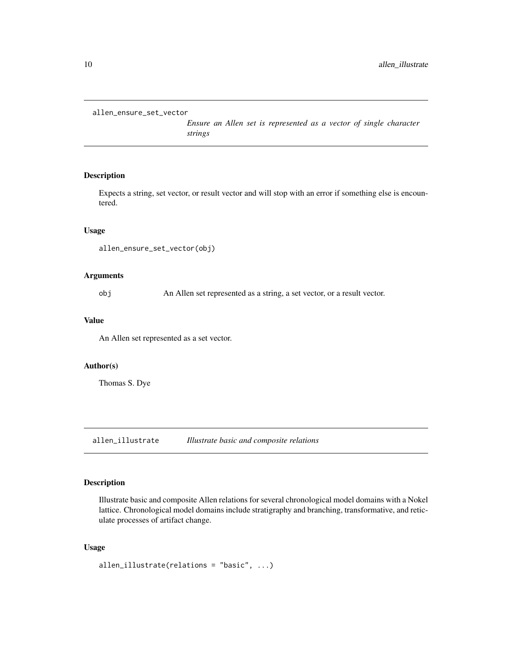<span id="page-9-0"></span>allen\_ensure\_set\_vector

*Ensure an Allen set is represented as a vector of single character strings*

#### Description

Expects a string, set vector, or result vector and will stop with an error if something else is encountered.

#### Usage

```
allen_ensure_set_vector(obj)
```
# Arguments

obj An Allen set represented as a string, a set vector, or a result vector.

#### Value

An Allen set represented as a set vector.

#### Author(s)

Thomas S. Dye

allen\_illustrate *Illustrate basic and composite relations*

# Description

Illustrate basic and composite Allen relations for several chronological model domains with a Nokel lattice. Chronological model domains include stratigraphy and branching, transformative, and reticulate processes of artifact change.

# Usage

```
allen_illustrate(relations = "basic", ...)
```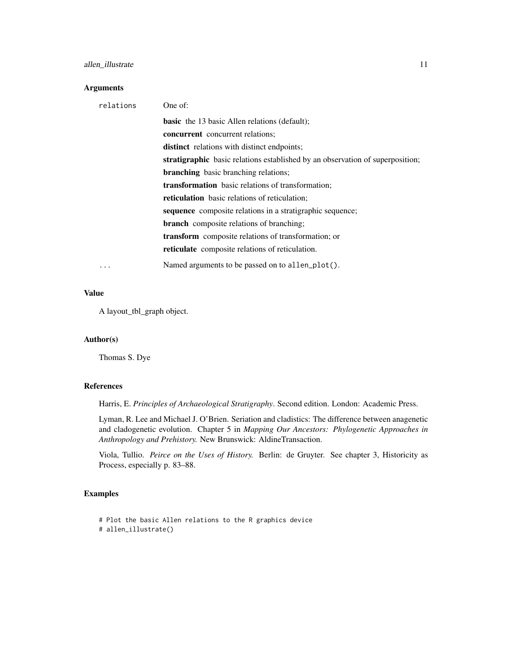# allen\_illustrate 11

### Arguments

| relations | One of:                                                                       |
|-----------|-------------------------------------------------------------------------------|
|           | <b>basic</b> the 13 basic Allen relations (default);                          |
|           | <b>concurrent</b> concurrent relations;                                       |
|           | <b>distinct</b> relations with distinct endpoints;                            |
|           | stratigraphic basic relations established by an observation of superposition; |
|           | <b>branching</b> basic branching relations;                                   |
|           | <b>transformation</b> basic relations of transformation;                      |
|           | <b>reticulation</b> basic relations of reticulation;                          |
|           | sequence composite relations in a stratigraphic sequence;                     |
|           | <b>branch</b> composite relations of branching;                               |
|           | <b>transform</b> composite relations of transformation; or                    |
|           | <b>reticulate</b> composite relations of reticulation.                        |
| .         | Named arguments to be passed on to allen_plot().                              |

#### Value

A layout\_tbl\_graph object.

# Author(s)

Thomas S. Dye

# References

Harris, E. *Principles of Archaeological Stratigraphy*. Second edition. London: Academic Press.

Lyman, R. Lee and Michael J. O'Brien. Seriation and cladistics: The difference between anagenetic and cladogenetic evolution. Chapter 5 in *Mapping Our Ancestors: Phylogenetic Approaches in Anthropology and Prehistory.* New Brunswick: AldineTransaction.

Viola, Tullio. *Peirce on the Uses of History.* Berlin: de Gruyter. See chapter 3, Historicity as Process, especially p. 83–88.

# Examples

```
# Plot the basic Allen relations to the R graphics device
# allen_illustrate()
```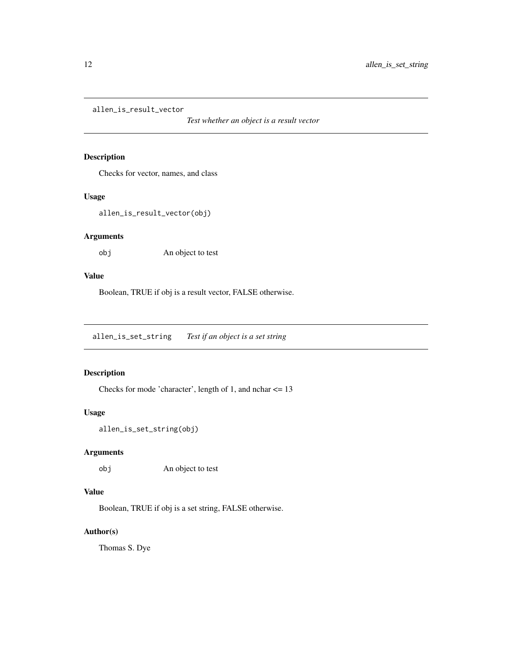<span id="page-11-0"></span>allen\_is\_result\_vector

*Test whether an object is a result vector*

### Description

Checks for vector, names, and class

# Usage

allen\_is\_result\_vector(obj)

# Arguments

obj An object to test

# Value

Boolean, TRUE if obj is a result vector, FALSE otherwise.

allen\_is\_set\_string *Test if an object is a set string*

# Description

Checks for mode 'character', length of 1, and nchar <= 13

# Usage

```
allen_is_set_string(obj)
```
# Arguments

obj An object to test

# Value

Boolean, TRUE if obj is a set string, FALSE otherwise.

# Author(s)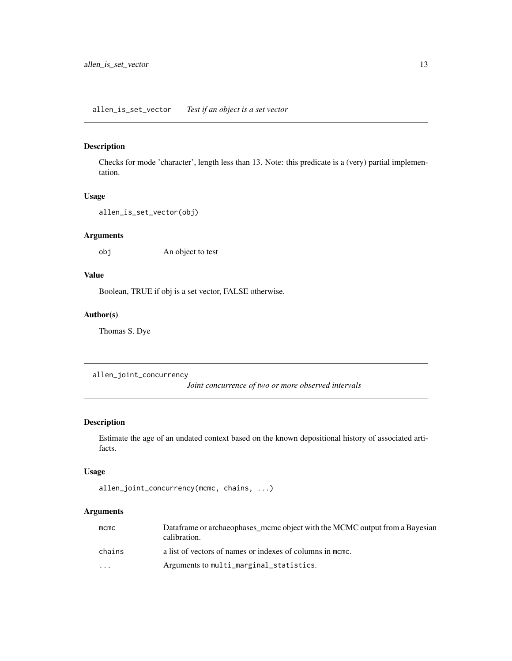# <span id="page-12-0"></span>allen\_is\_set\_vector *Test if an object is a set vector*

# Description

Checks for mode 'character', length less than 13. Note: this predicate is a (very) partial implementation.

#### Usage

```
allen_is_set_vector(obj)
```
# Arguments

obj An object to test

# Value

Boolean, TRUE if obj is a set vector, FALSE otherwise.

# Author(s)

Thomas S. Dye

allen\_joint\_concurrency

*Joint concurrence of two or more observed intervals*

# Description

Estimate the age of an undated context based on the known depositional history of associated artifacts.

#### Usage

```
allen_joint_concurrency(mcmc, chains, ...)
```
### Arguments

| $m$ cmc | Dataframe or archaeophases mcmc object with the MCMC output from a Bayesian<br>calibration. |
|---------|---------------------------------------------------------------------------------------------|
| chains  | a list of vectors of names or indexes of columns in mome.                                   |
| $\cdot$ | Arguments to multi_marginal_statistics.                                                     |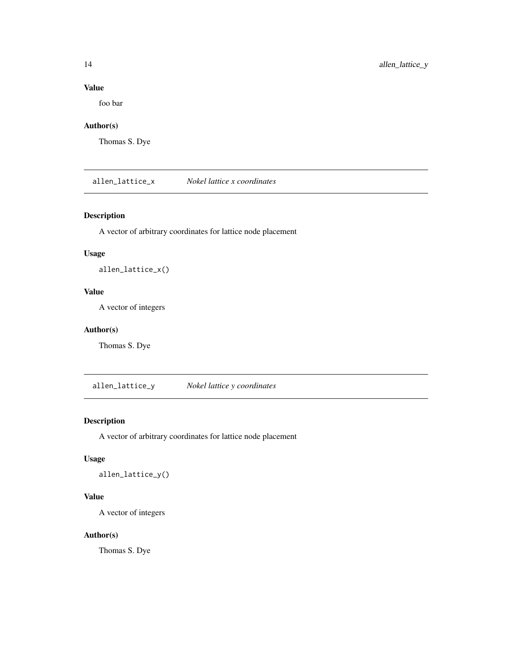# Value

foo bar

# Author(s)

Thomas S. Dye

allen\_lattice\_x *Nokel lattice x coordinates*

# Description

A vector of arbitrary coordinates for lattice node placement

# Usage

allen\_lattice\_x()

# Value

A vector of integers

# Author(s)

Thomas S. Dye

allen\_lattice\_y *Nokel lattice y coordinates*

# Description

A vector of arbitrary coordinates for lattice node placement

# Usage

allen\_lattice\_y()

# Value

A vector of integers

# Author(s)

<span id="page-13-0"></span>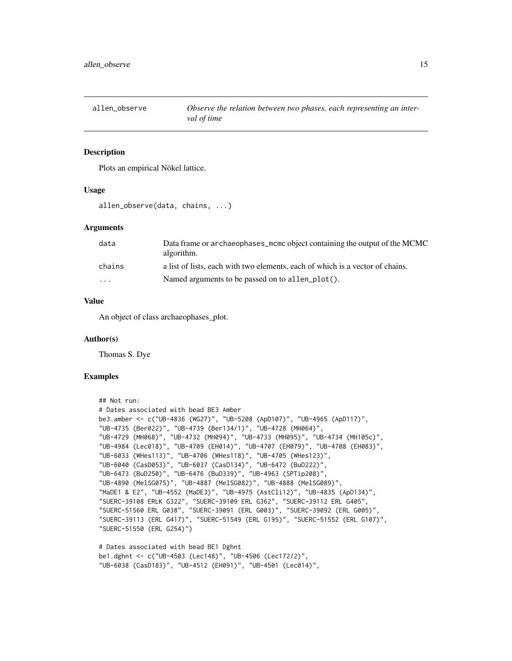<span id="page-14-0"></span>

# Description

Plots an empirical Nökel lattice.

#### Usage

allen\_observe(data, chains, ...)

#### Arguments

| data                    | Data frame or archaeophases_mcmc object containing the output of the MCMC<br>algorithm. |
|-------------------------|-----------------------------------------------------------------------------------------|
| chains                  | a list of lists, each with two elements, each of which is a vector of chains.           |
| $\cdot$ $\cdot$ $\cdot$ | Named arguments to be passed on to allen_plot().                                        |

#### Value

An object of class archaeophases\_plot.

#### Author(s)

Thomas S. Dye

# Examples

```
## Not run:
# Dates associated with bead BE3 Amber
be3.amber <- c("UB-4836 (WG27)", "UB-5208 (ApD107)", "UB-4965 (ApD117)",
"UB-4735 (Ber022)", "UB-4739 (Ber134/1)", "UB-4728 (MH064)",
"UB-4729 (MH068)", "UB-4732 (MH094)", "UB-4733 (MH095)", "UB-4734 (MH105c)",
"UB-4984 (Lec018)", "UB-4709 (EH014)", "UB-4707 (EH079)", "UB-4708 (EH083)",
"UB-6033 (WHes113)", "UB-4706 (WHes118)", "UB-4705 (WHes123)",
"UB-6040 (CasD053)", "UB-6037 (CasD134)", "UB-6472 (BuD222)",
"UB-6473 (BuD250)", "UB-6476 (BuD339)", "UB-4963 (SPTip208)",
"UB-4890 (MelSG075)", "UB-4887 (MelSG082)", "UB-4888 (MelSG089)",
"MaDE1 & E2", "UB-4552 (MaDE3)", "UB-4975 (AstCli12)", "UB-4835 (ApD134)",
"SUERC-39108 ERLK G322", "SUERC-39109 ERL G362", "SUERC-39112 ERL G405",
"SUERC-51560 ERL G038", "SUERC-39091 (ERL G003)", "SUERC-39092 (ERL G005)",
"SUERC-39113 (ERL G417)", "SUERC-51549 (ERL G195)", "SUERC-51552 (ERL G107)",
"SUERC-51550 (ERL G254)")
```

```
# Dates associated with bead BE1 Dghnt
be1.dghnt <- c("UB-4503 (Lec148)", "UB-4506 (Lec172/2)",
"UB-6038 (CasD183)", "UB-4512 (EH091)", "UB-4501 (Lec014)",
```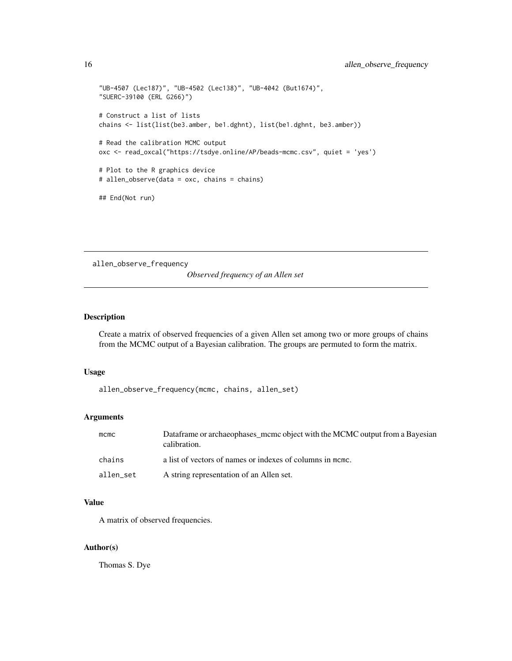```
"UB-4507 (Lec187)", "UB-4502 (Lec138)", "UB-4042 (But1674)",
"SUERC-39100 (ERL G266)")
# Construct a list of lists
chains <- list(list(be3.amber, be1.dghnt), list(be1.dghnt, be3.amber))
# Read the calibration MCMC output
oxc <- read_oxcal("https://tsdye.online/AP/beads-mcmc.csv", quiet = 'yes')
# Plot to the R graphics device
# allen_observe(data = oxc, chains = chains)
## End(Not run)
```
allen\_observe\_frequency

*Observed frequency of an Allen set*

# Description

Create a matrix of observed frequencies of a given Allen set among two or more groups of chains from the MCMC output of a Bayesian calibration. The groups are permuted to form the matrix.

# Usage

allen\_observe\_frequency(mcmc, chains, allen\_set)

#### Arguments

| $m$ cmc   | Dataframe or archaeophases mcmc object with the MCMC output from a Bayesian<br>calibration. |
|-----------|---------------------------------------------------------------------------------------------|
| chains    | a list of vectors of names or indexes of columns in mome.                                   |
| allen set | A string representation of an Allen set.                                                    |

#### Value

A matrix of observed frequencies.

# Author(s)

<span id="page-15-0"></span>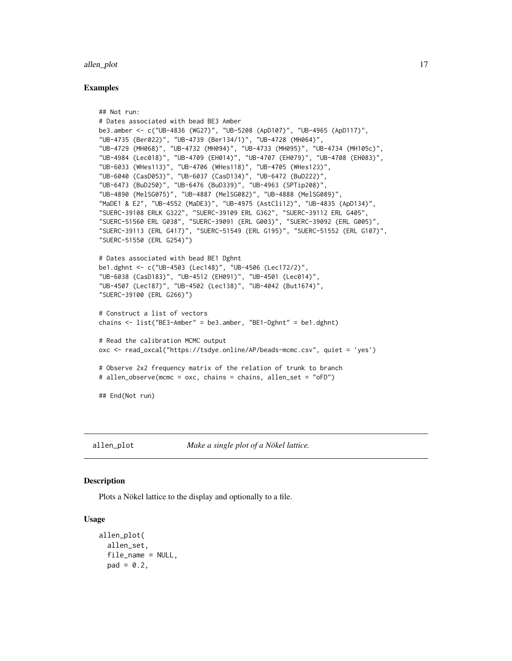#### <span id="page-16-0"></span>allen\_plot 17

#### Examples

```
## Not run:
# Dates associated with bead BE3 Amber
be3.amber <- c("UB-4836 (WG27)", "UB-5208 (ApD107)", "UB-4965 (ApD117)",
"UB-4735 (Ber022)", "UB-4739 (Ber134/1)", "UB-4728 (MH064)",
"UB-4729 (MH068)", "UB-4732 (MH094)", "UB-4733 (MH095)", "UB-4734 (MH105c)",
"UB-4984 (Lec018)", "UB-4709 (EH014)", "UB-4707 (EH079)", "UB-4708 (EH083)",
"UB-6033 (WHes113)", "UB-4706 (WHes118)", "UB-4705 (WHes123)",
"UB-6040 (CasD053)", "UB-6037 (CasD134)", "UB-6472 (BuD222)",
"UB-6473 (BuD250)", "UB-6476 (BuD339)", "UB-4963 (SPTip208)",
"UB-4890 (MelSG075)", "UB-4887 (MelSG082)", "UB-4888 (MelSG089)",
"MaDE1 & E2", "UB-4552 (MaDE3)", "UB-4975 (AstCli12)", "UB-4835 (ApD134)",
"SUERC-39108 ERLK G322", "SUERC-39109 ERL G362", "SUERC-39112 ERL G405",
"SUERC-51560 ERL G038", "SUERC-39091 (ERL G003)", "SUERC-39092 (ERL G005)",
"SUERC-39113 (ERL G417)", "SUERC-51549 (ERL G195)", "SUERC-51552 (ERL G107)",
"SUERC-51550 (ERL G254)")
# Dates associated with bead BE1 Dghnt
be1.dghnt <- c("UB-4503 (Lec148)", "UB-4506 (Lec172/2)",
"UB-6038 (CasD183)", "UB-4512 (EH091)", "UB-4501 (Lec014)",
"UB-4507 (Lec187)", "UB-4502 (Lec138)", "UB-4042 (But1674)",
"SUERC-39100 (ERL G266)")
# Construct a list of vectors
chains <- list("BE3-Amber" = be3.amber, "BE1-Dghnt" = be1.dghnt)
# Read the calibration MCMC output
oxc <- read_oxcal("https://tsdye.online/AP/beads-mcmc.csv", quiet = 'yes')
# Observe 2x2 frequency matrix of the relation of trunk to branch
# allen_observe(mcmc = oxc, chains = chains, allen_set = "oFD")
## End(Not run)
```
allen\_plot *Make a single plot of a Nökel lattice.*

# Description

Plots a Nökel lattice to the display and optionally to a file.

#### Usage

```
allen_plot(
  allen_set,
  file_name = NULL,
 pad = 0.2,
```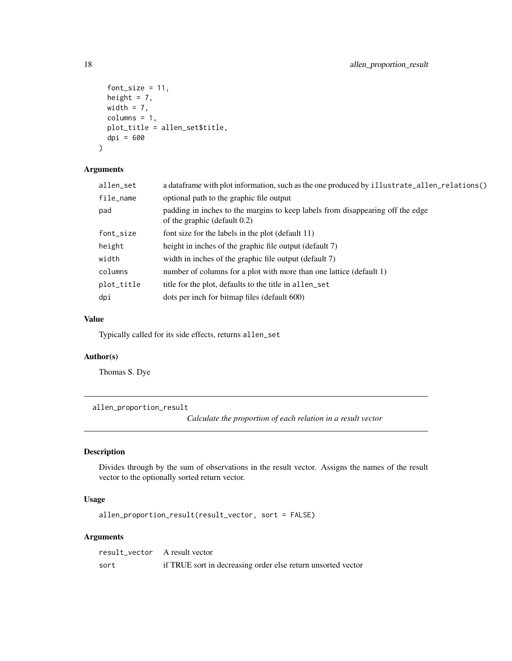```
font_size = 11,height = 7,
 width = 7,
 columns = 1,
 plot_title = allen_set$title,
 dpi = 600
)
```
# Arguments

| allen_set  | a data frame with plot information, such as the one produced by illustrate_allen_relations()                      |
|------------|-------------------------------------------------------------------------------------------------------------------|
| file_name  | optional path to the graphic file output                                                                          |
| pad        | padding in inches to the margins to keep labels from disappearing off the edge<br>of the graphic (default $0.2$ ) |
| font_size  | font size for the labels in the plot (default 11)                                                                 |
| height     | height in inches of the graphic file output (default 7)                                                           |
| width      | width in inches of the graphic file output (default 7)                                                            |
| columns    | number of columns for a plot with more than one lattice (default 1)                                               |
| plot_title | title for the plot, defaults to the title in allen_set                                                            |
| dpi        | dots per inch for bitmap files (default 600)                                                                      |
|            |                                                                                                                   |

#### Value

Typically called for its side effects, returns allen\_set

#### Author(s)

Thomas S. Dye

allen\_proportion\_result

*Calculate the proportion of each relation in a result vector*

# Description

Divides through by the sum of observations in the result vector. Assigns the names of the result vector to the optionally sorted return vector.

# Usage

allen\_proportion\_result(result\_vector, sort = FALSE)

# Arguments

| result vector A result vector |                                                              |
|-------------------------------|--------------------------------------------------------------|
| sort                          | if TRUE sort in decreasing order else return unsorted vector |

<span id="page-17-0"></span>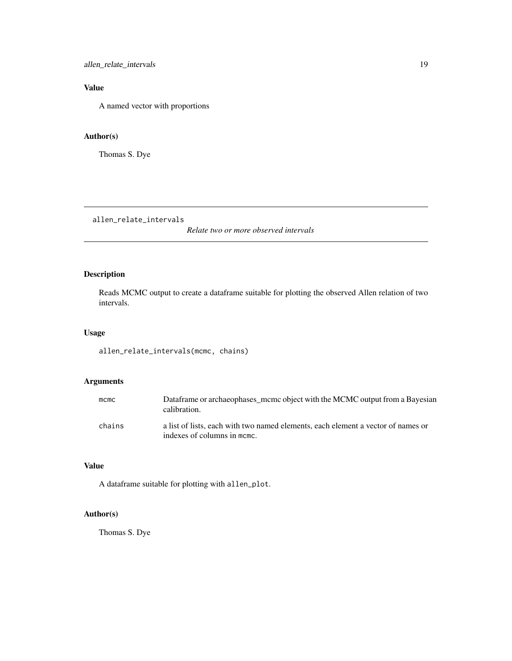<span id="page-18-0"></span>allen\_relate\_intervals 19

# Value

A named vector with proportions

# Author(s)

Thomas S. Dye

allen\_relate\_intervals

*Relate two or more observed intervals*

# Description

Reads MCMC output to create a dataframe suitable for plotting the observed Allen relation of two intervals.

# Usage

allen\_relate\_intervals(mcmc, chains)

# Arguments

| mcmc   | Dataframe or archaeophases mcmc object with the MCMC output from a Bayesian<br>calibration.                     |
|--------|-----------------------------------------------------------------------------------------------------------------|
| chains | a list of lists, each with two named elements, each element a vector of names or<br>indexes of columns in mome. |

# Value

A dataframe suitable for plotting with allen\_plot.

# Author(s)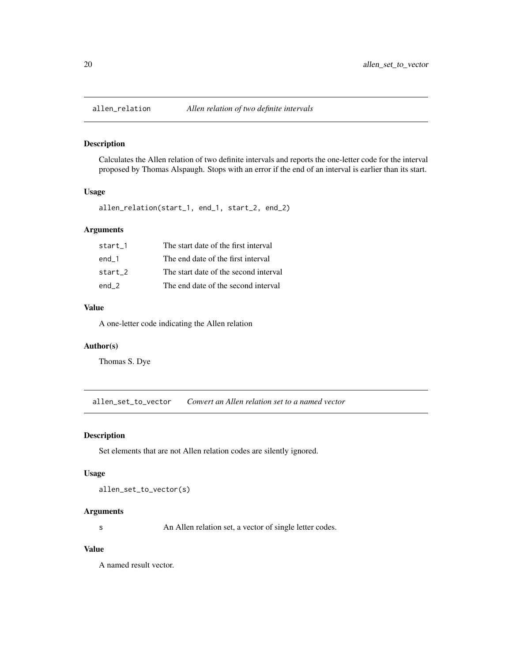<span id="page-19-0"></span>

#### Description

Calculates the Allen relation of two definite intervals and reports the one-letter code for the interval proposed by Thomas Alspaugh. Stops with an error if the end of an interval is earlier than its start.

# Usage

allen\_relation(start\_1, end\_1, start\_2, end\_2)

# Arguments

| start 1 | The start date of the first interval  |
|---------|---------------------------------------|
| end 1   | The end date of the first interval    |
| start 2 | The start date of the second interval |
| end 2   | The end date of the second interval   |

# Value

A one-letter code indicating the Allen relation

#### Author(s)

Thomas S. Dye

allen\_set\_to\_vector *Convert an Allen relation set to a named vector*

#### Description

Set elements that are not Allen relation codes are silently ignored.

#### Usage

allen\_set\_to\_vector(s)

#### Arguments

s An Allen relation set, a vector of single letter codes.

# Value

A named result vector.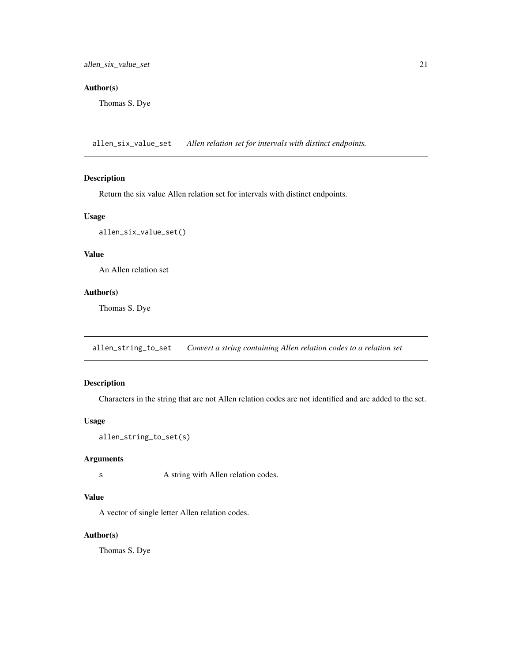# <span id="page-20-0"></span>Author(s)

Thomas S. Dye

allen\_six\_value\_set *Allen relation set for intervals with distinct endpoints.*

# Description

Return the six value Allen relation set for intervals with distinct endpoints.

# Usage

```
allen_six_value_set()
```
# Value

An Allen relation set

# Author(s)

Thomas S. Dye

allen\_string\_to\_set *Convert a string containing Allen relation codes to a relation set*

#### Description

Characters in the string that are not Allen relation codes are not identified and are added to the set.

#### Usage

```
allen_string_to_set(s)
```
### Arguments

s A string with Allen relation codes.

# Value

A vector of single letter Allen relation codes.

#### Author(s)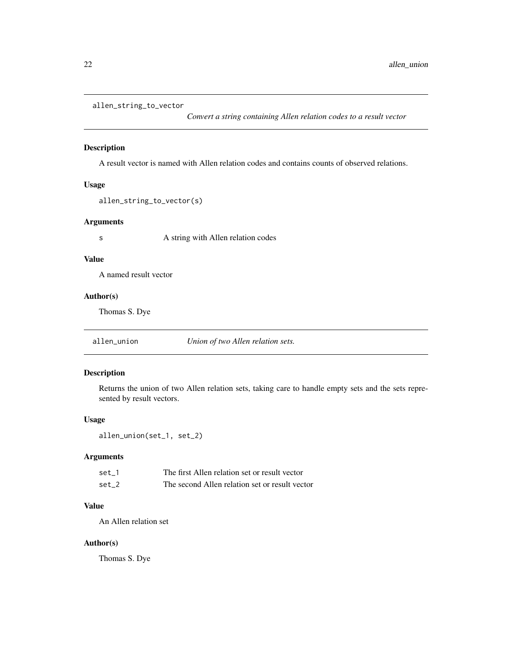```
allen_string_to_vector
```
*Convert a string containing Allen relation codes to a result vector*

# Description

A result vector is named with Allen relation codes and contains counts of observed relations.

#### Usage

```
allen_string_to_vector(s)
```
#### Arguments

s A string with Allen relation codes

#### Value

A named result vector

# Author(s)

Thomas S. Dye

allen\_union *Union of two Allen relation sets.*

# Description

Returns the union of two Allen relation sets, taking care to handle empty sets and the sets represented by result vectors.

#### Usage

allen\_union(set\_1, set\_2)

# Arguments

| set 1 | The first Allen relation set or result vector  |
|-------|------------------------------------------------|
| set 2 | The second Allen relation set or result vector |

# Value

An Allen relation set

# Author(s)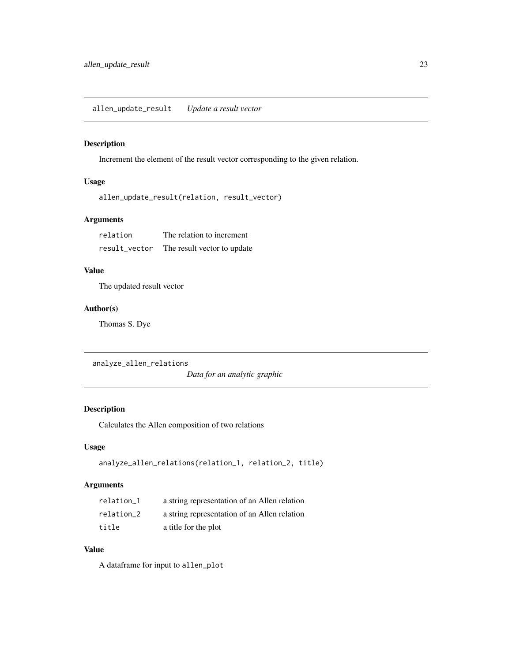# <span id="page-22-0"></span>Description

Increment the element of the result vector corresponding to the given relation.

# Usage

```
allen_update_result(relation, result_vector)
```
# Arguments

| relation      | The relation to increment   |
|---------------|-----------------------------|
| result vector | The result vector to update |

# Value

The updated result vector

# Author(s)

Thomas S. Dye

analyze\_allen\_relations

*Data for an analytic graphic*

# Description

Calculates the Allen composition of two relations

# Usage

```
analyze_allen_relations(relation_1, relation_2, title)
```
# Arguments

| relation 1 | a string representation of an Allen relation |
|------------|----------------------------------------------|
| relation 2 | a string representation of an Allen relation |
| title      | a title for the plot                         |

# Value

A dataframe for input to allen\_plot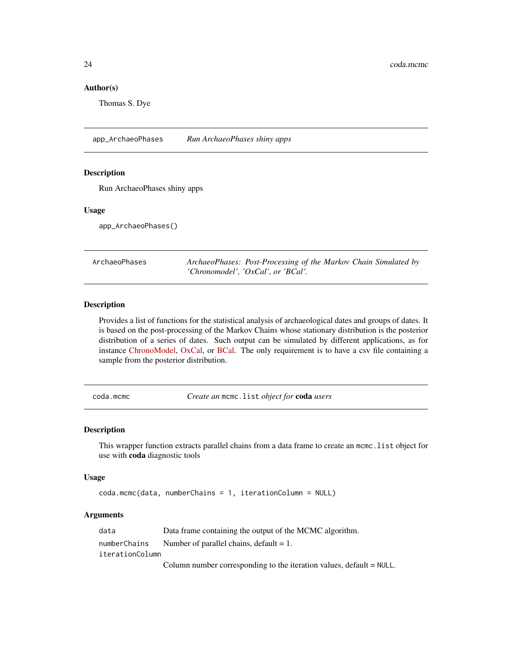#### Author(s)

Thomas S. Dye

app\_ArchaeoPhases *Run ArchaeoPhases shiny apps*

#### Description

Run ArchaeoPhases shiny apps

#### Usage

app\_ArchaeoPhases()

| ArchaeoPhases | ArchaeoPhases: Post-Processing of the Markov Chain Simulated by |  |  |
|---------------|-----------------------------------------------------------------|--|--|
|               | 'Chronomodel', 'OxCal', or 'BCal'.                              |  |  |

### Description

Provides a list of functions for the statistical analysis of archaeological dates and groups of dates. It is based on the post-processing of the Markov Chains whose stationary distribution is the posterior distribution of a series of dates. Such output can be simulated by different applications, as for instance [ChronoModel,](https://chronomodel.com/) [OxCal,](https://c14.arch.ox.ac.uk/oxcal.html) or [BCal.](https://bcal.shef.ac.uk/) The only requirement is to have a csv file containing a sample from the posterior distribution.

coda.mcmc *Create an* mcmc.list *object for* coda *users*

#### Description

This wrapper function extracts parallel chains from a data frame to create an mcmc. list object for use with coda diagnostic tools

#### Usage

```
coda.mcmc(data, numberChains = 1, iterationColumn = NULL)
```
#### **Arguments**

| data            | Data frame containing the output of the MCMC algorithm.                 |
|-----------------|-------------------------------------------------------------------------|
| numberChains    | Number of parallel chains, default $= 1$ .                              |
| iterationColumn |                                                                         |
|                 | Column number corresponding to the iteration values, $default = NULL$ . |

<span id="page-23-0"></span>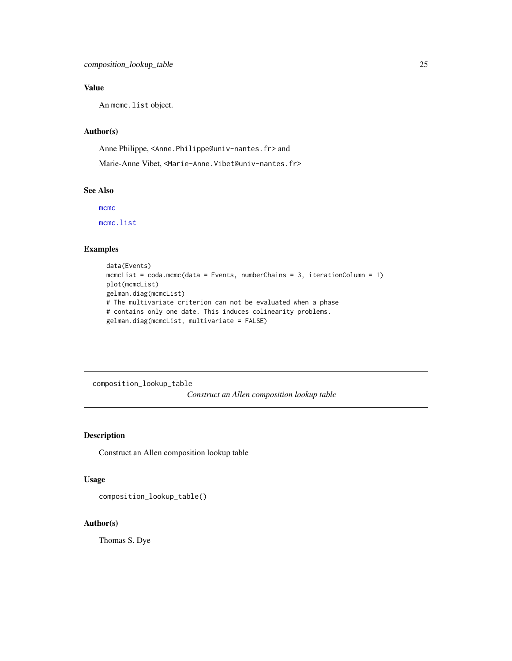# <span id="page-24-0"></span>Value

An mcmc.list object.

#### Author(s)

Anne Philippe, <Anne.Philippe@univ-nantes.fr> and

Marie-Anne Vibet, <Marie-Anne.Vibet@univ-nantes.fr>

# See Also

[mcmc](#page-0-0)

[mcmc.list](#page-0-0)

# Examples

```
data(Events)
mcmcList = coda.mcmc(data = Events, numberChains = 3, iterationColumn = 1)
plot(mcmcList)
gelman.diag(mcmcList)
# The multivariate criterion can not be evaluated when a phase
# contains only one date. This induces colinearity problems.
gelman.diag(mcmcList, multivariate = FALSE)
```
composition\_lookup\_table *Construct an Allen composition lookup table*

# Description

Construct an Allen composition lookup table

#### Usage

composition\_lookup\_table()

# Author(s)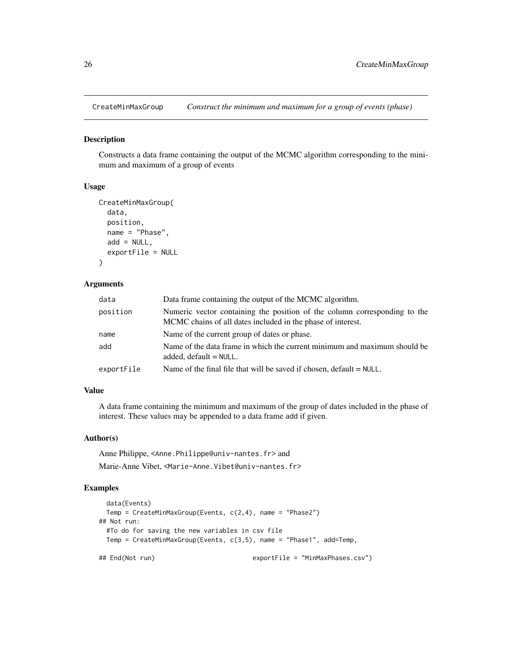<span id="page-25-0"></span>

#### Description

Constructs a data frame containing the output of the MCMC algorithm corresponding to the minimum and maximum of a group of events

#### Usage

```
CreateMinMaxGroup(
  data,
  position,
 name = "Phase",
  add = NULL,exportFile = NULL
\lambda
```
#### Arguments

| data       | Data frame containing the output of the MCMC algorithm.                                                                                  |
|------------|------------------------------------------------------------------------------------------------------------------------------------------|
| position   | Numeric vector containing the position of the column corresponding to the<br>MCMC chains of all dates included in the phase of interest. |
| name       | Name of the current group of dates or phase.                                                                                             |
| add        | Name of the data frame in which the current minimum and maximum should be<br>added, $default = NULL$ .                                   |
| exportFile | Name of the final file that will be saved if chosen, $default = NULL$ .                                                                  |

# Value

A data frame containing the minimum and maximum of the group of dates included in the phase of interest. These values may be appended to a data frame add if given.

#### Author(s)

Anne Philippe, <Anne.Philippe@univ-nantes.fr> and

Marie-Anne Vibet, <Marie-Anne.Vibet@univ-nantes.fr>

# Examples

```
data(Events)
 Temp = CreateMinMaxGroup(Events, c(2,4), name = "Phase2")
## Not run:
 #To do for saving the new variables in csv file
 Temp = CreateMinMaxGroup(Events, c(3,5), name = "Phase1", add=Temp,
## End(Not run) exportFile = "MinMaxPhases.csv")
```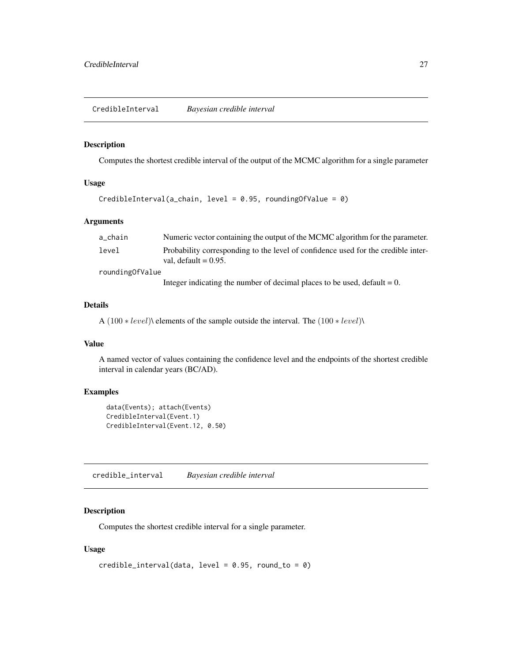# <span id="page-26-0"></span>Description

Computes the shortest credible interval of the output of the MCMC algorithm for a single parameter

# Usage

```
CredibleInterval(a_chain, level = 0.95, roundingOfValue = 0)
```
# Arguments

| a_chain         | Numeric vector containing the output of the MCMC algorithm for the parameter.                                |
|-----------------|--------------------------------------------------------------------------------------------------------------|
| level           | Probability corresponding to the level of confidence used for the credible inter-<br>val. default $= 0.95$ . |
| roundingOfValue |                                                                                                              |
|                 | Integer indicating the number of decimal places to be used, default $= 0$ .                                  |

# Details

A (100 ∗ level)\ elements of the sample outside the interval. The (100 ∗ level)\

#### Value

A named vector of values containing the confidence level and the endpoints of the shortest credible interval in calendar years (BC/AD).

# Examples

```
data(Events); attach(Events)
CredibleInterval(Event.1)
CredibleInterval(Event.12, 0.50)
```
credible\_interval *Bayesian credible interval*

# Description

Computes the shortest credible interval for a single parameter.

# Usage

```
credible\_interval(data, level = 0.95, round_to = 0)
```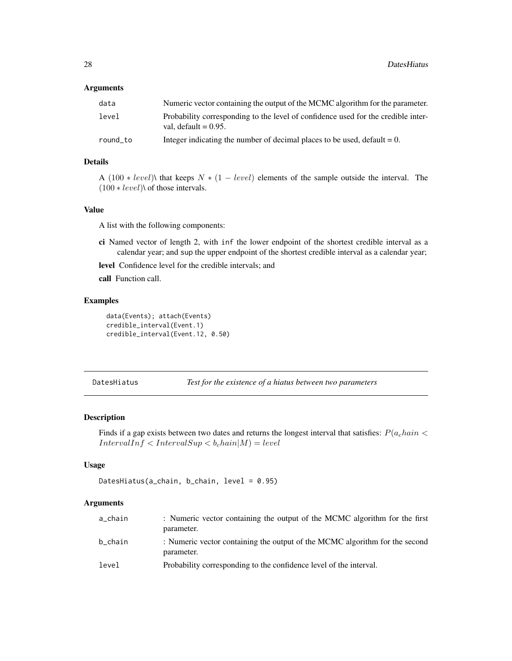#### <span id="page-27-0"></span>**Arguments**

| data     | Numeric vector containing the output of the MCMC algorithm for the parameter.                                |
|----------|--------------------------------------------------------------------------------------------------------------|
| level    | Probability corresponding to the level of confidence used for the credible inter-<br>val. default $= 0.95$ . |
| round to | Integer indicating the number of decimal places to be used, default $= 0$ .                                  |

# Details

A (100 \* level)\ that keeps  $N * (1 - level)$  elements of the sample outside the interval. The  $(100 * level)$  of those intervals.

# Value

A list with the following components:

- ci Named vector of length 2, with inf the lower endpoint of the shortest credible interval as a calendar year; and sup the upper endpoint of the shortest credible interval as a calendar year;
- level Confidence level for the credible intervals; and

call Function call.

#### Examples

```
data(Events); attach(Events)
credible_interval(Event.1)
credible_interval(Event.12, 0.50)
```
DatesHiatus *Test for the existence of a hiatus between two parameters*

#### Description

Finds if a gap exists between two dates and returns the longest interval that satisfies:  $P(a<sub>c</sub>hain <$  $IntervalInf < IntervalSup < b<sub>c</sub>hain|M) = level$ 

#### Usage

```
DatesHiatus(a_chain, b_chain, level = 0.95)
```
# Arguments

| a_chain | : Numeric vector containing the output of the MCMC algorithm for the first<br>parameter.  |
|---------|-------------------------------------------------------------------------------------------|
| b chain | : Numeric vector containing the output of the MCMC algorithm for the second<br>parameter. |
| level   | Probability corresponding to the confidence level of the interval.                        |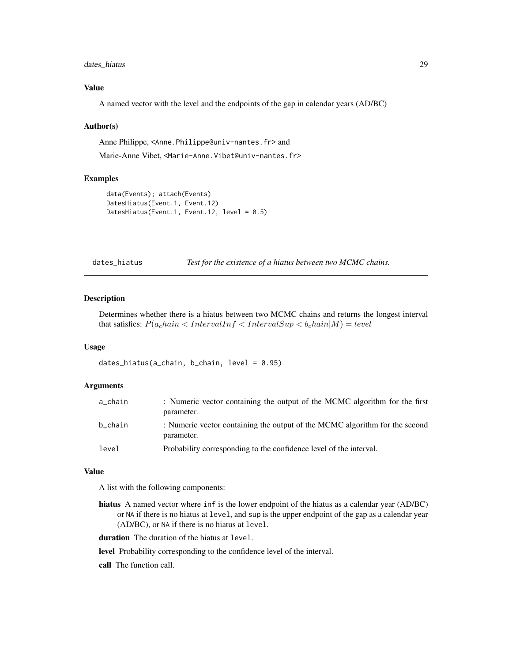# <span id="page-28-0"></span>dates\_hiatus 29

# Value

A named vector with the level and the endpoints of the gap in calendar years (AD/BC)

#### Author(s)

Anne Philippe, <Anne.Philippe@univ-nantes.fr> and Marie-Anne Vibet, <Marie-Anne.Vibet@univ-nantes.fr>

#### Examples

```
data(Events); attach(Events)
DatesHiatus(Event.1, Event.12)
DatesHiatus(Event.1, Event.12, level = 0.5)
```
dates\_hiatus *Test for the existence of a hiatus between two MCMC chains.*

# Description

Determines whether there is a hiatus between two MCMC chains and returns the longest interval that satisfies:  $P(a<sub>c</sub>hain < Intern>IntervalInf < InternalSup < b<sub>c</sub>hain|M) = level$ 

#### Usage

dates\_hiatus(a\_chain, b\_chain, level = 0.95)

# Arguments

| a_chain | : Numeric vector containing the output of the MCMC algorithm for the first<br>parameter.  |
|---------|-------------------------------------------------------------------------------------------|
| b chain | : Numeric vector containing the output of the MCMC algorithm for the second<br>parameter. |
| level   | Probability corresponding to the confidence level of the interval.                        |

#### Value

A list with the following components:

hiatus A named vector where inf is the lower endpoint of the hiatus as a calendar year (AD/BC) or NA if there is no hiatus at level, and sup is the upper endpoint of the gap as a calendar year (AD/BC), or NA if there is no hiatus at level.

duration The duration of the hiatus at level.

level Probability corresponding to the confidence level of the interval.

call The function call.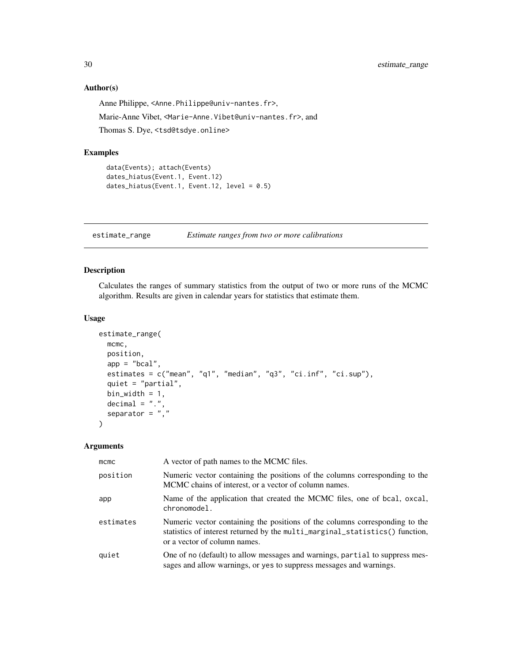# Author(s)

Anne Philippe, <Anne.Philippe@univ-nantes.fr>, Marie-Anne Vibet, <Marie-Anne.Vibet@univ-nantes.fr>, and

Thomas S. Dye, <tsd@tsdye.online>

# Examples

```
data(Events); attach(Events)
dates_hiatus(Event.1, Event.12)
dates_hiatus(Event.1, Event.12, level = 0.5)
```
estimate\_range *Estimate ranges from two or more calibrations*

# Description

Calculates the ranges of summary statistics from the output of two or more runs of the MCMC algorithm. Results are given in calendar years for statistics that estimate them.

#### Usage

```
estimate_range(
 mcmc,
 position,
 app = "bcal".estimates = c("mean", "q1", "median", "q3", "ci.inf", "ci.sup"),quiet = "partial",
 bin_width = 1,
 decimal = "."separator = ", ")
```
# Arguments

| $m$ cmc   | A vector of path names to the MCMC files.                                                                                                                                                   |
|-----------|---------------------------------------------------------------------------------------------------------------------------------------------------------------------------------------------|
| position  | Numeric vector containing the positions of the columns corresponding to the<br>MCMC chains of interest, or a vector of column names.                                                        |
| app       | Name of the application that created the MCMC files, one of bcal, oxcal,<br>chronomodel.                                                                                                    |
| estimates | Numeric vector containing the positions of the columns corresponding to the<br>statistics of interest returned by the multi_marginal_statistics() function,<br>or a vector of column names. |
| quiet     | One of no (default) to allow messages and warnings, partial to suppress mes-<br>sages and allow warnings, or yes to suppress messages and warnings.                                         |

<span id="page-29-0"></span>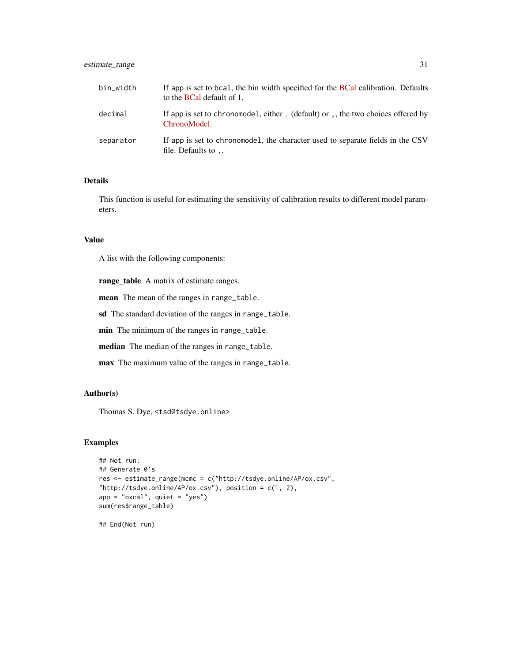# estimate\_range 31

| bin_width | If app is set to boal, the bin width specified for the <b>BCal</b> calibration. Defaults<br>to the <b>BCal</b> default of 1. |
|-----------|------------------------------------------------------------------------------------------------------------------------------|
| decimal   | If app is set to chronomodel, either. (default) or, the two choices offered by<br>ChronoModel.                               |
| separator | If app is set to chronomodel, the character used to separate fields in the CSV<br>file. Defaults to $\,$ .                   |

### Details

This function is useful for estimating the sensitivity of calibration results to different model parameters.

#### Value

A list with the following components:

range\_table A matrix of estimate ranges.

mean The mean of the ranges in range\_table.

sd The standard deviation of the ranges in range\_table.

min The minimum of the ranges in range\_table.

median The median of the ranges in range\_table.

max The maximum value of the ranges in range\_table.

# Author(s)

Thomas S. Dye, <tsd@tsdye.online>

#### Examples

```
## Not run:
## Generate 0's
res <- estimate_range(mcmc = c("http://tsdye.online/AP/ox.csv",
"http://tsdye.online/AP/ox.csv"), position = c(1, 2),
app = "oxcal", quiet = "yes")sum(res$range_table)
```
## End(Not run)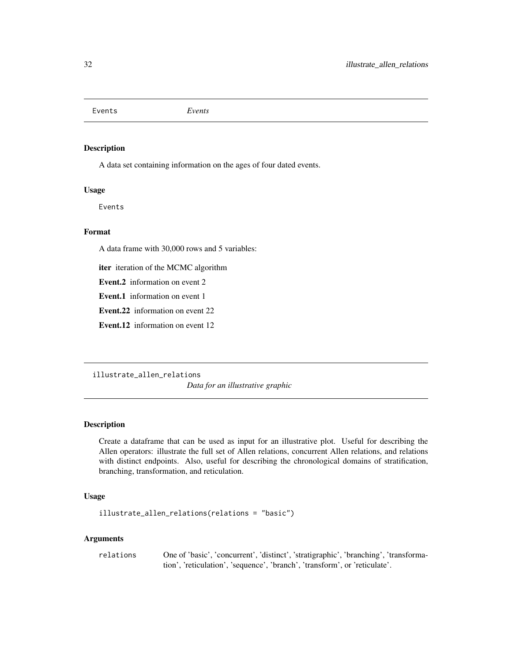<span id="page-31-0"></span>Events *Events*

#### Description

A data set containing information on the ages of four dated events.

#### Usage

Events

# Format

A data frame with 30,000 rows and 5 variables:

iter iteration of the MCMC algorithm

Event.2 information on event 2

Event.1 information on event 1

Event.22 information on event 22

Event.12 information on event 12

illustrate\_allen\_relations

*Data for an illustrative graphic*

#### Description

Create a dataframe that can be used as input for an illustrative plot. Useful for describing the Allen operators: illustrate the full set of Allen relations, concurrent Allen relations, and relations with distinct endpoints. Also, useful for describing the chronological domains of stratification, branching, transformation, and reticulation.

# Usage

illustrate\_allen\_relations(relations = "basic")

#### Arguments

relations One of 'basic', 'concurrent', 'distinct', 'stratigraphic', 'branching', 'transformation', 'reticulation', 'sequence', 'branch', 'transform', or 'reticulate'.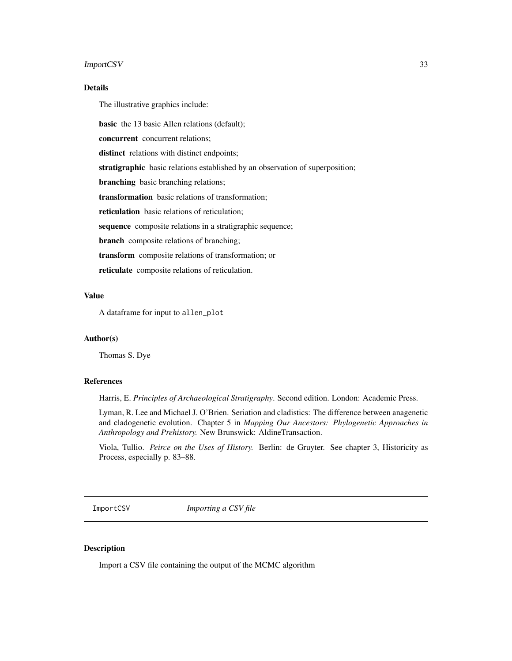#### <span id="page-32-0"></span>ImportCSV 33

### Details

The illustrative graphics include:

basic the 13 basic Allen relations (default);

concurrent concurrent relations;

distinct relations with distinct endpoints;

stratigraphic basic relations established by an observation of superposition;

branching basic branching relations;

transformation basic relations of transformation;

reticulation basic relations of reticulation;

sequence composite relations in a stratigraphic sequence;

branch composite relations of branching;

transform composite relations of transformation; or

reticulate composite relations of reticulation.

# Value

A dataframe for input to allen\_plot

#### Author(s)

Thomas S. Dye

#### References

Harris, E. *Principles of Archaeological Stratigraphy*. Second edition. London: Academic Press.

Lyman, R. Lee and Michael J. O'Brien. Seriation and cladistics: The difference between anagenetic and cladogenetic evolution. Chapter 5 in *Mapping Our Ancestors: Phylogenetic Approaches in Anthropology and Prehistory.* New Brunswick: AldineTransaction.

Viola, Tullio. *Peirce on the Uses of History.* Berlin: de Gruyter. See chapter 3, Historicity as Process, especially p. 83–88.

ImportCSV *Importing a CSV file*

#### Description

Import a CSV file containing the output of the MCMC algorithm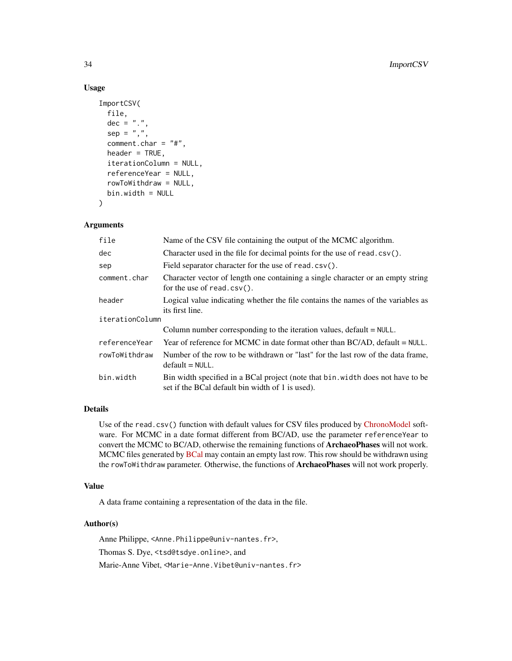#### Usage

```
ImportCSV(
 file,
  dec = "."sep = ","comment.char = "#",
  header = TRUE,
  iterationColumn = NULL,
  referenceYear = NULL,
  rowToWithdraw = NULL,
 bin.width = NULL
\mathcal{L}
```
# Arguments

| file            | Name of the CSV file containing the output of the MCMC algorithm.                                                                   |  |
|-----------------|-------------------------------------------------------------------------------------------------------------------------------------|--|
| dec             | Character used in the file for decimal points for the use of read. $\text{csv}()$ .                                                 |  |
| sep             | Field separator character for the use of read.csv().                                                                                |  |
| comment.char    | Character vector of length one containing a single character or an empty string<br>for the use of read.csv().                       |  |
| header          | Logical value indicating whether the file contains the names of the variables as<br>its first line.                                 |  |
| iterationColumn |                                                                                                                                     |  |
|                 | Column number corresponding to the iteration values, $default = NULL$ .                                                             |  |
| referenceYear   | Year of reference for MCMC in date format other than $BC/AD$ , default = NULL.                                                      |  |
| rowToWithdraw   | Number of the row to be withdrawn or "last" for the last row of the data frame,<br>$default = NULL.$                                |  |
| bin.width       | Bin width specified in a BCal project (note that bin. width does not have to be<br>set if the BCal default bin width of 1 is used). |  |

# Details

Use of the read.csv() function with default values for CSV files produced by [ChronoModel](https://chronomodel.com) software. For MCMC in a date format different from BC/AD, use the parameter referenceYear to convert the MCMC to BC/AD, otherwise the remaining functions of **ArchaeoPhases** will not work. MCMC files generated by [BCal](https://bcal.shef.ac.uk/top.html) may contain an empty last row. This row should be withdrawn using the rowToWithdraw parameter. Otherwise, the functions of ArchaeoPhases will not work properly.

# Value

A data frame containing a representation of the data in the file.

#### Author(s)

Anne Philippe, <Anne.Philippe@univ-nantes.fr>, Thomas S. Dye, <tsd@tsdye.online>, and Marie-Anne Vibet, <Marie-Anne.Vibet@univ-nantes.fr>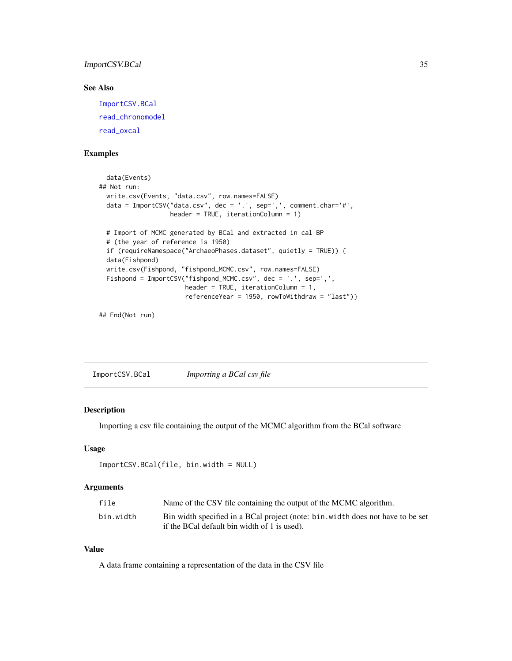# <span id="page-34-0"></span>ImportCSV.BCal 35

# See Also

[ImportCSV.BCal](#page-34-1) [read\\_chronomodel](#page-83-1) [read\\_oxcal](#page-84-1)

#### Examples

```
data(Events)
## Not run:
 write.csv(Events, "data.csv", row.names=FALSE)
 data = ImportCSV("data.csv", dec = '.', sep=',', comment.char='#',
                  header = TRUE, iterationColumn = 1)
 # Import of MCMC generated by BCal and extracted in cal BP
 # (the year of reference is 1950)
 if (requireNamespace("ArchaeoPhases.dataset", quietly = TRUE)) {
 data(Fishpond)
 write.csv(Fishpond, "fishpond_MCMC.csv", row.names=FALSE)
 Fishpond = ImportCSV("fishpond_MCMC.csv", dec = '.', sep=',',
                       header = TRUE, iterationColumn = 1,
                       referenceYear = 1950, rowToWithdraw = "last")}
```
## End(Not run)

<span id="page-34-1"></span>ImportCSV.BCal *Importing a BCal csv file*

#### Description

Importing a csv file containing the output of the MCMC algorithm from the BCal software

### Usage

```
ImportCSV.BCal(file, bin.width = NULL)
```
# Arguments

| file      | Name of the CSV file containing the output of the MCMC algorithm.                                                               |
|-----------|---------------------------------------------------------------------------------------------------------------------------------|
| bin.width | Bin width specified in a BCal project (note: bin. width does not have to be set<br>if the BCal default bin width of 1 is used). |

# Value

A data frame containing a representation of the data in the CSV file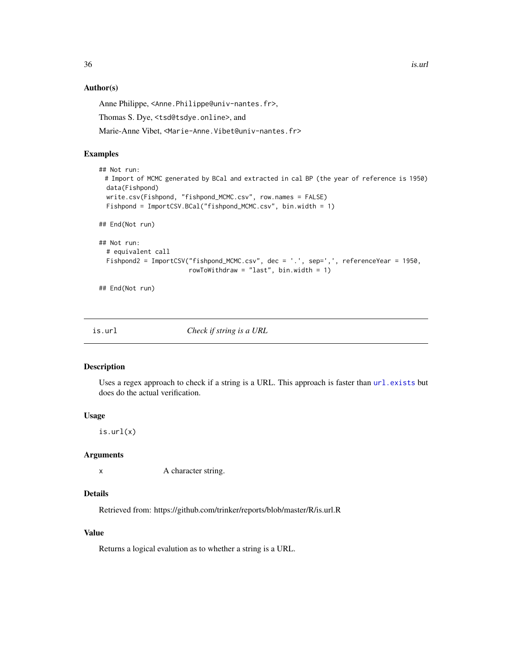$36$  is.url

#### Author(s)

Anne Philippe, <Anne.Philippe@univ-nantes.fr>,

Thomas S. Dye, <tsd@tsdye.online>, and

Marie-Anne Vibet, <Marie-Anne.Vibet@univ-nantes.fr>

# Examples

```
## Not run:
 # Import of MCMC generated by BCal and extracted in cal BP (the year of reference is 1950)
 data(Fishpond)
 write.csv(Fishpond, "fishpond_MCMC.csv", row.names = FALSE)
 Fishpond = ImportCSV.BCal("fishpond_MCMC.csv", bin.width = 1)
## End(Not run)
## Not run:
 # equivalent call
 Fishpond2 = ImportCSV("fishpond_MCMC.csv", dec = '.', sep=',', referenceYear = 1950,
                        rowToWithdraw = "last", bin.width = 1)
```
## End(Not run)

is.url *Check if string is a URL*

### Description

Uses a regex approach to check if a string is a URL. This approach is faster than [url.exists](#page-0-0) but does do the actual verification.

#### Usage

is.url(x)

#### Arguments

x A character string.

#### Details

Retrieved from: https://github.com/trinker/reports/blob/master/R/is.url.R

# Value

Returns a logical evalution as to whether a string is a URL.

<span id="page-35-0"></span>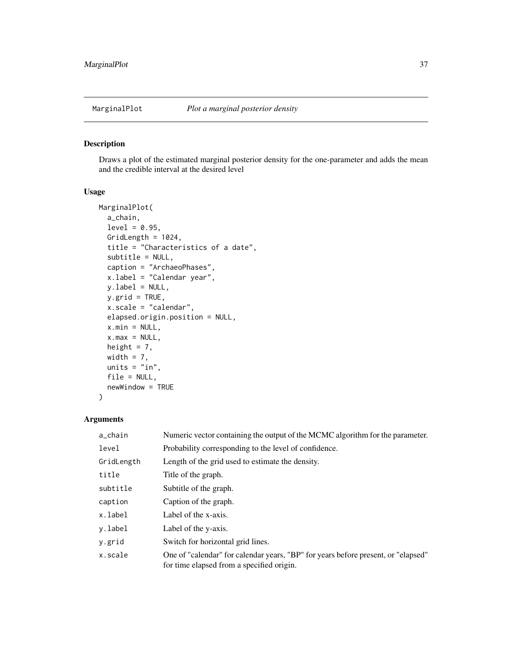## Description

Draws a plot of the estimated marginal posterior density for the one-parameter and adds the mean and the credible interval at the desired level

## Usage

```
MarginalPlot(
  a_chain,
  level = 0.95,GridLength = 1024,
  title = "Characteristics of a date",
  subtitle = NULL,
 caption = "ArchaeoPhases",
  x.label = "Calendar year",
 y.label = NULL,
 y.grid = TRUE,x.scale = "calendar",
 elapsed.origin.position = NULL,
 x.min = NULL,x.max = NULL,height = 7,
 width = 7,units = "in",file = NULL,
 newWindow = TRUE
)
```

| a_chain    | Numeric vector containing the output of the MCMC algorithm for the parameter.                                                  |
|------------|--------------------------------------------------------------------------------------------------------------------------------|
| level      | Probability corresponding to the level of confidence.                                                                          |
| GridLength | Length of the grid used to estimate the density.                                                                               |
| title      | Title of the graph.                                                                                                            |
| subtitle   | Subtitle of the graph.                                                                                                         |
| caption    | Caption of the graph.                                                                                                          |
| x.label    | Label of the x-axis.                                                                                                           |
| y.label    | Label of the y-axis.                                                                                                           |
| y.grid     | Switch for horizontal grid lines.                                                                                              |
| x.scale    | One of "calendar" for calendar years, "BP" for years before present, or "elapsed"<br>for time elapsed from a specified origin. |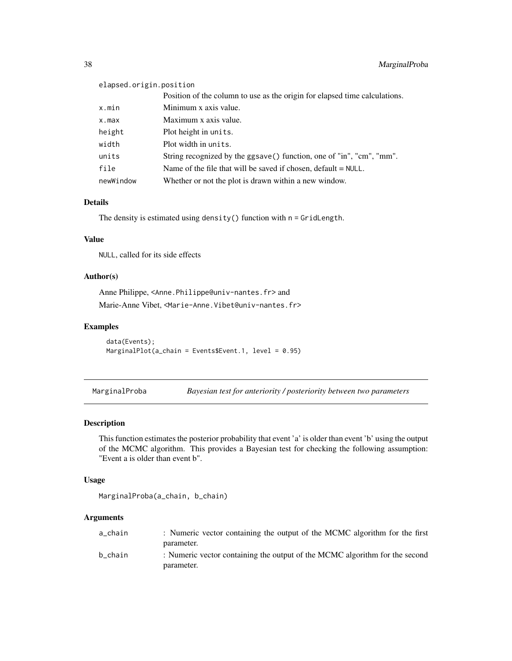# elapsed.origin.position

|           | Position of the column to use as the origin for elapsed time calculations. |
|-----------|----------------------------------------------------------------------------|
| x.min     | Minimum x axis value.                                                      |
| x.max     | Maximum x axis value.                                                      |
| height    | Plot height in units.                                                      |
| width     | Plot width in units.                                                       |
| units     | String recognized by the ggsave() function, one of "in", "cm", "mm".       |
| file      | Name of the file that will be saved if chosen, $default = NULL$ .          |
| newWindow | Whether or not the plot is drawn within a new window.                      |

## Details

The density is estimated using density() function with n = GridLength.

## Value

NULL, called for its side effects

## Author(s)

Anne Philippe, <Anne.Philippe@univ-nantes.fr> and Marie-Anne Vibet, <Marie-Anne.Vibet@univ-nantes.fr>

### Examples

```
data(Events);
MarginalPlot(a_chain = Events$Event.1, level = 0.95)
```
MarginalProba *Bayesian test for anteriority / posteriority between two parameters*

## Description

This function estimates the posterior probability that event 'a' is older than event 'b' using the output of the MCMC algorithm. This provides a Bayesian test for checking the following assumption: "Event a is older than event b".

#### Usage

```
MarginalProba(a_chain, b_chain)
```

| a chain | : Numeric vector containing the output of the MCMC algorithm for the first  |
|---------|-----------------------------------------------------------------------------|
|         | parameter.                                                                  |
| b chain | : Numeric vector containing the output of the MCMC algorithm for the second |
|         | parameter.                                                                  |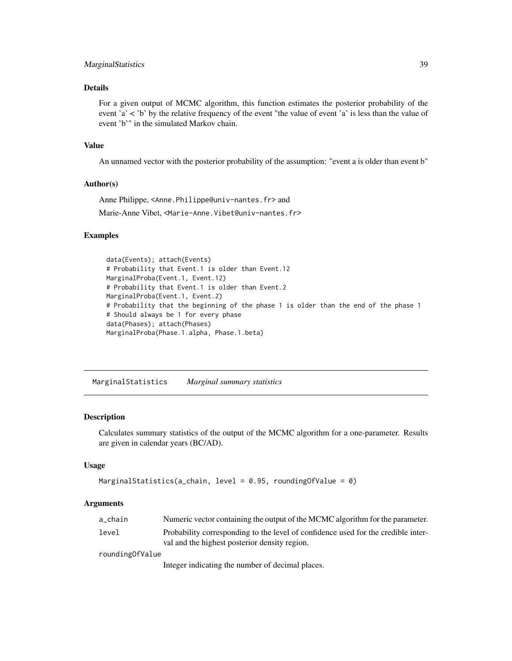## MarginalStatistics 39

### Details

For a given output of MCMC algorithm, this function estimates the posterior probability of the event 'a'  $\lt$ 'b' by the relative frequency of the event "the value of event 'a' is less than the value of event 'b'" in the simulated Markov chain.

#### Value

An unnamed vector with the posterior probability of the assumption: "event a is older than event b"

## Author(s)

Anne Philippe, <Anne.Philippe@univ-nantes.fr> and

Marie-Anne Vibet, <Marie-Anne.Vibet@univ-nantes.fr>

#### Examples

```
data(Events); attach(Events)
# Probability that Event.1 is older than Event.12
MarginalProba(Event.1, Event.12)
# Probability that Event.1 is older than Event.2
MarginalProba(Event.1, Event.2)
# Probability that the beginning of the phase 1 is older than the end of the phase 1
# Should always be 1 for every phase
data(Phases); attach(Phases)
MarginalProba(Phase.1.alpha, Phase.1.beta)
```
MarginalStatistics *Marginal summary statistics*

### Description

Calculates summary statistics of the output of the MCMC algorithm for a one-parameter. Results are given in calendar years (BC/AD).

#### Usage

```
MarginalStatistics(a_chain, level = 0.95, roundingOfValue = 0)
```
#### Arguments

| a chain         | Numeric vector containing the output of the MCMC algorithm for the parameter.                                                      |
|-----------------|------------------------------------------------------------------------------------------------------------------------------------|
| level           | Probability corresponding to the level of confidence used for the credible inter-<br>val and the highest posterior density region. |
| roundingOfValue |                                                                                                                                    |

Integer indicating the number of decimal places.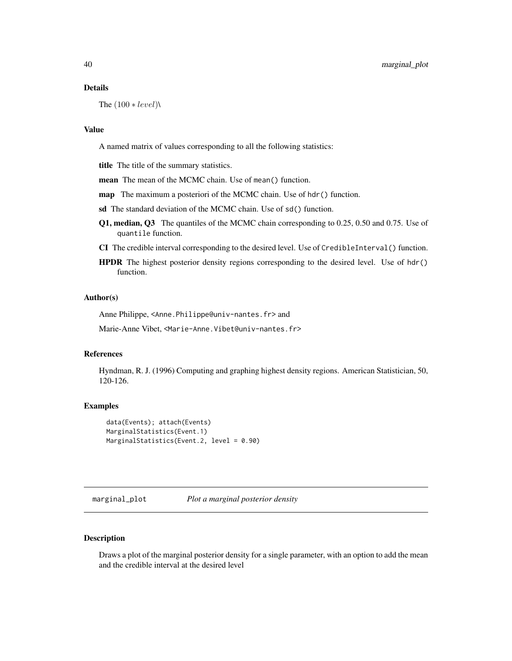#### Details

The  $(100 * level)$ 

#### Value

A named matrix of values corresponding to all the following statistics:

title The title of the summary statistics.

mean The mean of the MCMC chain. Use of mean() function.

map The maximum a posteriori of the MCMC chain. Use of hdr() function.

sd The standard deviation of the MCMC chain. Use of sd() function.

- Q1, median, Q3 The quantiles of the MCMC chain corresponding to 0.25, 0.50 and 0.75. Use of quantile function.
- CI The credible interval corresponding to the desired level. Use of CredibleInterval() function.
- HPDR The highest posterior density regions corresponding to the desired level. Use of hdr() function.

## Author(s)

Anne Philippe, <Anne.Philippe@univ-nantes.fr> and

Marie-Anne Vibet, <Marie-Anne.Vibet@univ-nantes.fr>

## References

Hyndman, R. J. (1996) Computing and graphing highest density regions. American Statistician, 50, 120-126.

#### Examples

```
data(Events); attach(Events)
MarginalStatistics(Event.1)
MarginalStatistics(Event.2, level = 0.90)
```
marginal\_plot *Plot a marginal posterior density*

## Description

Draws a plot of the marginal posterior density for a single parameter, with an option to add the mean and the credible interval at the desired level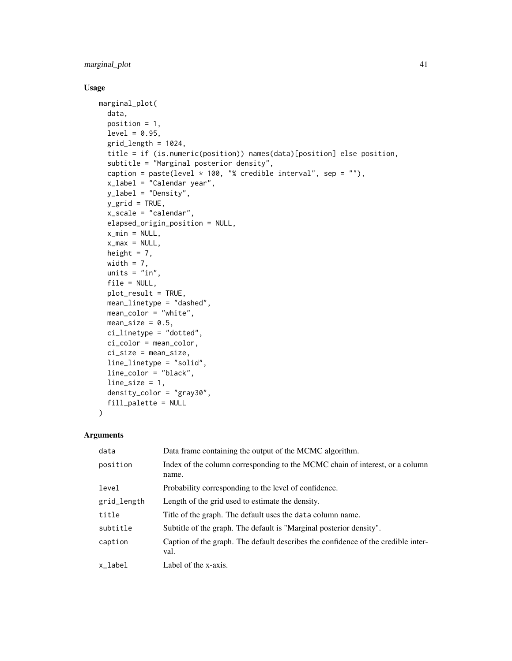## marginal\_plot 41

## Usage

```
marginal_plot(
 data,
 position = 1,
 level = 0.95,grid length = 1024,
 title = if (is.numeric(position)) names(data)[position] else position,
  subtitle = "Marginal posterior density",
  caption = paste(level * 100, "% credible interval", sep = ""),
  x_label = "Calendar year",
 y_label = "Density",
 y_grid = TRUE,
 x_scale = "calendar",
 elapsed_origin_position = NULL,
 x_{min} = NULL,x_max = NULL,
 height = 7,width = 7,units = "in",file = NULL,
 plot_result = TRUE,
 mean_linetype = "dashed",
 mean_color = "white",
 mean_size = 0.5,
 ci_linetype = "dotted",
 ci_color = mean_color,
 ci_size = mean_size,
 line_linetype = "solid",
 line_color = "black",
 line_size = 1,
 density_color = "gray30",
 fill_palette = NULL
```

```
)
```

| data        | Data frame containing the output of the MCMC algorithm.                                   |
|-------------|-------------------------------------------------------------------------------------------|
| position    | Index of the column corresponding to the MCMC chain of interest, or a column<br>name.     |
| level       | Probability corresponding to the level of confidence.                                     |
| grid_length | Length of the grid used to estimate the density.                                          |
| title       | Title of the graph. The default uses the data column name.                                |
| subtitle    | Subtitle of the graph. The default is "Marginal posterior density".                       |
| caption     | Caption of the graph. The default describes the confidence of the credible inter-<br>val. |
| x label     | Label of the x-axis.                                                                      |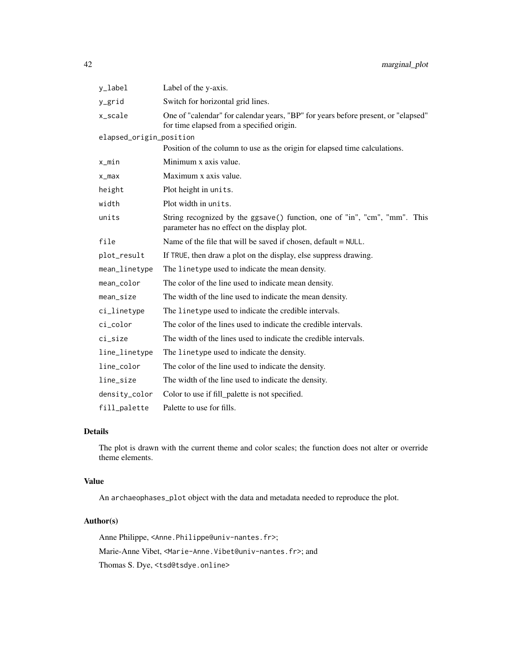| y_label                 | Label of the y-axis.                                                                                                           |  |
|-------------------------|--------------------------------------------------------------------------------------------------------------------------------|--|
| y_grid                  | Switch for horizontal grid lines.                                                                                              |  |
| x_scale                 | One of "calendar" for calendar years, "BP" for years before present, or "elapsed"<br>for time elapsed from a specified origin. |  |
| elapsed_origin_position |                                                                                                                                |  |
|                         | Position of the column to use as the origin for elapsed time calculations.                                                     |  |
| x_min                   | Minimum x axis value.                                                                                                          |  |
| $x_{max}$               | Maximum x axis value.                                                                                                          |  |
| height                  | Plot height in units.                                                                                                          |  |
| width                   | Plot width in units.                                                                                                           |  |
| units                   | String recognized by the ggsave() function, one of "in", "cm", "mm". This<br>parameter has no effect on the display plot.      |  |
| file                    | Name of the file that will be saved if chosen, default = NULL.                                                                 |  |
| plot_result             | If TRUE, then draw a plot on the display, else suppress drawing.                                                               |  |
| mean_linetype           | The linetype used to indicate the mean density.                                                                                |  |
| mean_color              | The color of the line used to indicate mean density.                                                                           |  |
| mean_size               | The width of the line used to indicate the mean density.                                                                       |  |
| ci_linetype             | The linetype used to indicate the credible intervals.                                                                          |  |
| ci_color                | The color of the lines used to indicate the credible intervals.                                                                |  |
| ci_size                 | The width of the lines used to indicate the credible intervals.                                                                |  |
| line_linetype           | The linetype used to indicate the density.                                                                                     |  |
| line_color              | The color of the line used to indicate the density.                                                                            |  |
| line_size               | The width of the line used to indicate the density.                                                                            |  |
| density_color           | Color to use if fill_palette is not specified.                                                                                 |  |
| fill_palette            | Palette to use for fills.                                                                                                      |  |

## Details

The plot is drawn with the current theme and color scales; the function does not alter or override theme elements.

#### Value

An archaeophases\_plot object with the data and metadata needed to reproduce the plot.

## Author(s)

Anne Philippe, <Anne.Philippe@univ-nantes.fr>; Marie-Anne Vibet, <Marie-Anne.Vibet@univ-nantes.fr>; and Thomas S. Dye, <tsd@tsdye.online>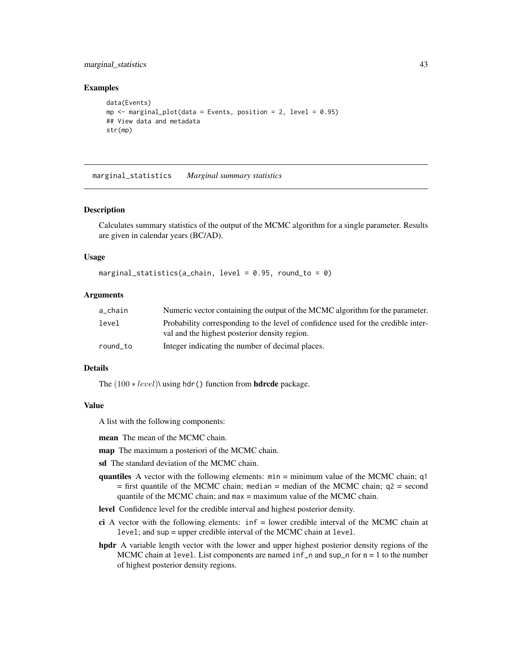## marginal\_statistics 43

#### Examples

```
data(Events)
mp \le marginal_plot(data = Events, position = 2, level = 0.95)
## View data and metadata
str(mp)
```
marginal\_statistics *Marginal summary statistics*

#### **Description**

Calculates summary statistics of the output of the MCMC algorithm for a single parameter. Results are given in calendar years (BC/AD).

#### Usage

```
marginal_statistics(a_chain, level = 0.95, round_to = 0)
```
#### Arguments

| a chain  | Numeric vector containing the output of the MCMC algorithm for the parameter.                                                      |
|----------|------------------------------------------------------------------------------------------------------------------------------------|
| level    | Probability corresponding to the level of confidence used for the credible inter-<br>val and the highest posterior density region. |
| round_to | Integer indicating the number of decimal places.                                                                                   |

### Details

The  $(100 * level)$  using hdr() function from **hdrcde** package.

#### Value

A list with the following components:

mean The mean of the MCMC chain.

map The maximum a posteriori of the MCMC chain.

- sd The standard deviation of the MCMC chain.
- quantiles A vector with the following elements: min = minimum value of the MCMC chain; q1  $=$  first quantile of the MCMC chain; median  $=$  median of the MCMC chain; q2  $=$  second quantile of the MCMC chain; and  $max = maximum$  value of the MCMC chain.
- level Confidence level for the credible interval and highest posterior density.
- ci A vector with the following elements:  $\inf$  = lower credible interval of the MCMC chain at level; and sup = upper credible interval of the MCMC chain at level.
- hpdr A variable length vector with the lower and upper highest posterior density regions of the MCMC chain at level. List components are named  $inf_n$  and sup\_n for  $n = 1$  to the number of highest posterior density regions.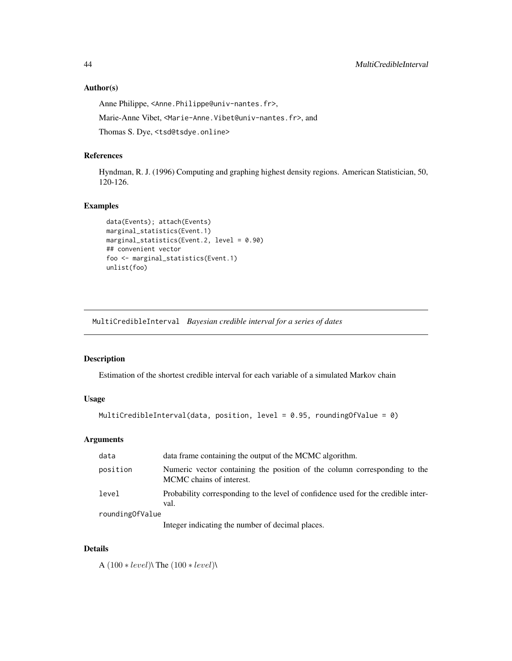#### Author(s)

Anne Philippe, <Anne.Philippe@univ-nantes.fr>, Marie-Anne Vibet, <Marie-Anne.Vibet@univ-nantes.fr>, and

Thomas S. Dye, <tsd@tsdye.online>

## References

Hyndman, R. J. (1996) Computing and graphing highest density regions. American Statistician, 50, 120-126.

## Examples

```
data(Events); attach(Events)
marginal_statistics(Event.1)
marginal_statistics(Event.2, level = 0.90)
## convenient vector
foo <- marginal_statistics(Event.1)
unlist(foo)
```
MultiCredibleInterval *Bayesian credible interval for a series of dates*

### Description

Estimation of the shortest credible interval for each variable of a simulated Markov chain

## Usage

```
MultiCredibleInterval(data, position, level = 0.95, roundingOfValue = 0)
```
### Arguments

| data              | data frame containing the output of the MCMC algorithm.                                               |
|-------------------|-------------------------------------------------------------------------------------------------------|
| position          | Numeric vector containing the position of the column corresponding to the<br>MCMC chains of interest. |
| level             | Probability corresponding to the level of confidence used for the credible inter-<br>val.             |
| rounding Of Value |                                                                                                       |
|                   | Integer indicating the number of decimal places.                                                      |

#### Details

A (100 ∗ level)\ The (100 ∗ level)\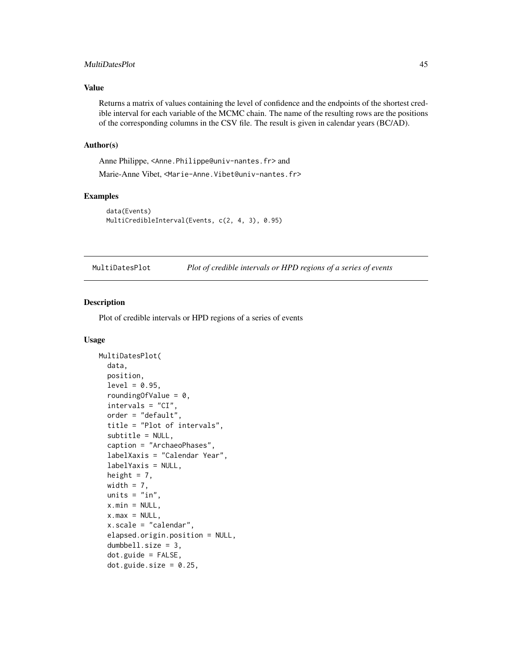### MultiDatesPlot 45

### Value

Returns a matrix of values containing the level of confidence and the endpoints of the shortest credible interval for each variable of the MCMC chain. The name of the resulting rows are the positions of the corresponding columns in the CSV file. The result is given in calendar years (BC/AD).

#### Author(s)

Anne Philippe, <Anne.Philippe@univ-nantes.fr> and

Marie-Anne Vibet, <Marie-Anne.Vibet@univ-nantes.fr>

## Examples

```
data(Events)
MultiCredibleInterval(Events, c(2, 4, 3), 0.95)
```
MultiDatesPlot *Plot of credible intervals or HPD regions of a series of events*

## Description

Plot of credible intervals or HPD regions of a series of events

```
MultiDatesPlot(
  data,
  position,
  level = 0.95,roundingOfValue = 0,
  intervals = "CI",
  order = "default",
  title = "Plot of intervals",
  subtitle = NULL,
  caption = "ArchaeoPhases",
  labelXaxis = "Calendar Year",
  labelYaxis = NULL,
  height = 7,
  width = 7,units = "in",x.min = NULL,
  x.max = NULL,
  x.scale = "calendar",
  elapsed.origin.position = NULL,
  dumbbell.size = 3,
  dot.guide = FALSE,
  dot.guide.size = 0.25,
```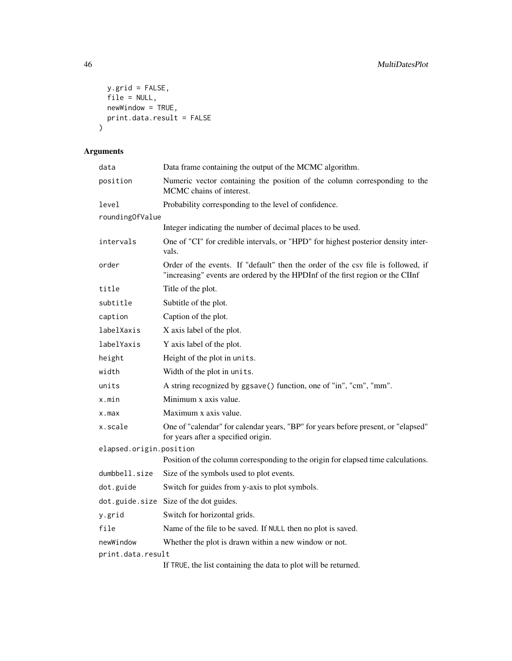```
y.grid = FALSE,
 file = NULL,
 newWindow = TRUE,
 print.data.result = FALSE
)
```

| data                    | Data frame containing the output of the MCMC algorithm.                                                                                                            |  |  |
|-------------------------|--------------------------------------------------------------------------------------------------------------------------------------------------------------------|--|--|
| position                | Numeric vector containing the position of the column corresponding to the<br>MCMC chains of interest.                                                              |  |  |
| level                   | Probability corresponding to the level of confidence.                                                                                                              |  |  |
| roundingOfValue         |                                                                                                                                                                    |  |  |
|                         | Integer indicating the number of decimal places to be used.                                                                                                        |  |  |
| intervals               | One of "CI" for credible intervals, or "HPD" for highest posterior density inter-<br>vals.                                                                         |  |  |
| order                   | Order of the events. If "default" then the order of the csv file is followed, if<br>"increasing" events are ordered by the HPDInf of the first region or the CIInf |  |  |
| title                   | Title of the plot.                                                                                                                                                 |  |  |
| subtitle                | Subtitle of the plot.                                                                                                                                              |  |  |
| caption                 | Caption of the plot.                                                                                                                                               |  |  |
| labelXaxis              | X axis label of the plot.                                                                                                                                          |  |  |
| labelYaxis              | Y axis label of the plot.                                                                                                                                          |  |  |
| height                  | Height of the plot in units.                                                                                                                                       |  |  |
| width                   | Width of the plot in units.                                                                                                                                        |  |  |
| units                   | A string recognized by ggsave() function, one of "in", "cm", "mm".                                                                                                 |  |  |
| x.min                   | Minimum x axis value.                                                                                                                                              |  |  |
| x.max                   | Maximum x axis value.                                                                                                                                              |  |  |
| x.scale                 | One of "calendar" for calendar years, "BP" for years before present, or "elapsed"<br>for years after a specified origin.                                           |  |  |
| elapsed.origin.position |                                                                                                                                                                    |  |  |
|                         | Position of the column corresponding to the origin for elapsed time calculations.                                                                                  |  |  |
| dumbbell.size           | Size of the symbols used to plot events.                                                                                                                           |  |  |
| dot.guide               | Switch for guides from y-axis to plot symbols.                                                                                                                     |  |  |
|                         | dot.guide.size Size of the dot guides.                                                                                                                             |  |  |
| y.grid                  | Switch for horizontal grids.                                                                                                                                       |  |  |
| file                    | Name of the file to be saved. If NULL then no plot is saved.                                                                                                       |  |  |
| newWindow               | Whether the plot is drawn within a new window or not.                                                                                                              |  |  |
| print.data.result       |                                                                                                                                                                    |  |  |
|                         | If TRUE, the list containing the data to plot will be returned.                                                                                                    |  |  |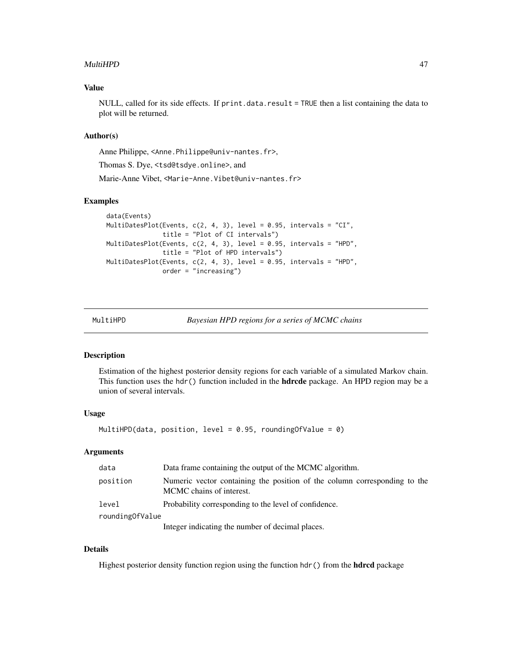#### MultiHPD 47

### Value

NULL, called for its side effects. If print.data.result = TRUE then a list containing the data to plot will be returned.

#### Author(s)

Anne Philippe, <Anne.Philippe@univ-nantes.fr>,

Thomas S. Dye, <tsd@tsdye.online>, and

Marie-Anne Vibet, <Marie-Anne.Vibet@univ-nantes.fr>

#### Examples

```
data(Events)
MultiDatesPlot(Events, c(2, 4, 3), level = 0.95, intervals = "CI",
               title = "Plot of CI intervals")
MultiDatesPlot(Events, c(2, 4, 3), level = 0.95, intervals = "HPD",
               title = "Plot of HPD intervals")
MultiDatesPlot(Events, c(2, 4, 3), level = 0.95, intervals = "HPD",
               order = "increasing")
```

| MultiHPD |  |  |  |  |  |
|----------|--|--|--|--|--|
|----------|--|--|--|--|--|

Bayesian HPD regions for a series of MCMC chains

#### Description

Estimation of the highest posterior density regions for each variable of a simulated Markov chain. This function uses the hdr() function included in the **hdrcde** package. An HPD region may be a union of several intervals.

#### Usage

MultiHPD(data, position, level =  $0.95$ , roundingOfValue =  $0$ )

#### Arguments

| data              | Data frame containing the output of the MCMC algorithm.                                               |  |
|-------------------|-------------------------------------------------------------------------------------------------------|--|
| position          | Numeric vector containing the position of the column corresponding to the<br>MCMC chains of interest. |  |
| level             | Probability corresponding to the level of confidence.                                                 |  |
| rounding Of Value |                                                                                                       |  |
|                   | Integer indicating the number of decimal places.                                                      |  |

## Details

Highest posterior density function region using the function hdr() from the **hdrcd** package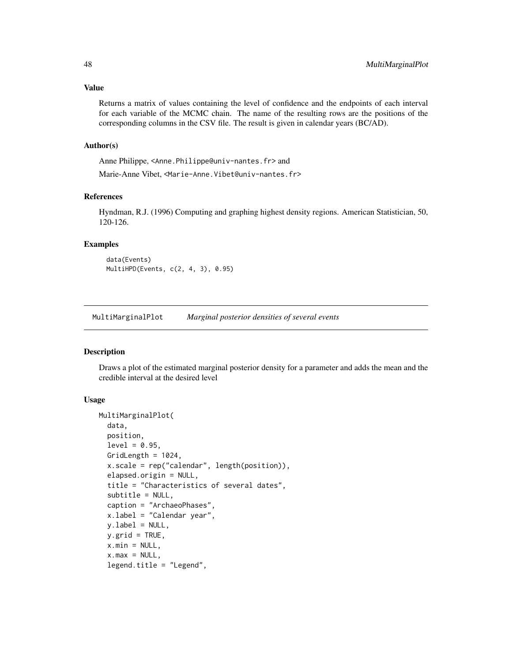Returns a matrix of values containing the level of confidence and the endpoints of each interval for each variable of the MCMC chain. The name of the resulting rows are the positions of the corresponding columns in the CSV file. The result is given in calendar years (BC/AD).

#### Author(s)

Anne Philippe, <Anne.Philippe@univ-nantes.fr> and Marie-Anne Vibet, <Marie-Anne.Vibet@univ-nantes.fr>

#### References

Hyndman, R.J. (1996) Computing and graphing highest density regions. American Statistician, 50, 120-126.

#### Examples

data(Events) MultiHPD(Events, c(2, 4, 3), 0.95)

MultiMarginalPlot *Marginal posterior densities of several events*

#### Description

Draws a plot of the estimated marginal posterior density for a parameter and adds the mean and the credible interval at the desired level

```
MultiMarginalPlot(
  data,
  position,
  level = 0.95,GridLength = 1024,
  x.scale = rep("calendar", length(position)),
  elapsed.origin = NULL,
  title = "Characteristics of several dates",
  subtitle = NULL,
  caption = "ArchaeoPhases",
  x.label = "Calendar year",
  y.label = NULL,
  v.\text{grid} = \text{TRUE}x.min = NULL,x.max = NULL,legend.title = "Legend",
```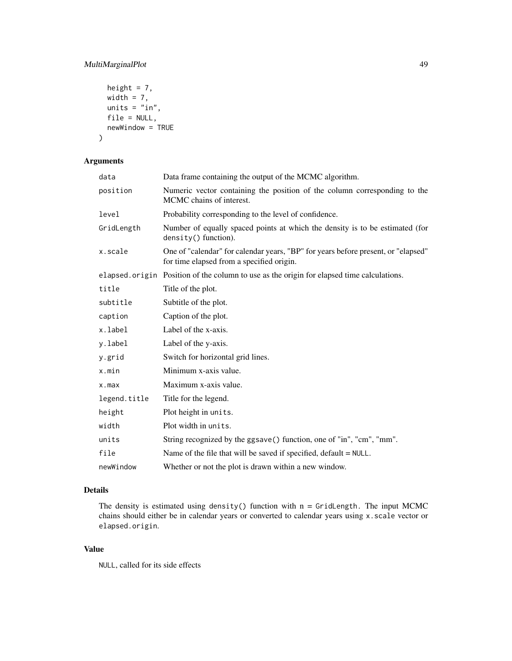## MultiMarginalPlot 49

```
height = 7,
 width = 7,units = "in",file = NULL,
 newWindow = TRUE
)
```
## Arguments

| data         | Data frame containing the output of the MCMC algorithm.                                                                        |  |  |
|--------------|--------------------------------------------------------------------------------------------------------------------------------|--|--|
| position     | Numeric vector containing the position of the column corresponding to the<br>MCMC chains of interest.                          |  |  |
| level        | Probability corresponding to the level of confidence.                                                                          |  |  |
| GridLength   | Number of equally spaced points at which the density is to be estimated (for<br>density() function).                           |  |  |
| x.scale      | One of "calendar" for calendar years, "BP" for years before present, or "elapsed"<br>for time elapsed from a specified origin. |  |  |
|              | elapsed origin Position of the column to use as the origin for elapsed time calculations.                                      |  |  |
| title        | Title of the plot.                                                                                                             |  |  |
| subtitle     | Subtitle of the plot.                                                                                                          |  |  |
| caption      | Caption of the plot.                                                                                                           |  |  |
| x.label      | Label of the x-axis.                                                                                                           |  |  |
| y.label      | Label of the y-axis.                                                                                                           |  |  |
| y.grid       | Switch for horizontal grid lines.                                                                                              |  |  |
| x.min        | Minimum x-axis value.                                                                                                          |  |  |
| $x$ . max    | Maximum x-axis value.                                                                                                          |  |  |
| legend.title | Title for the legend.                                                                                                          |  |  |
| height       | Plot height in units.                                                                                                          |  |  |
| width        | Plot width in units.                                                                                                           |  |  |
| units        | String recognized by the ggsave() function, one of "in", "cm", "mm".                                                           |  |  |
| file         | Name of the file that will be saved if specified, $default = NULL$ .                                                           |  |  |
| newWindow    | Whether or not the plot is drawn within a new window.                                                                          |  |  |

### Details

The density is estimated using density() function with  $n = \text{GridLength}$ . The input MCMC chains should either be in calendar years or converted to calendar years using x.scale vector or elapsed.origin.

## Value

NULL, called for its side effects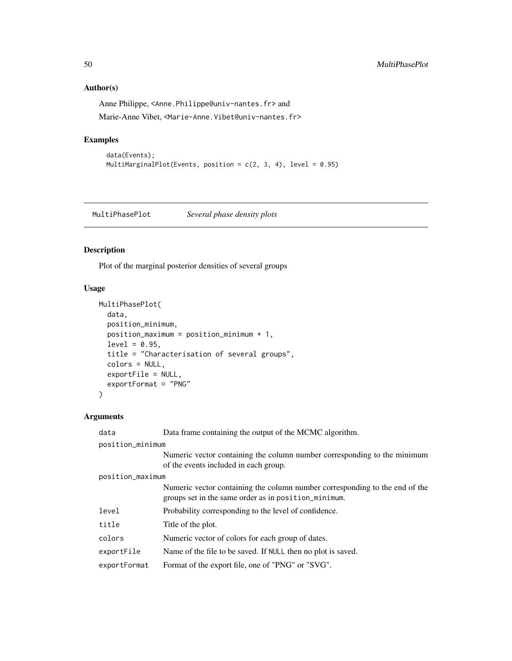## Author(s)

Anne Philippe, <Anne.Philippe@univ-nantes.fr> and Marie-Anne Vibet, <Marie-Anne.Vibet@univ-nantes.fr>

## Examples

```
data(Events);
MultiMarginalPlot(Events, position = c(2, 3, 4), level = 0.95)
```
MultiPhasePlot *Several phase density plots*

## Description

Plot of the marginal posterior densities of several groups

### Usage

```
MultiPhasePlot(
  data,
 position_minimum,
 position_maximum = position_minimum + 1,
  level = 0.95,title = "Characterisation of several groups",
 colors = NULL,
  exportFile = NULL,
  exportFormat = "PNG"
)
```

| data             | Data frame containing the output of the MCMC algorithm.                                                                             |  |
|------------------|-------------------------------------------------------------------------------------------------------------------------------------|--|
| position_minimum |                                                                                                                                     |  |
|                  | Numeric vector containing the column number corresponding to the minimum<br>of the events included in each group.                   |  |
| position_maximum |                                                                                                                                     |  |
|                  | Numeric vector containing the column number corresponding to the end of the<br>groups set in the same order as in position_minimum. |  |
| level            | Probability corresponding to the level of confidence.                                                                               |  |
| title            | Title of the plot.                                                                                                                  |  |
| colors           | Numeric vector of colors for each group of dates.                                                                                   |  |
| exportFile       | Name of the file to be saved. If NULL then no plot is saved.                                                                        |  |
| exportFormat     | Format of the export file, one of "PNG" or "SVG".                                                                                   |  |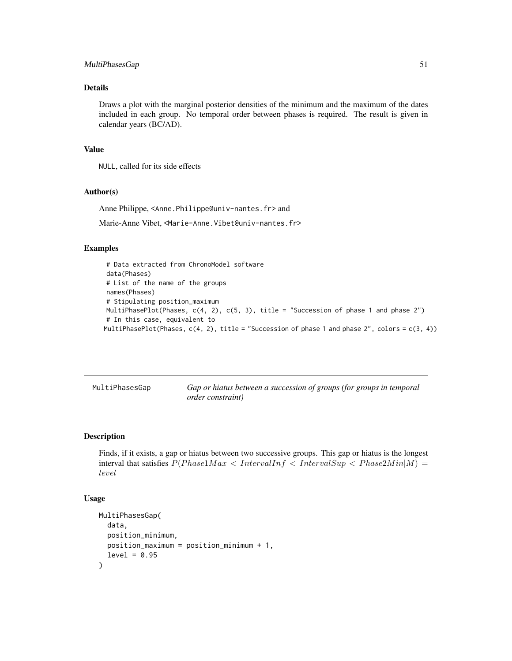## MultiPhasesGap 51

### Details

Draws a plot with the marginal posterior densities of the minimum and the maximum of the dates included in each group. No temporal order between phases is required. The result is given in calendar years (BC/AD).

#### Value

NULL, called for its side effects

### Author(s)

Anne Philippe, <Anne.Philippe@univ-nantes.fr> and

Marie-Anne Vibet, <Marie-Anne.Vibet@univ-nantes.fr>

#### Examples

```
# Data extracted from ChronoModel software
data(Phases)
# List of the name of the groups
names(Phases)
# Stipulating position_maximum
MultiPhasePlot(Phases, c(4, 2), c(5, 3), title = "Succession of phase 1 and phase 2")
# In this case, equivalent to
MultiPhasePlot(Phases, c(4, 2), title = "Succession of phase 1 and phase 2", colors = c(3, 4))
```
MultiPhasesGap *Gap or hiatus between a succession of groups (for groups in temporal order constraint)*

## Description

Finds, if it exists, a gap or hiatus between two successive groups. This gap or hiatus is the longest interval that satisfies  $P(Phase1Max < IntervalInf < IntervalSup < Phase2Min|M)$ level

```
MultiPhasesGap(
  data,
  position_minimum,
  position_maximum = position_minimum + 1,
  level = 0.95)
```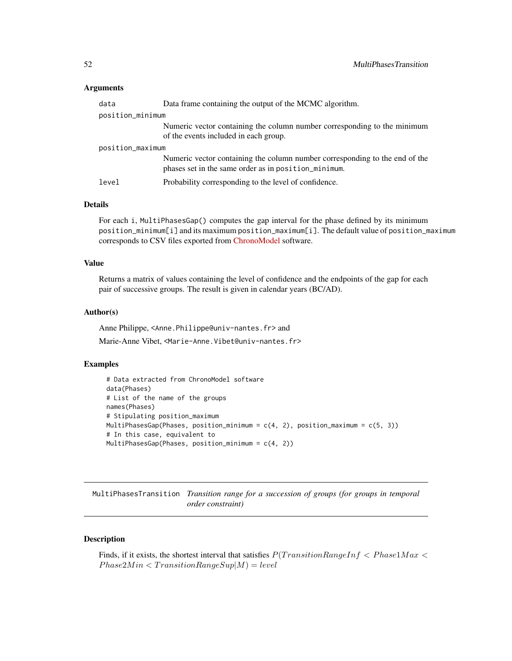#### **Arguments**

| data             | Data frame containing the output of the MCMC algorithm.                                                                             |  |
|------------------|-------------------------------------------------------------------------------------------------------------------------------------|--|
| position_minimum |                                                                                                                                     |  |
|                  | Numeric vector containing the column number corresponding to the minimum<br>of the events included in each group.                   |  |
| position_maximum |                                                                                                                                     |  |
|                  | Numeric vector containing the column number corresponding to the end of the<br>phases set in the same order as in position_minimum. |  |
| level            | Probability corresponding to the level of confidence.                                                                               |  |

#### Details

For each i, MultiPhasesGap() computes the gap interval for the phase defined by its minimum position\_minimum[i] and its maximum position\_maximum[i]. The default value of position\_maximum corresponds to CSV files exported from [ChronoModel](https://chronomodel.com/) software.

### Value

Returns a matrix of values containing the level of confidence and the endpoints of the gap for each pair of successive groups. The result is given in calendar years (BC/AD).

#### Author(s)

Anne Philippe, <Anne.Philippe@univ-nantes.fr> and

Marie-Anne Vibet, <Marie-Anne.Vibet@univ-nantes.fr>

#### Examples

```
# Data extracted from ChronoModel software
data(Phases)
# List of the name of the groups
names(Phases)
# Stipulating position_maximum
MultiPhasesGap(Phases, position_minimum = c(4, 2), position_maximum = c(5, 3))
# In this case, equivalent to
MultiPhasesGap(Phases, position_minimum = c(4, 2))
```
MultiPhasesTransition *Transition range for a succession of groups (for groups in temporal order constraint)*

#### Description

Finds, if it exists, the shortest interval that satisfies  $P(TransitionRangeInf < Phase1Max <$  $Phase 2Min < Translation Range Sup|M) = level$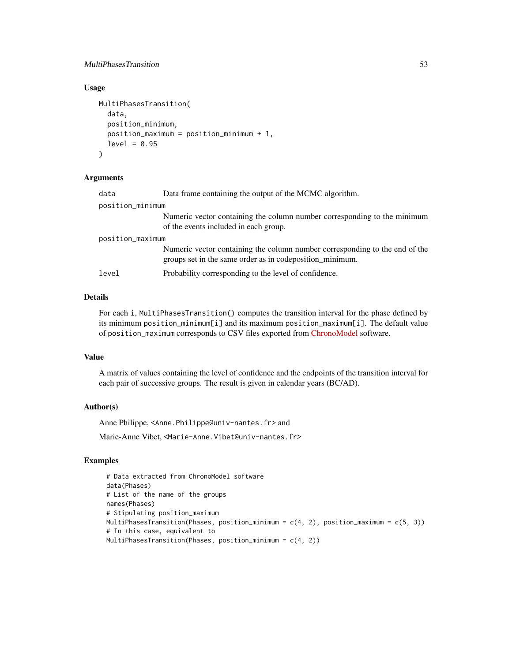#### MultiPhasesTransition 53

## Usage

```
MultiPhasesTransition(
  data,
  position_minimum,
  position_maximum = position_minimum + 1,
  level = 0.95)
```
#### Arguments

| data             | Data frame containing the output of the MCMC algorithm.                                                                                 |  |
|------------------|-----------------------------------------------------------------------------------------------------------------------------------------|--|
| position_minimum |                                                                                                                                         |  |
|                  | Numeric vector containing the column number corresponding to the minimum<br>of the events included in each group.                       |  |
| position_maximum |                                                                                                                                         |  |
|                  | Numeric vector containing the column number corresponding to the end of the<br>groups set in the same order as in codeposition minimum. |  |
| level            | Probability corresponding to the level of confidence.                                                                                   |  |

#### Details

For each i, MultiPhasesTransition() computes the transition interval for the phase defined by its minimum position\_minimum[i] and its maximum position\_maximum[i]. The default value of position\_maximum corresponds to CSV files exported from [ChronoModel](https://chronomodel.com/) software.

#### Value

A matrix of values containing the level of confidence and the endpoints of the transition interval for each pair of successive groups. The result is given in calendar years (BC/AD).

#### Author(s)

Anne Philippe, <Anne.Philippe@univ-nantes.fr> and Marie-Anne Vibet, <Marie-Anne. Vibet@univ-nantes.fr>

#### Examples

```
# Data extracted from ChronoModel software
data(Phases)
# List of the name of the groups
names(Phases)
# Stipulating position_maximum
MultiPhasesTransition(Phases, position_minimum = c(4, 2), position_maximum = c(5, 3))
# In this case, equivalent to
MultiPhasesTransition(Phases, position_minimum = c(4, 2))
```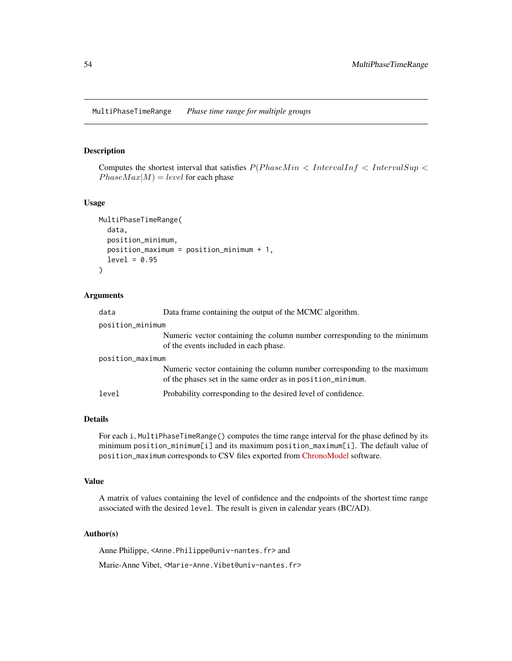### Description

Computes the shortest interval that satisfies  $P(Phase Min < IntervalInf < IntervalSup <$  $Phase Max|M$  = level for each phase

#### Usage

```
MultiPhaseTimeRange(
  data,
  position_minimum,
 position_maximum = position_minimum + 1,
  level = 0.95)
```
#### Arguments

| data             | Data frame containing the output of the MCMC algorithm.                                                                                 |  |
|------------------|-----------------------------------------------------------------------------------------------------------------------------------------|--|
| position_minimum |                                                                                                                                         |  |
|                  | Numeric vector containing the column number corresponding to the minimum<br>of the events included in each phase.                       |  |
| position_maximum |                                                                                                                                         |  |
|                  | Numeric vector containing the column number corresponding to the maximum<br>of the phases set in the same order as in position minimum. |  |
| level            | Probability corresponding to the desired level of confidence.                                                                           |  |

#### Details

For each i, MultiPhaseTimeRange() computes the time range interval for the phase defined by its minimum position\_minimum[i] and its maximum position\_maximum[i]. The default value of position\_maximum corresponds to CSV files exported from [ChronoModel](https://chronomodel.com/) software.

#### Value

A matrix of values containing the level of confidence and the endpoints of the shortest time range associated with the desired level. The result is given in calendar years (BC/AD).

### Author(s)

Anne Philippe, <Anne.Philippe@univ-nantes.fr> and

Marie-Anne Vibet, <Marie-Anne.Vibet@univ-nantes.fr>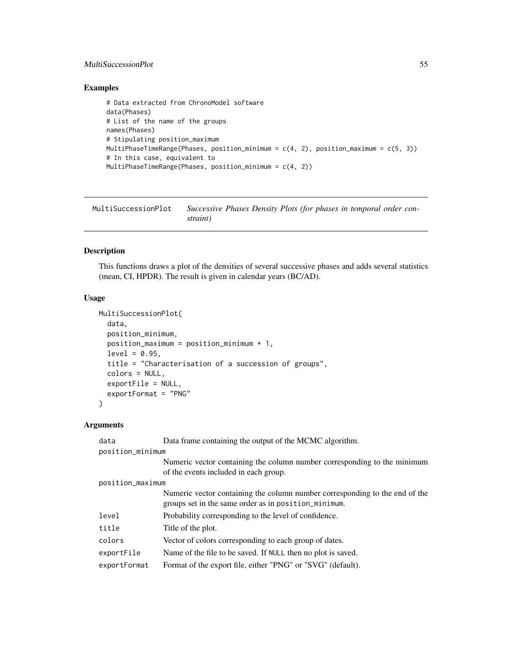## MultiSuccessionPlot 55

## Examples

```
# Data extracted from ChronoModel software
data(Phases)
# List of the name of the groups
names(Phases)
# Stipulating position_maximum
MultiPhaseTimeRange(Phases, position_minimum = c(4, 2), position_maximum = c(5, 3))
# In this case, equivalent to
MultiPhaseTimeRange(Phases, position_minimum = c(4, 2))
```
MultiSuccessionPlot *Successive Phases Density Plots (for phases in temporal order constraint)*

#### Description

This functions draws a plot of the densities of several successive phases and adds several statistics (mean, CI, HPDR). The result is given in calendar years (BC/AD).

### Usage

```
MultiSuccessionPlot(
  data,
  position_minimum,
  position_maximum = position_minimum + 1,
  level = 0.95,title = "Characterisation of a succession of groups",
  colors = NULL,
  exportFile = NULL,
  exportFormat = "PNG"
\mathcal{L}
```

| data             | Data frame containing the output of the MCMC algorithm.                                                                             |  |
|------------------|-------------------------------------------------------------------------------------------------------------------------------------|--|
| position_minimum |                                                                                                                                     |  |
|                  | Numeric vector containing the column number corresponding to the minimum<br>of the events included in each group.                   |  |
| position_maximum |                                                                                                                                     |  |
|                  | Numeric vector containing the column number corresponding to the end of the<br>groups set in the same order as in position_minimum. |  |
| level            | Probability corresponding to the level of confidence.                                                                               |  |
| title            | Title of the plot.                                                                                                                  |  |
| colors           | Vector of colors corresponding to each group of dates.                                                                              |  |
| exportFile       | Name of the file to be saved. If NULL then no plot is saved.                                                                        |  |
| exportFormat     | Format of the export file, either "PNG" or "SVG" (default).                                                                         |  |
|                  |                                                                                                                                     |  |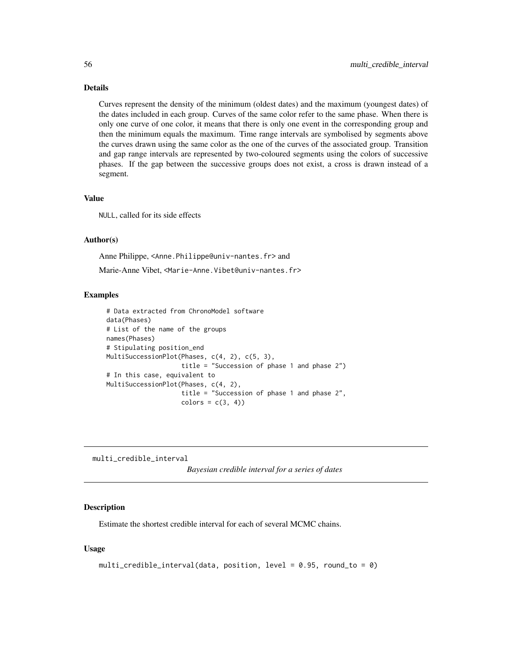## Details

Curves represent the density of the minimum (oldest dates) and the maximum (youngest dates) of the dates included in each group. Curves of the same color refer to the same phase. When there is only one curve of one color, it means that there is only one event in the corresponding group and then the minimum equals the maximum. Time range intervals are symbolised by segments above the curves drawn using the same color as the one of the curves of the associated group. Transition and gap range intervals are represented by two-coloured segments using the colors of successive phases. If the gap between the successive groups does not exist, a cross is drawn instead of a segment.

#### Value

NULL, called for its side effects

#### Author(s)

Anne Philippe, <Anne.Philippe@univ-nantes.fr> and Marie-Anne Vibet, <Marie-Anne.Vibet@univ-nantes.fr>

#### Examples

```
# Data extracted from ChronoModel software
data(Phases)
# List of the name of the groups
names(Phases)
# Stipulating position_end
MultiSuccessionPlot(Phases, c(4, 2), c(5, 3),
                    title = "Succession of phase 1 and phase 2")
# In this case, equivalent to
MultiSuccessionPlot(Phases, c(4, 2),
                    title = "Succession of phase 1 and phase 2",
                    colors = c(3, 4)
```
multi\_credible\_interval *Bayesian credible interval for a series of dates*

#### Description

Estimate the shortest credible interval for each of several MCMC chains.

```
multi_credible_interval(data, position, level = 0.95, round_to = 0)
```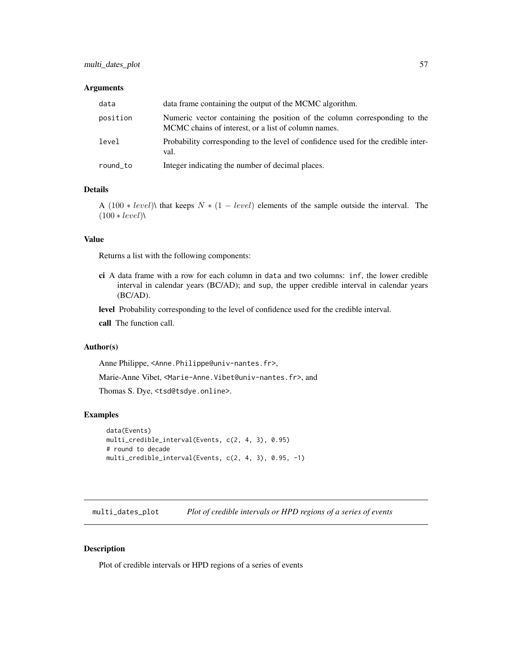#### **Arguments**

| data     | data frame containing the output of the MCMC algorithm.                                                                          |
|----------|----------------------------------------------------------------------------------------------------------------------------------|
| position | Numeric vector containing the position of the column corresponding to the<br>MCMC chains of interest, or a list of column names. |
| level    | Probability corresponding to the level of confidence used for the credible inter-<br>val.                                        |
| round to | Integer indicating the number of decimal places.                                                                                 |

#### Details

A (100 \* level)\ that keeps  $N * (1 - level)$  elements of the sample outside the interval. The  $(100 * level)$ 

## Value

Returns a list with the following components:

ci A data frame with a row for each column in data and two columns: inf, the lower credible interval in calendar years (BC/AD); and sup, the upper credible interval in calendar years (BC/AD).

level Probability corresponding to the level of confidence used for the credible interval.

call The function call.

## Author(s)

Anne Philippe, <Anne.Philippe@univ-nantes.fr>,

Marie-Anne Vibet, <Marie-Anne.Vibet@univ-nantes.fr>, and

Thomas S. Dye, <tsd@tsdye.online>.

#### Examples

```
data(Events)
multi_credible_interval(Events, c(2, 4, 3), 0.95)
# round to decade
multi_credible_interval(Events, c(2, 4, 3), 0.95, -1)
```
multi\_dates\_plot *Plot of credible intervals or HPD regions of a series of events*

#### Description

Plot of credible intervals or HPD regions of a series of events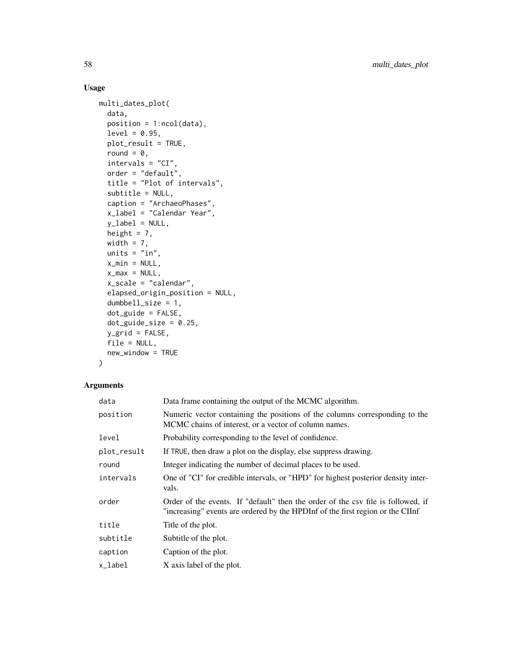## Usage

```
multi_dates_plot(
 data,
 position = 1:ncol(data),
  level = 0.95,plot_result = TRUE,
 round = 0,
  intervals = "CI",
  order = "default",
  title = "Plot of intervals",
  subtitle = NULL,
 caption = "ArchaeoPhases",
  x_label = "Calendar Year",
 y<sup>l</sup>abel = NULL,
 height = 7,width = 7,units = "in",x_{min} = NULL,x_max = NULL,x_scale = "calendar",
  elapsed_origin_position = NULL,
  dumbbell_size = 1,
  dot_guide = FALSE,
  dot_guide_size = 0.25,
 y_grid = FALSE,file = NULL,
 new_window = TRUE
\mathcal{L}
```

| data        | Data frame containing the output of the MCMC algorithm.                                                                                                            |  |
|-------------|--------------------------------------------------------------------------------------------------------------------------------------------------------------------|--|
| position    | Numeric vector containing the positions of the columns corresponding to the<br>MCMC chains of interest, or a vector of column names.                               |  |
| level       | Probability corresponding to the level of confidence.                                                                                                              |  |
| plot_result | If TRUE, then draw a plot on the display, else suppress drawing.                                                                                                   |  |
| round       | Integer indicating the number of decimal places to be used.                                                                                                        |  |
| intervals   | One of "CI" for credible intervals, or "HPD" for highest posterior density inter-<br>vals.                                                                         |  |
| order       | Order of the events. If "default" then the order of the csy file is followed, if<br>"increasing" events are ordered by the HPDInf of the first region or the CIInf |  |
| title       | Title of the plot.                                                                                                                                                 |  |
| subtitle    | Subtitle of the plot.                                                                                                                                              |  |
| caption     | Caption of the plot.                                                                                                                                               |  |
| x_label     | X axis label of the plot.                                                                                                                                          |  |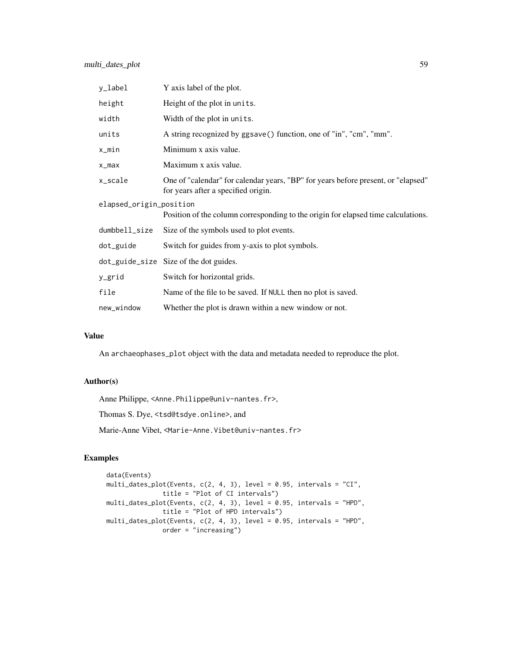| y_label                                                                                                      | Y axis label of the plot.                                                                                                |  |
|--------------------------------------------------------------------------------------------------------------|--------------------------------------------------------------------------------------------------------------------------|--|
| height                                                                                                       | Height of the plot in units.                                                                                             |  |
| width                                                                                                        | Width of the plot in units.                                                                                              |  |
| units                                                                                                        | A string recognized by ggsave() function, one of "in", "cm", "mm".                                                       |  |
| x_min                                                                                                        | Minimum x axis value.                                                                                                    |  |
| $x_{max}$                                                                                                    | Maximum x axis value.                                                                                                    |  |
| x_scale                                                                                                      | One of "calendar" for calendar years, "BP" for years before present, or "elapsed"<br>for years after a specified origin. |  |
| elapsed_origin_position<br>Position of the column corresponding to the origin for elapsed time calculations. |                                                                                                                          |  |
| dumbbell_size                                                                                                | Size of the symbols used to plot events.                                                                                 |  |
| dot_guide                                                                                                    | Switch for guides from y-axis to plot symbols.                                                                           |  |
|                                                                                                              | dot_guide_size Size of the dot guides.                                                                                   |  |
| y_grid                                                                                                       | Switch for horizontal grids.                                                                                             |  |
| file                                                                                                         | Name of the file to be saved. If NULL then no plot is saved.                                                             |  |
| new_window                                                                                                   | Whether the plot is drawn within a new window or not.                                                                    |  |

## Value

An archaeophases\_plot object with the data and metadata needed to reproduce the plot.

## Author(s)

Anne Philippe, <Anne.Philippe@univ-nantes.fr>,

Thomas S. Dye, <tsd@tsdye.online>, and

Marie-Anne Vibet, <Marie-Anne.Vibet@univ-nantes.fr>

## Examples

```
data(Events)
multi_dates_plot(Events, c(2, 4, 3), level = 0.95, intervals = "CI",
               title = "Plot of CI intervals")
multi_dates_plot(Events, c(2, 4, 3), level = 0.95, intervals = "HPD",
               title = "Plot of HPD intervals")
multi_dates_plot(Events, c(2, 4, 3), level = 0.95, intervals = "HPD",
              order = "increasing")
```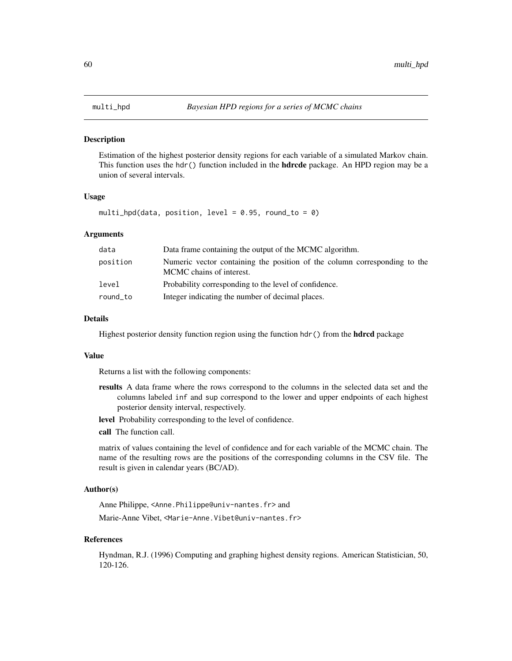#### Description

Estimation of the highest posterior density regions for each variable of a simulated Markov chain. This function uses the hdr() function included in the **hdrcde** package. An HPD region may be a union of several intervals.

#### Usage

multi\_hpd(data, position, level =  $0.95$ , round\_to =  $0$ )

## Arguments

| data     | Data frame containing the output of the MCMC algorithm.                                               |  |
|----------|-------------------------------------------------------------------------------------------------------|--|
| position | Numeric vector containing the position of the column corresponding to the<br>MCMC chains of interest. |  |
| level    | Probability corresponding to the level of confidence.                                                 |  |
| round_to | Integer indicating the number of decimal places.                                                      |  |

## Details

Highest posterior density function region using the function hdr() from the **hdrcd** package

#### Value

Returns a list with the following components:

- results A data frame where the rows correspond to the columns in the selected data set and the columns labeled inf and sup correspond to the lower and upper endpoints of each highest posterior density interval, respectively.
- level Probability corresponding to the level of confidence.
- call The function call.

matrix of values containing the level of confidence and for each variable of the MCMC chain. The name of the resulting rows are the positions of the corresponding columns in the CSV file. The result is given in calendar years (BC/AD).

### Author(s)

Anne Philippe, <Anne.Philippe@univ-nantes.fr> and

Marie-Anne Vibet, <Marie-Anne.Vibet@univ-nantes.fr>

#### References

Hyndman, R.J. (1996) Computing and graphing highest density regions. American Statistician, 50, 120-126.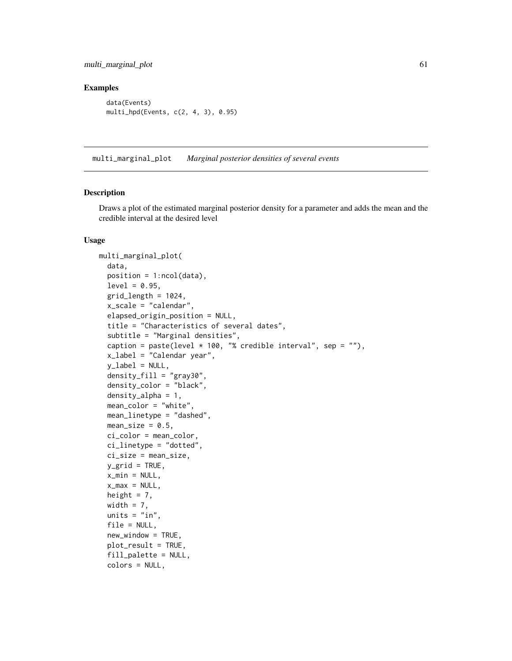## Examples

```
data(Events)
multi_hpd(Events, c(2, 4, 3), 0.95)
```
multi\_marginal\_plot *Marginal posterior densities of several events*

#### Description

Draws a plot of the estimated marginal posterior density for a parameter and adds the mean and the credible interval at the desired level

```
multi_marginal_plot(
  data,
  position = 1:ncol(data),
  level = 0.95,
  grid_length = 1024,
  x_scale = "calendar",
  elapsed_origin_position = NULL,
  title = "Characteristics of several dates",
  subtitle = "Marginal densities",
  caption = paste(level * 100, "% credible interval", sep = ""),
  x_label = "Calendar year",
  y<sup>-</sup>label = NULL,
  density_fill = "gray30",
  density_color = "black",
  density_alpha = 1,
  mean_color = "white",
  mean_linetype = "dashed",
  mean_size = 0.5,
  ci_color = mean_color,
  ci_linetype = "dotted",
  ci_size = mean_size,
  y_grid = TRUE,
  x_min = NULL,
  x_max = NULL,height = 7,
  width = 7,units = "in".
  file = NULL,
  new_window = TRUE,
  plot_result = TRUE,
  fill_palette = NULL,
  colors = NULL,
```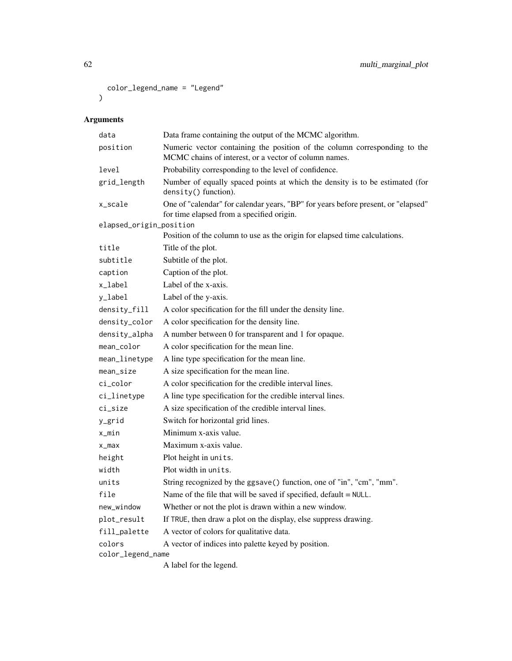```
color_legend_name = "Legend"
\mathcal{L}
```

| data                    | Data frame containing the output of the MCMC algorithm.                                                                            |  |
|-------------------------|------------------------------------------------------------------------------------------------------------------------------------|--|
| position                | Numeric vector containing the position of the column corresponding to the<br>MCMC chains of interest, or a vector of column names. |  |
| level                   | Probability corresponding to the level of confidence.                                                                              |  |
| grid_length             | Number of equally spaced points at which the density is to be estimated (for<br>density() function).                               |  |
| x_scale                 | One of "calendar" for calendar years, "BP" for years before present, or "elapsed"<br>for time elapsed from a specified origin.     |  |
| elapsed_origin_position |                                                                                                                                    |  |
|                         | Position of the column to use as the origin for elapsed time calculations.                                                         |  |
| title                   | Title of the plot.                                                                                                                 |  |
| subtitle                | Subtitle of the plot.                                                                                                              |  |
| caption                 | Caption of the plot.                                                                                                               |  |
| x_label                 | Label of the x-axis.                                                                                                               |  |
| y_label                 | Label of the y-axis.                                                                                                               |  |
| density_fill            | A color specification for the fill under the density line.                                                                         |  |
| density_color           | A color specification for the density line.                                                                                        |  |
| density_alpha           | A number between 0 for transparent and 1 for opaque.                                                                               |  |
| mean color              | A color specification for the mean line.                                                                                           |  |
| mean_linetype           | A line type specification for the mean line.                                                                                       |  |
| mean_size               | A size specification for the mean line.                                                                                            |  |
| ci_color                | A color specification for the credible interval lines.                                                                             |  |
| ci_linetype             | A line type specification for the credible interval lines.                                                                         |  |
| ci_size                 | A size specification of the credible interval lines.                                                                               |  |
| y_grid                  | Switch for horizontal grid lines.                                                                                                  |  |
| x_min                   | Minimum x-axis value.                                                                                                              |  |
| $x_{max}$               | Maximum x-axis value.                                                                                                              |  |
| height                  | Plot height in units.                                                                                                              |  |
| width                   | Plot width in units.                                                                                                               |  |
| units                   | String recognized by the ggsave() function, one of "in", "cm", "mm".                                                               |  |
| file                    | Name of the file that will be saved if specified, $default = NULL$ .                                                               |  |
| new_window              | Whether or not the plot is drawn within a new window.                                                                              |  |
| plot_result             | If TRUE, then draw a plot on the display, else suppress drawing.                                                                   |  |
| fill_palette            | A vector of colors for qualitative data.                                                                                           |  |
| colors                  | A vector of indices into palette keyed by position.                                                                                |  |
| color_legend_name       |                                                                                                                                    |  |
|                         | A label for the legend.                                                                                                            |  |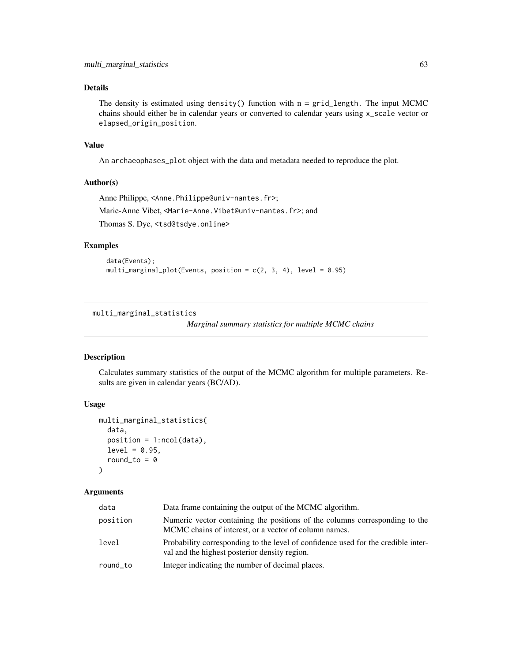## Details

The density is estimated using density() function with  $n = grid_length$ . The input MCMC chains should either be in calendar years or converted to calendar years using x\_scale vector or elapsed\_origin\_position.

#### Value

An archaeophases\_plot object with the data and metadata needed to reproduce the plot.

#### Author(s)

```
Anne Philippe, <Anne.Philippe@univ-nantes.fr>;
Marie-Anne Vibet, <Marie-Anne.Vibet@univ-nantes.fr>; and
Thomas S. Dye, <tsd@tsdye.online>
```
#### Examples

```
data(Events);
multi_marginal_plot(Events, position = c(2, 3, 4), level = 0.95)
```
multi\_marginal\_statistics

*Marginal summary statistics for multiple MCMC chains*

### Description

Calculates summary statistics of the output of the MCMC algorithm for multiple parameters. Results are given in calendar years (BC/AD).

## Usage

```
multi_marginal_statistics(
  data,
  position = 1:ncol(data),
  level = 0.95,round_to = \theta\lambda
```

| data     | Data frame containing the output of the MCMC algorithm.                                                                              |  |
|----------|--------------------------------------------------------------------------------------------------------------------------------------|--|
| position | Numeric vector containing the positions of the columns corresponding to the<br>MCMC chains of interest, or a vector of column names. |  |
| level    | Probability corresponding to the level of confidence used for the credible inter-<br>val and the highest posterior density region.   |  |
| round_to | Integer indicating the number of decimal places.                                                                                     |  |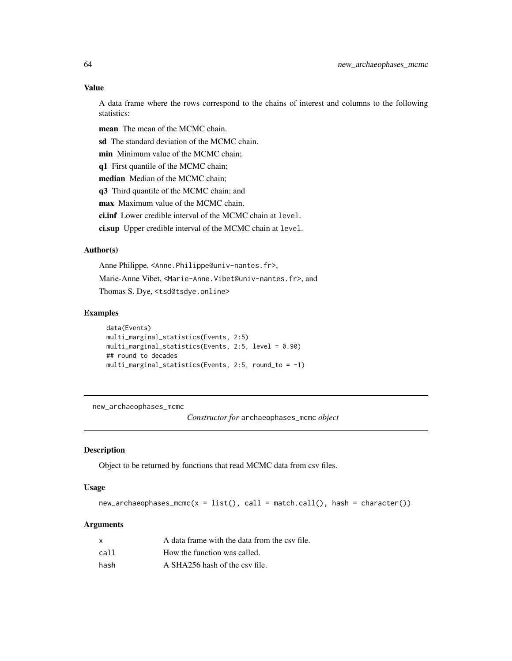#### Value

A data frame where the rows correspond to the chains of interest and columns to the following statistics:

mean The mean of the MCMC chain.

sd The standard deviation of the MCMC chain.

min Minimum value of the MCMC chain;

q1 First quantile of the MCMC chain;

median Median of the MCMC chain;

q3 Third quantile of the MCMC chain; and

max Maximum value of the MCMC chain.

ci.inf Lower credible interval of the MCMC chain at level.

ci.sup Upper credible interval of the MCMC chain at level.

#### Author(s)

Anne Philippe, <Anne.Philippe@univ-nantes.fr>, Marie-Anne Vibet, <Marie-Anne.Vibet@univ-nantes.fr>, and Thomas S. Dye, <tsd@tsdye.online>

#### Examples

```
data(Events)
multi_marginal_statistics(Events, 2:5)
multi_marginal_statistics(Events, 2:5, level = 0.90)
## round to decades
multi_marginal_statistics(Events, 2:5, round_to = -1)
```
new\_archaeophases\_mcmc

*Constructor for* archaeophases\_mcmc *object*

### Description

Object to be returned by functions that read MCMC data from csv files.

#### Usage

 $new_archaeophases_mcmc(x = list(), call = match.call(), hash = character())$ 

|      | A data frame with the data from the csy file. |
|------|-----------------------------------------------|
| call | How the function was called.                  |
| hash | A SHA256 hash of the csy file.                |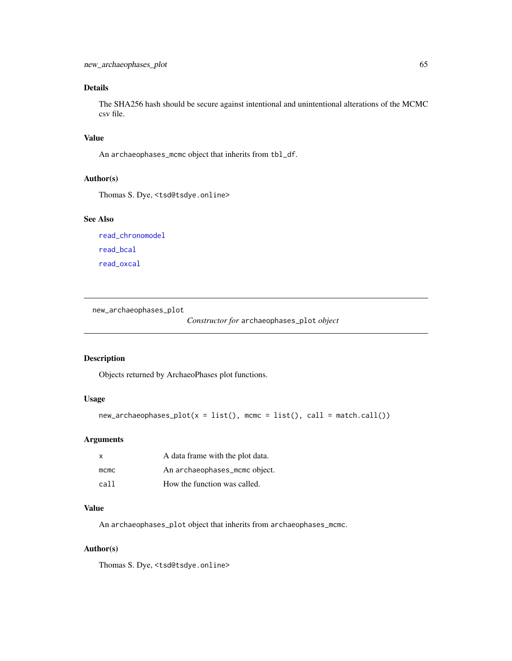## Details

The SHA256 hash should be secure against intentional and unintentional alterations of the MCMC csv file.

## Value

An archaeophases\_mcmc object that inherits from tbl\_df.

### Author(s)

Thomas S. Dye, <tsd@tsdye.online>

### See Also

[read\\_chronomodel](#page-83-0) [read\\_bcal](#page-82-0) [read\\_oxcal](#page-84-0)

new\_archaeophases\_plot

*Constructor for* archaeophases\_plot *object*

## Description

Objects returned by ArchaeoPhases plot functions.

## Usage

new\_archaeophases\_plot(x = list(), mcmc = list(), call = match.call())

## Arguments

| X    | A data frame with the plot data. |
|------|----------------------------------|
| mcmc | An archaeophases_mcmc object.    |
| call | How the function was called.     |

## Value

An archaeophases\_plot object that inherits from archaeophases\_mcmc.

## Author(s)

Thomas S. Dye, <tsd@tsdye.online>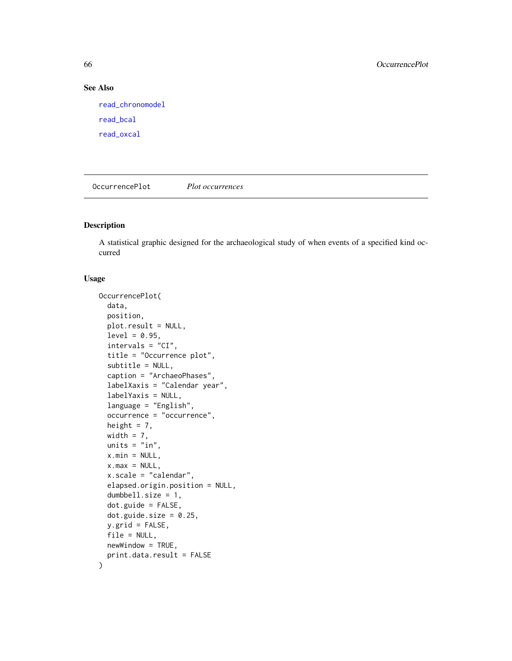### See Also

[read\\_chronomodel](#page-83-0) [read\\_bcal](#page-82-0) [read\\_oxcal](#page-84-0)

OccurrencePlot *Plot occurrences*

## Description

A statistical graphic designed for the archaeological study of when events of a specified kind occurred

```
OccurrencePlot(
  data,
  position,
  plot.result = NULL,
  level = 0.95,intervals = "CI".title = "Occurrence plot",
  subtitle = NULL,
  caption = "ArchaeoPhases",
  labelXaxis = "Calendar year",
  labelYaxis = NULL,
  language = "English",
  occurrence = "occurrence",
  height = 7,width = 7,
  units = "in",x.min = NULL,x.max = NULL,x.scale = "calendar",
  elapsed.origin.position = NULL,
  dumbbell.size = 1,
  dot.guide = FALSE,
  dot.guide.size = 0.25,
  y.grid = FALSE,file = NULL,
  newWindow = TRUE,
  print.data.result = FALSE
\mathcal{E}
```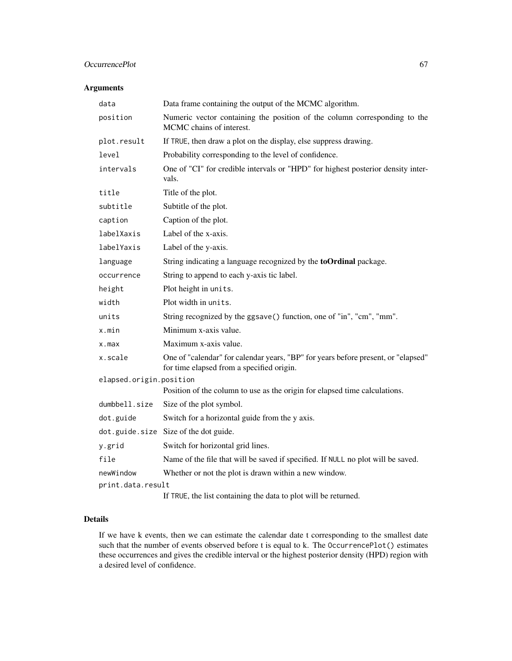## OccurrencePlot 67

## Arguments

| data                    | Data frame containing the output of the MCMC algorithm.                                                                        |
|-------------------------|--------------------------------------------------------------------------------------------------------------------------------|
|                         |                                                                                                                                |
| position                | Numeric vector containing the position of the column corresponding to the<br>MCMC chains of interest.                          |
| plot.result             | If TRUE, then draw a plot on the display, else suppress drawing.                                                               |
| level                   | Probability corresponding to the level of confidence.                                                                          |
| intervals               | One of "CI" for credible intervals or "HPD" for highest posterior density inter-<br>vals.                                      |
| title                   | Title of the plot.                                                                                                             |
| subtitle                | Subtitle of the plot.                                                                                                          |
| caption                 | Caption of the plot.                                                                                                           |
| labelXaxis              | Label of the x-axis.                                                                                                           |
| labelYaxis              | Label of the y-axis.                                                                                                           |
| language                | String indicating a language recognized by the <b>toOrdinal</b> package.                                                       |
| occurrence              | String to append to each y-axis tic label.                                                                                     |
| height                  | Plot height in units.                                                                                                          |
| width                   | Plot width in units.                                                                                                           |
| units                   | String recognized by the ggsave() function, one of "in", "cm", "mm".                                                           |
| x.min                   | Minimum x-axis value.                                                                                                          |
| $x$ . max               | Maximum x-axis value.                                                                                                          |
| x.scale                 | One of "calendar" for calendar years, "BP" for years before present, or "elapsed"<br>for time elapsed from a specified origin. |
| elapsed.origin.position |                                                                                                                                |
|                         | Position of the column to use as the origin for elapsed time calculations.                                                     |
| dumbbell.size           | Size of the plot symbol.                                                                                                       |
| dot.guide               | Switch for a horizontal guide from the y axis.                                                                                 |
|                         | dot.guide.size Size of the dot guide.                                                                                          |
| y.grid                  | Switch for horizontal grid lines.                                                                                              |
| file                    | Name of the file that will be saved if specified. If NULL no plot will be saved.                                               |
| newWindow               | Whether or not the plot is drawn within a new window.                                                                          |
| print.data.result       |                                                                                                                                |
|                         | If TRUE, the list containing the data to plot will be returned.                                                                |

## Details

If we have k events, then we can estimate the calendar date t corresponding to the smallest date such that the number of events observed before t is equal to k. The OccurrencePlot() estimates these occurrences and gives the credible interval or the highest posterior density (HPD) region with a desired level of confidence.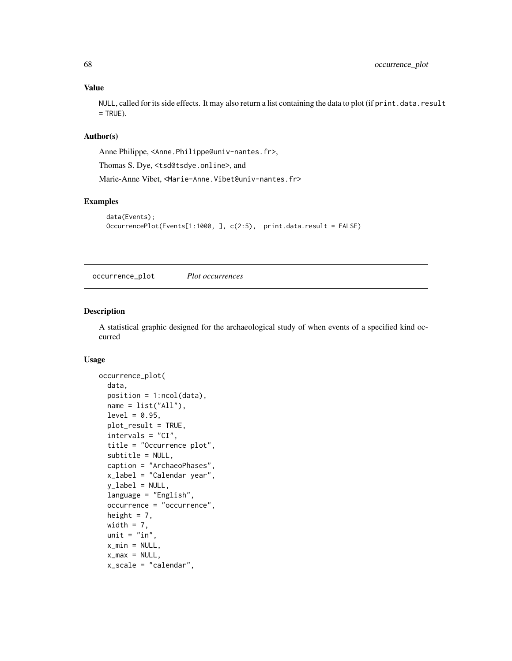NULL, called for its side effects. It may also return a list containing the data to plot (if print.data.result  $=$  TRUE).

#### Author(s)

Anne Philippe, <Anne.Philippe@univ-nantes.fr>,

Thomas S. Dye, <tsd@tsdye.online>, and

Marie-Anne Vibet, <Marie-Anne.Vibet@univ-nantes.fr>

### Examples

```
data(Events);
OccurrencePlot(Events[1:1000, ], c(2:5), print.data.result = FALSE)
```
occurrence\_plot *Plot occurrences*

## Description

A statistical graphic designed for the archaeological study of when events of a specified kind occurred

```
occurrence_plot(
  data,
  position = 1:ncol(data),
  name = list("All"),level = 0.95,plot_result = TRUE,
  intervals = "CI",
  title = "Occurrence plot",
  subtitle = NULL,
  caption = "ArchaeoPhases",
  x_label = "Calendar year",
  y<sup>l</sup>abel = NULL,
  language = "English",
  occurrence = "occurrence",
  height = 7,
 width = 7,
  unit = "in",
  x_{min} = NULL,x_max = NULL,x_scale = "calendar",
```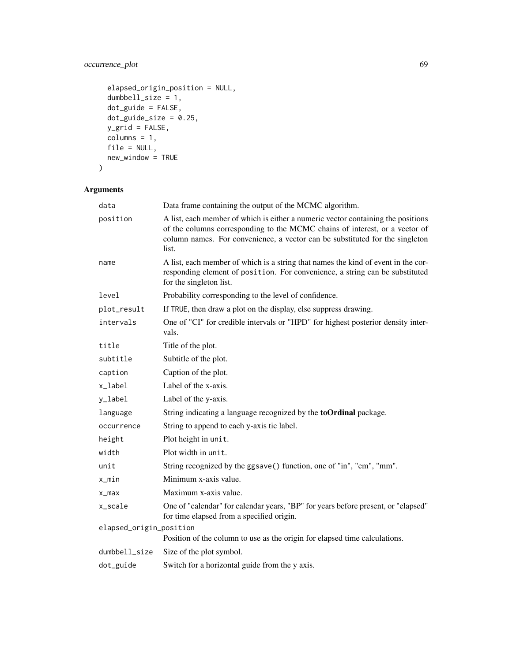## occurrence\_plot 69

```
elapsed_origin_position = NULL,
dumbbell_size = 1,
dot_guide = FALSE,
dot_guide_size = 0.25,
y_grid = FALSE,
columns = 1,file = NULL,
new_window = TRUE
```

```
\mathcal{L}
```

| data                    | Data frame containing the output of the MCMC algorithm.                                                                                                                                                                                                  |
|-------------------------|----------------------------------------------------------------------------------------------------------------------------------------------------------------------------------------------------------------------------------------------------------|
| position                | A list, each member of which is either a numeric vector containing the positions<br>of the columns corresponding to the MCMC chains of interest, or a vector of<br>column names. For convenience, a vector can be substituted for the singleton<br>list. |
| name                    | A list, each member of which is a string that names the kind of event in the cor-<br>responding element of position. For convenience, a string can be substituted<br>for the singleton list.                                                             |
| level                   | Probability corresponding to the level of confidence.                                                                                                                                                                                                    |
| plot_result             | If TRUE, then draw a plot on the display, else suppress drawing.                                                                                                                                                                                         |
| intervals               | One of "CI" for credible intervals or "HPD" for highest posterior density inter-<br>vals.                                                                                                                                                                |
| title                   | Title of the plot.                                                                                                                                                                                                                                       |
| subtitle                | Subtitle of the plot.                                                                                                                                                                                                                                    |
| caption                 | Caption of the plot.                                                                                                                                                                                                                                     |
| x_label                 | Label of the x-axis.                                                                                                                                                                                                                                     |
| y_label                 | Label of the y-axis.                                                                                                                                                                                                                                     |
| language                | String indicating a language recognized by the <b>toOrdinal</b> package.                                                                                                                                                                                 |
| occurrence              | String to append to each y-axis tic label.                                                                                                                                                                                                               |
| height                  | Plot height in unit.                                                                                                                                                                                                                                     |
| width                   | Plot width in unit.                                                                                                                                                                                                                                      |
| unit                    | String recognized by the ggsave() function, one of "in", "cm", "mm".                                                                                                                                                                                     |
| x_min                   | Minimum x-axis value.                                                                                                                                                                                                                                    |
| $x_{max}$               | Maximum x-axis value.                                                                                                                                                                                                                                    |
| x_scale                 | One of "calendar" for calendar years, "BP" for years before present, or "elapsed"<br>for time elapsed from a specified origin.                                                                                                                           |
| elapsed_origin_position |                                                                                                                                                                                                                                                          |
|                         | Position of the column to use as the origin for elapsed time calculations.                                                                                                                                                                               |
| dumbbell_size           | Size of the plot symbol.                                                                                                                                                                                                                                 |
| dot_guide               | Switch for a horizontal guide from the y axis.                                                                                                                                                                                                           |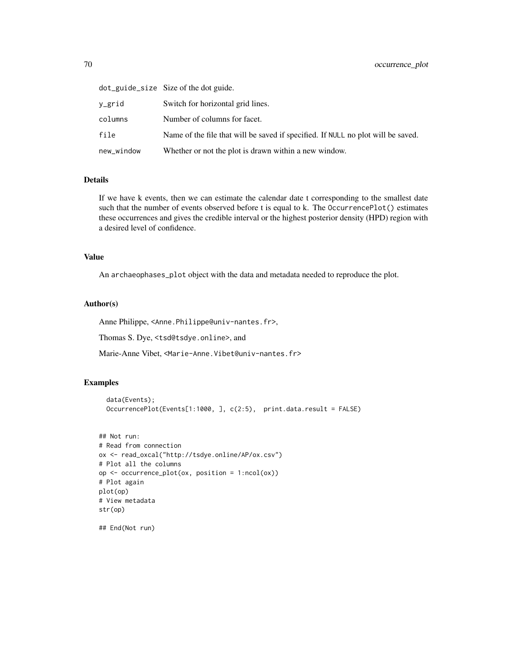|            | dot_guide_size Size of the dot guide.                                            |
|------------|----------------------------------------------------------------------------------|
| v_grid     | Switch for horizontal grid lines.                                                |
| columns    | Number of columns for facet.                                                     |
| file       | Name of the file that will be saved if specified. If NULL no plot will be saved. |
| new_window | Whether or not the plot is drawn within a new window.                            |

## Details

If we have k events, then we can estimate the calendar date t corresponding to the smallest date such that the number of events observed before t is equal to k. The OccurrencePlot() estimates these occurrences and gives the credible interval or the highest posterior density (HPD) region with a desired level of confidence.

## Value

An archaeophases\_plot object with the data and metadata needed to reproduce the plot.

#### Author(s)

Anne Philippe, <Anne.Philippe@univ-nantes.fr>,

Thomas S. Dye, <tsd@tsdye.online>, and

Marie-Anne Vibet, <Marie-Anne.Vibet@univ-nantes.fr>

## Examples

```
data(Events);
OccurrencePlot(Events[1:1000, ], c(2:5), print.data.result = FALSE)
```

```
## Not run:
# Read from connection
ox <- read_oxcal("http://tsdye.online/AP/ox.csv")
# Plot all the columns
op <- occurrence_plot(ox, position = 1:ncol(ox))
# Plot again
plot(op)
# View metadata
str(op)
```
## End(Not run)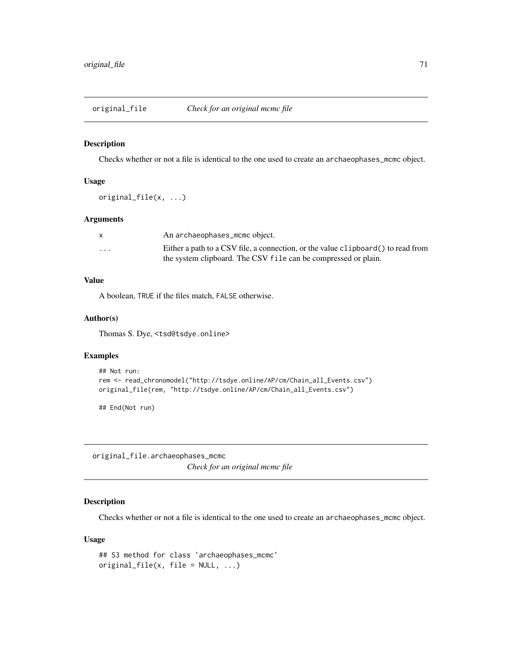### Description

Checks whether or not a file is identical to the one used to create an archaeophases\_mcmc object.

#### Usage

original\_file(x, ...)

## Arguments

|                         | An archaeophases_mcmc object.                                                     |
|-------------------------|-----------------------------------------------------------------------------------|
| $\cdot$ $\cdot$ $\cdot$ | Either a path to a CSV file, a connection, or the value clipboard () to read from |
|                         | the system clipboard. The CSV file can be compressed or plain.                    |

## Value

A boolean, TRUE if the files match, FALSE otherwise.

#### Author(s)

Thomas S. Dye, <tsd@tsdye.online>

#### Examples

```
## Not run:
rem <- read_chronomodel("http://tsdye.online/AP/cm/Chain_all_Events.csv")
original_file(rem, "http://tsdye.online/AP/cm/Chain_all_Events.csv")
```
## End(Not run)

original\_file.archaeophases\_mcmc *Check for an original mcmc file*

## Description

Checks whether or not a file is identical to the one used to create an archaeophases\_mcmc object.

```
## S3 method for class 'archaeophases_mcmc'
original_file(x, file = NULL, ...)
```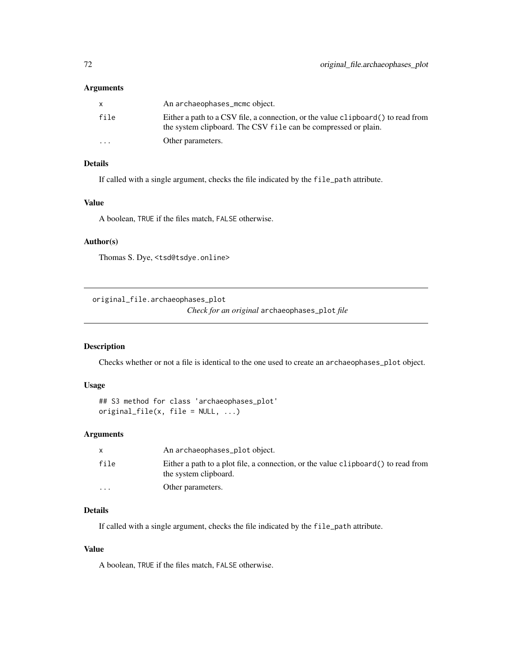## Arguments

|                         | An archaeophases_mcmc object.                                                                                                                       |
|-------------------------|-----------------------------------------------------------------------------------------------------------------------------------------------------|
| file                    | Either a path to a CSV file, a connection, or the value clipboard () to read from<br>the system clipboard. The CSV file can be compressed or plain. |
| $\cdot$ $\cdot$ $\cdot$ | Other parameters.                                                                                                                                   |

## Details

If called with a single argument, checks the file indicated by the file\_path attribute.

## Value

A boolean, TRUE if the files match, FALSE otherwise.

#### Author(s)

Thomas S. Dye, <tsd@tsdye.online>

original\_file.archaeophases\_plot

*Check for an original* archaeophases\_plot *file*

### Description

Checks whether or not a file is identical to the one used to create an archaeophases\_plot object.

#### Usage

```
## S3 method for class 'archaeophases_plot'
original_file(x, file = NULL, ...)
```
#### Arguments

|         | An archaeophases_plot object.                                                                               |
|---------|-------------------------------------------------------------------------------------------------------------|
| file    | Either a path to a plot file, a connection, or the value clipboard () to read from<br>the system clipboard. |
| $\cdot$ | Other parameters.                                                                                           |

## Details

If called with a single argument, checks the file indicated by the file\_path attribute.

## Value

A boolean, TRUE if the files match, FALSE otherwise.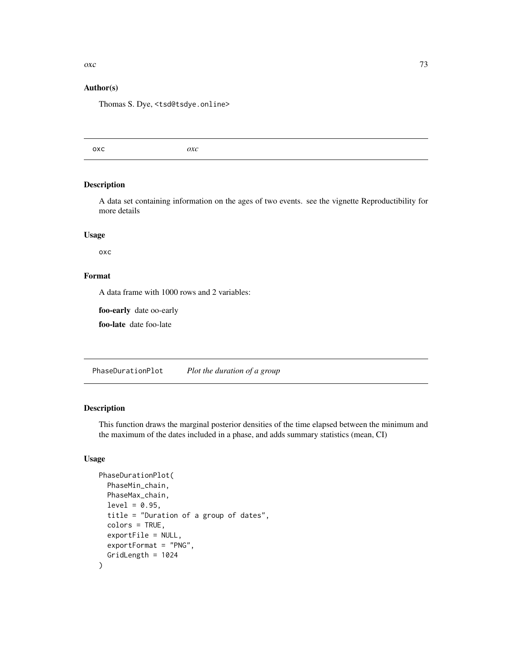# <span id="page-72-0"></span> $\alpha$ xc 73

### Author(s)

Thomas S. Dye, <tsd@tsdye.online>

oxc *oxc*

# Description

A data set containing information on the ages of two events. see the vignette Reproductibility for more details

#### Usage

oxc

# Format

A data frame with 1000 rows and 2 variables:

foo-early date oo-early

foo-late date foo-late

PhaseDurationPlot *Plot the duration of a group*

# Description

This function draws the marginal posterior densities of the time elapsed between the minimum and the maximum of the dates included in a phase, and adds summary statistics (mean, CI)

# Usage

```
PhaseDurationPlot(
  PhaseMin_chain,
  PhaseMax_chain,
  level = 0.95,title = "Duration of a group of dates",
  colors = TRUE,
  exportFile = NULL,
  exportFormat = "PNG",
  GridLength = 1024
)
```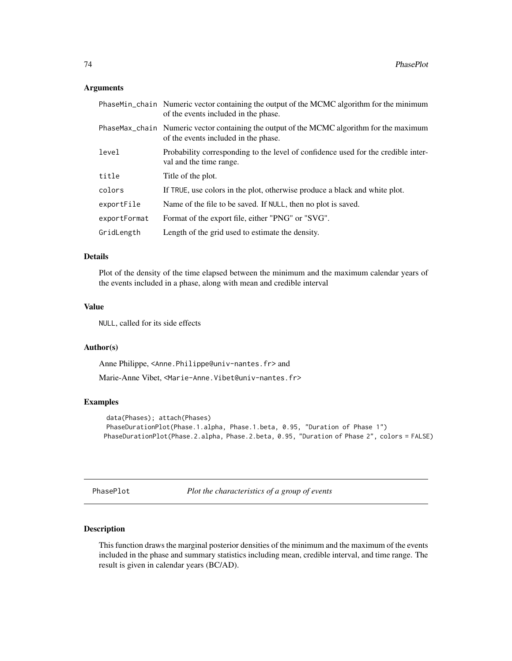#### <span id="page-73-0"></span>Arguments

|              | PhaseMin_chain Numeric vector containing the output of the MCMC algorithm for the minimum<br>of the events included in the phase. |  |
|--------------|-----------------------------------------------------------------------------------------------------------------------------------|--|
|              | PhaseMax_chain Numeric vector containing the output of the MCMC algorithm for the maximum<br>of the events included in the phase. |  |
| level        | Probability corresponding to the level of confidence used for the credible inter-<br>val and the time range.                      |  |
| title        | Title of the plot.                                                                                                                |  |
| colors       | If TRUE, use colors in the plot, otherwise produce a black and white plot.                                                        |  |
| exportFile   | Name of the file to be saved. If NULL, then no plot is saved.                                                                     |  |
| exportFormat | Format of the export file, either "PNG" or "SVG".                                                                                 |  |
| GridLength   | Length of the grid used to estimate the density.                                                                                  |  |

#### Details

Plot of the density of the time elapsed between the minimum and the maximum calendar years of the events included in a phase, along with mean and credible interval

#### Value

NULL, called for its side effects

#### Author(s)

Anne Philippe, <Anne.Philippe@univ-nantes.fr> and

Marie-Anne Vibet, <Marie-Anne.Vibet@univ-nantes.fr>

# Examples

```
data(Phases); attach(Phases)
PhaseDurationPlot(Phase.1.alpha, Phase.1.beta, 0.95, "Duration of Phase 1")
PhaseDurationPlot(Phase.2.alpha, Phase.2.beta, 0.95, "Duration of Phase 2", colors = FALSE)
```
PhasePlot *Plot the characteristics of a group of events*

#### Description

This function draws the marginal posterior densities of the minimum and the maximum of the events included in the phase and summary statistics including mean, credible interval, and time range. The result is given in calendar years (BC/AD).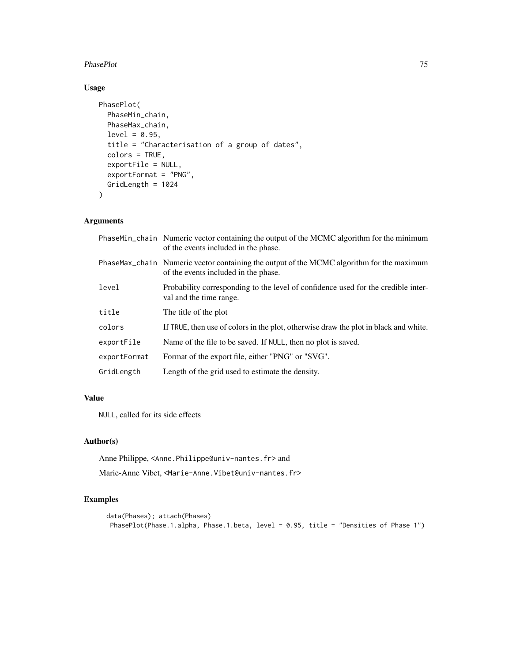#### PhasePlot 75

# Usage

```
PhasePlot(
 PhaseMin_chain,
 PhaseMax_chain,
 level = 0.95,title = "Characterisation of a group of dates",
  colors = TRUE,
  exportFile = NULL,
 exportFormat = "PNG",
 GridLength = 1024
\mathcal{L}
```
# Arguments

|              | PhaseMin_chain Numeric vector containing the output of the MCMC algorithm for the minimum<br>of the events included in the phase. |  |
|--------------|-----------------------------------------------------------------------------------------------------------------------------------|--|
|              | PhaseMax_chain Numeric vector containing the output of the MCMC algorithm for the maximum<br>of the events included in the phase. |  |
| level        | Probability corresponding to the level of confidence used for the credible inter-<br>val and the time range.                      |  |
| title        | The title of the plot                                                                                                             |  |
| colors       | If TRUE, then use of colors in the plot, otherwise draw the plot in black and white.                                              |  |
| exportFile   | Name of the file to be saved. If NULL, then no plot is saved.                                                                     |  |
| exportFormat | Format of the export file, either "PNG" or "SVG".                                                                                 |  |
| GridLength   | Length of the grid used to estimate the density.                                                                                  |  |

# Value

NULL, called for its side effects

# Author(s)

Anne Philippe, <Anne.Philippe@univ-nantes.fr> and

Marie-Anne Vibet, <Marie-Anne.Vibet@univ-nantes.fr>

# Examples

```
data(Phases); attach(Phases)
PhasePlot(Phase.1.alpha, Phase.1.beta, level = 0.95, title = "Densities of Phase 1")
```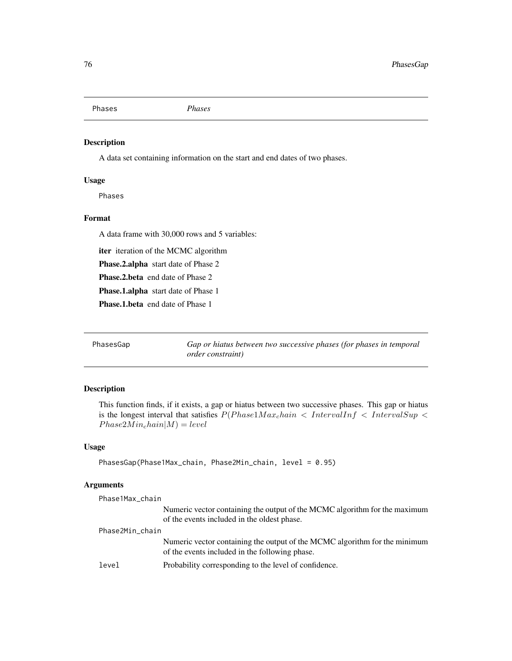<span id="page-75-0"></span>Phases *Phases*

# Description

A data set containing information on the start and end dates of two phases.

#### Usage

Phases

# Format

A data frame with 30,000 rows and 5 variables:

iter iteration of the MCMC algorithm Phase.2.alpha start date of Phase 2 Phase.2.beta end date of Phase 2 Phase.1.alpha start date of Phase 1 Phase.1.beta end date of Phase 1

PhasesGap *Gap or hiatus between two successive phases (for phases in temporal order constraint)*

#### Description

This function finds, if it exists, a gap or hiatus between two successive phases. This gap or hiatus is the longest interval that satisfies  $P(Phase 1 Max_{c} hain \lt IntervalInf \lt IntervalSup \lt$  $Phase 2Min_c hain|M) = level$ 

# Usage

```
PhasesGap(Phase1Max_chain, Phase2Min_chain, level = 0.95)
```

| Phase1Max_chain |                                                                                                                              |
|-----------------|------------------------------------------------------------------------------------------------------------------------------|
|                 | Numeric vector containing the output of the MCMC algorithm for the maximum<br>of the events included in the oldest phase.    |
| Phase2Min_chain |                                                                                                                              |
|                 | Numeric vector containing the output of the MCMC algorithm for the minimum<br>of the events included in the following phase. |
| level           | Probability corresponding to the level of confidence.                                                                        |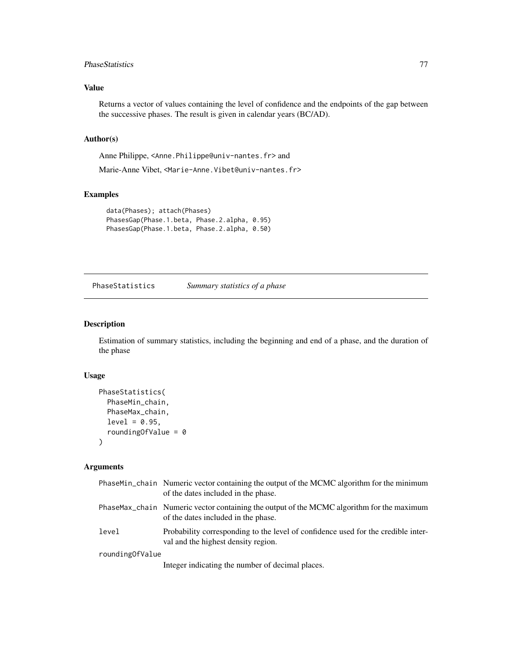#### <span id="page-76-0"></span>PhaseStatistics 77

# Value

Returns a vector of values containing the level of confidence and the endpoints of the gap between the successive phases. The result is given in calendar years (BC/AD).

# Author(s)

Anne Philippe, <Anne.Philippe@univ-nantes.fr> and

Marie-Anne Vibet, <Marie-Anne.Vibet@univ-nantes.fr>

# Examples

```
data(Phases); attach(Phases)
PhasesGap(Phase.1.beta, Phase.2.alpha, 0.95)
PhasesGap(Phase.1.beta, Phase.2.alpha, 0.50)
```
PhaseStatistics *Summary statistics of a phase*

# Description

Estimation of summary statistics, including the beginning and end of a phase, and the duration of the phase

#### Usage

```
PhaseStatistics(
 PhaseMin_chain,
 PhaseMax_chain,
  level = 0.95,roundingOfValue = 0)
```

|                 | PhaseMin_chain Numeric vector containing the output of the MCMC algorithm for the minimum<br>of the dates included in the phase. |
|-----------------|----------------------------------------------------------------------------------------------------------------------------------|
|                 | PhaseMax_chain Numeric vector containing the output of the MCMC algorithm for the maximum<br>of the dates included in the phase. |
| level           | Probability corresponding to the level of confidence used for the credible inter-<br>val and the highest density region.         |
| roundingOfValue |                                                                                                                                  |
|                 | Integer indicating the number of decimal places.                                                                                 |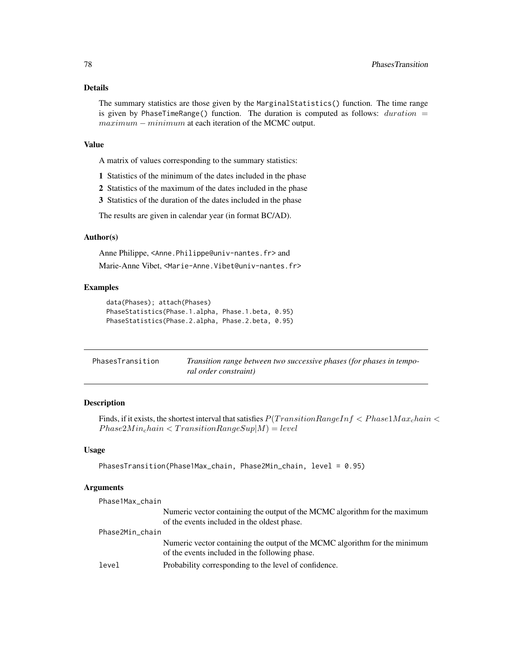<span id="page-77-0"></span>The summary statistics are those given by the MarginalStatistics() function. The time range is given by PhaseTimeRange() function. The duration is computed as follows:  $duration =$ maximum − minimum at each iteration of the MCMC output.

#### Value

A matrix of values corresponding to the summary statistics:

- 1 Statistics of the minimum of the dates included in the phase
- 2 Statistics of the maximum of the dates included in the phase
- 3 Statistics of the duration of the dates included in the phase

The results are given in calendar year (in format BC/AD).

#### Author(s)

Anne Philippe, <Anne.Philippe@univ-nantes.fr> and Marie-Anne Vibet, <Marie-Anne.Vibet@univ-nantes.fr>

#### Examples

```
data(Phases); attach(Phases)
PhaseStatistics(Phase.1.alpha, Phase.1.beta, 0.95)
PhaseStatistics(Phase.2.alpha, Phase.2.beta, 0.95)
```

| PhasesTransition | Transition range between two successive phases (for phases in tempo- |
|------------------|----------------------------------------------------------------------|
|                  | ral order constraint)                                                |

#### Description

Finds, if it exists, the shortest interval that satisfies  $P(TransitionRangeInf < Phase1Maxchain <$  $Phase 2Min_{c}hain < TransitionRangeSup|M) = level$ 

#### Usage

```
PhasesTransition(Phase1Max_chain, Phase2Min_chain, level = 0.95)
```

| Phase1Max_chain |                                                                            |
|-----------------|----------------------------------------------------------------------------|
|                 | Numeric vector containing the output of the MCMC algorithm for the maximum |
|                 | of the events included in the oldest phase.                                |
| Phase2Min_chain |                                                                            |
|                 | Numeric vector containing the output of the MCMC algorithm for the minimum |
|                 | of the events included in the following phase.                             |
| level           | Probability corresponding to the level of confidence.                      |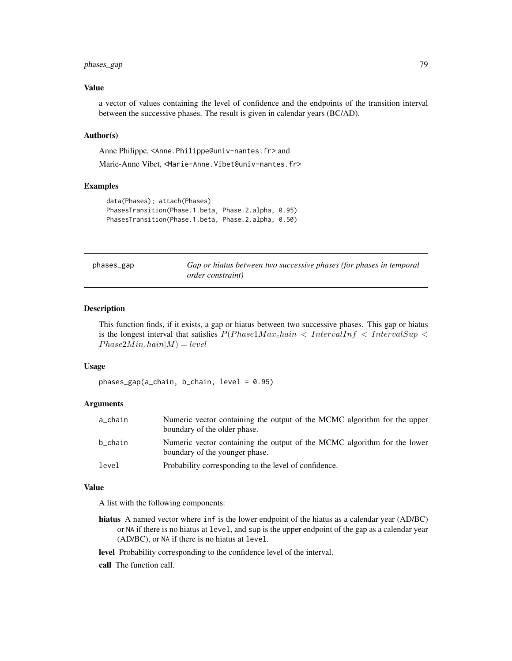# <span id="page-78-0"></span>phases\_gap 79

# Value

a vector of values containing the level of confidence and the endpoints of the transition interval between the successive phases. The result is given in calendar years (BC/AD).

#### Author(s)

Anne Philippe, <Anne.Philippe@univ-nantes.fr> and

Marie-Anne Vibet, <Marie-Anne.Vibet@univ-nantes.fr>

#### Examples

```
data(Phases); attach(Phases)
PhasesTransition(Phase.1.beta, Phase.2.alpha, 0.95)
PhasesTransition(Phase.1.beta, Phase.2.alpha, 0.50)
```

| phases_gap |  |
|------------|--|
|------------|--|

Gap or hiatus between two successive phases (for phases in temporal *order constraint)*

#### Description

This function finds, if it exists, a gap or hiatus between two successive phases. This gap or hiatus is the longest interval that satisfies  $P(Phase 1 Max_{\textit{chain}} < IntervalInf < IntervalSup <$  $Phase 2Min_{c}hain|M) = level$ 

#### Usage

phases\_gap(a\_chain, b\_chain, level = 0.95)

#### Arguments

| a_chain | Numeric vector containing the output of the MCMC algorithm for the upper<br>boundary of the older phase.   |
|---------|------------------------------------------------------------------------------------------------------------|
| b_chain | Numeric vector containing the output of the MCMC algorithm for the lower<br>boundary of the younger phase. |
| level   | Probability corresponding to the level of confidence.                                                      |

#### Value

A list with the following components:

hiatus A named vector where inf is the lower endpoint of the hiatus as a calendar year (AD/BC) or NA if there is no hiatus at level, and sup is the upper endpoint of the gap as a calendar year (AD/BC), or NA if there is no hiatus at level.

level Probability corresponding to the confidence level of the interval.

call The function call.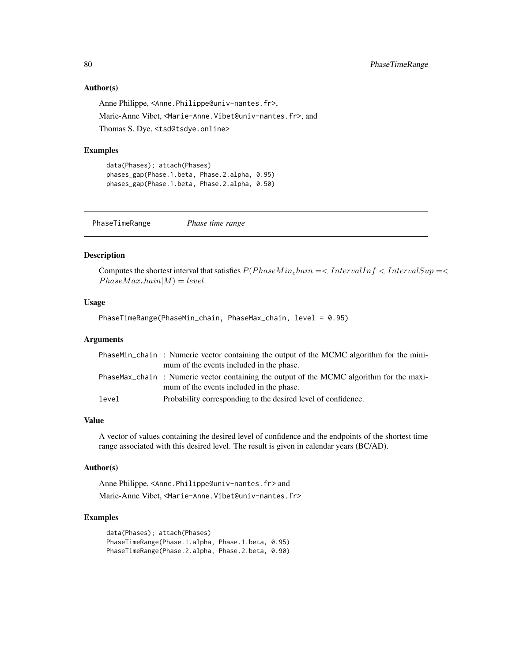#### Author(s)

Anne Philippe, <Anne.Philippe@univ-nantes.fr>, Marie-Anne Vibet, <Marie-Anne.Vibet@univ-nantes.fr>, and Thomas S. Dye, <tsd@tsdye.online>

#### Examples

```
data(Phases); attach(Phases)
phases_gap(Phase.1.beta, Phase.2.alpha, 0.95)
phases_gap(Phase.1.beta, Phase.2.alpha, 0.50)
```
PhaseTimeRange *Phase time range*

#### Description

Computes the shortest interval that satisfies  $P(Phase Min<sub>c</sub> hain =$  $Phase Max<sub>c</sub>hain|M) = level$ 

# Usage

PhaseTimeRange(PhaseMin\_chain, PhaseMax\_chain, level = 0.95)

#### Arguments

|       | PhaseMin_chain: Numeric vector containing the output of the MCMC algorithm for the mini-<br>mum of the events included in the phase. |
|-------|--------------------------------------------------------------------------------------------------------------------------------------|
|       | PhaseMax_chain: Numeric vector containing the output of the MCMC algorithm for the maxi-<br>mum of the events included in the phase. |
| level | Probability corresponding to the desired level of confidence.                                                                        |

#### Value

A vector of values containing the desired level of confidence and the endpoints of the shortest time range associated with this desired level. The result is given in calendar years (BC/AD).

#### Author(s)

Anne Philippe, <Anne.Philippe@univ-nantes.fr> and Marie-Anne Vibet, <Marie-Anne.Vibet@univ-nantes.fr>

#### Examples

```
data(Phases); attach(Phases)
PhaseTimeRange(Phase.1.alpha, Phase.1.beta, 0.95)
PhaseTimeRange(Phase.2.alpha, Phase.2.beta, 0.90)
```
<span id="page-79-0"></span>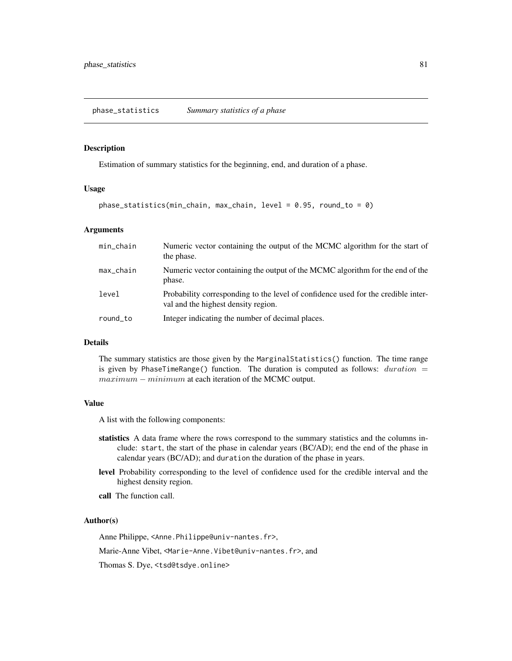#### <span id="page-80-0"></span>Description

Estimation of summary statistics for the beginning, end, and duration of a phase.

#### Usage

```
phase_statistics(min_chain, max_chain, level = 0.95, round_to = 0)
```
# Arguments

| min_chain             | Numeric vector containing the output of the MCMC algorithm for the start of<br>the phase.                                |
|-----------------------|--------------------------------------------------------------------------------------------------------------------------|
| $max_{-\alpha}$ chain | Numeric vector containing the output of the MCMC algorithm for the end of the<br>phase.                                  |
| level                 | Probability corresponding to the level of confidence used for the credible inter-<br>val and the highest density region. |
| round_to              | Integer indicating the number of decimal places.                                                                         |

#### Details

The summary statistics are those given by the MarginalStatistics() function. The time range is given by PhaseTimeRange() function. The duration is computed as follows:  $duration =$ maximum − minimum at each iteration of the MCMC output.

# Value

A list with the following components:

- statistics A data frame where the rows correspond to the summary statistics and the columns include: start, the start of the phase in calendar years (BC/AD); end the end of the phase in calendar years (BC/AD); and duration the duration of the phase in years.
- level Probability corresponding to the level of confidence used for the credible interval and the highest density region.
- call The function call.

#### Author(s)

Anne Philippe, <Anne.Philippe@univ-nantes.fr>,

Marie-Anne Vibet, <Marie-Anne.Vibet@univ-nantes.fr>, and

Thomas S. Dye, <tsd@tsdye.online>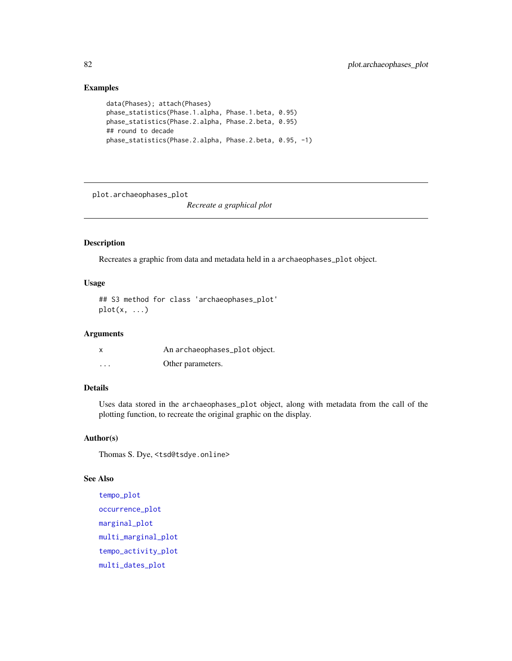# Examples

```
data(Phases); attach(Phases)
phase_statistics(Phase.1.alpha, Phase.1.beta, 0.95)
phase_statistics(Phase.2.alpha, Phase.2.beta, 0.95)
## round to decade
phase_statistics(Phase.2.alpha, Phase.2.beta, 0.95, -1)
```
plot.archaeophases\_plot

*Recreate a graphical plot*

### Description

Recreates a graphic from data and metadata held in a archaeophases\_plot object.

#### Usage

## S3 method for class 'archaeophases\_plot'  $plot(x, \ldots)$ 

#### Arguments

| x | An archaeophases_plot object. |
|---|-------------------------------|
| . | Other parameters.             |

#### Details

Uses data stored in the archaeophases\_plot object, along with metadata from the call of the plotting function, to recreate the original graphic on the display.

### Author(s)

Thomas S. Dye, <tsd@tsdye.online>

#### See Also

```
tempo_plot
occurrence_plot
marginal_plot
multi_marginal_plot
tempo_activity_plot
multi_dates_plot
```
<span id="page-81-0"></span>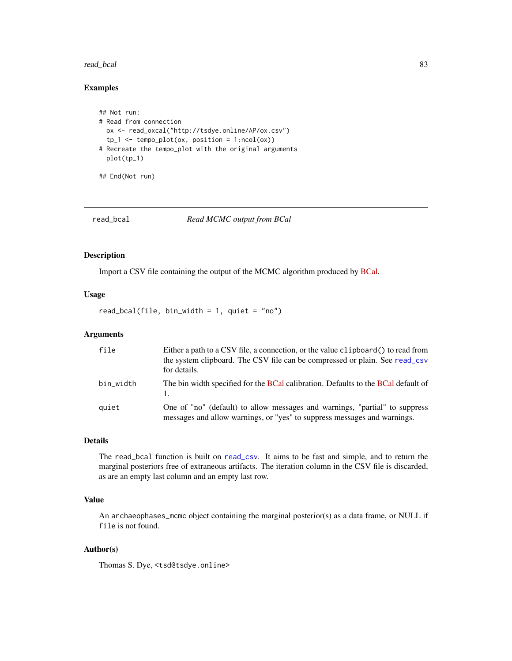#### <span id="page-82-0"></span>read\_bcal 83

# Examples

```
## Not run:
# Read from connection
 ox <- read_oxcal("http://tsdye.online/AP/ox.csv")
 tp_1 \leftarrow tempo_plot(ox, position = 1:ncol(ox))# Recreate the tempo_plot with the original arguments
 plot(tp_1)
## End(Not run)
```
read\_bcal *Read MCMC output from BCal*

#### Description

Import a CSV file containing the output of the MCMC algorithm produced by [BCal.](https://bcal.shef.ac.uk/)

#### Usage

read\_bcal(file, bin\_width = 1, quiet = "no")

#### Arguments

| file      | Either a path to a CSV file, a connection, or the value clipboard() to read from<br>the system clipboard. The CSV file can be compressed or plain. See read_csv<br>for details. |
|-----------|---------------------------------------------------------------------------------------------------------------------------------------------------------------------------------|
| bin_width | The bin width specified for the BCal calibration. Defaults to the BCal default of                                                                                               |
| quiet     | One of "no" (default) to allow messages and warnings, "partial" to suppress<br>messages and allow warnings, or "yes" to suppress messages and warnings.                         |

# Details

The read\_bcal function is built on [read\\_csv](#page-0-0). It aims to be fast and simple, and to return the marginal posteriors free of extraneous artifacts. The iteration column in the CSV file is discarded, as are an empty last column and an empty last row.

#### Value

An archaeophases\_mcmc object containing the marginal posterior(s) as a data frame, or NULL if file is not found.

# Author(s)

Thomas S. Dye, <tsd@tsdye.online>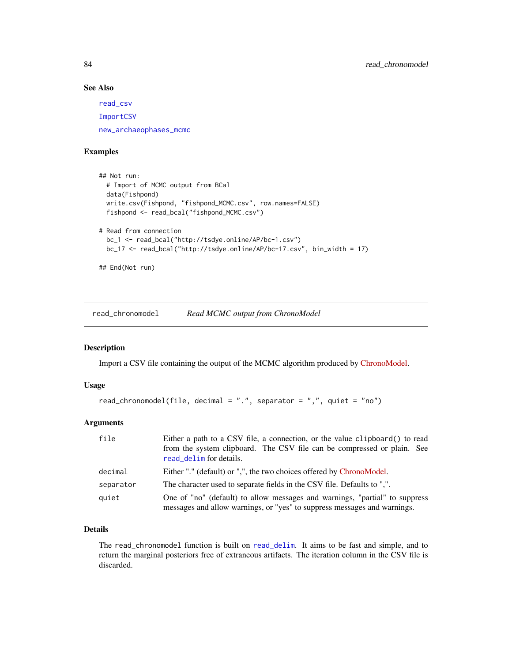# See Also

[read\\_csv](#page-0-0) [ImportCSV](#page-32-0) [new\\_archaeophases\\_mcmc](#page-63-0)

# Examples

```
## Not run:
 # Import of MCMC output from BCal
 data(Fishpond)
 write.csv(Fishpond, "fishpond_MCMC.csv", row.names=FALSE)
 fishpond <- read_bcal("fishpond_MCMC.csv")
# Read from connection
 bc_1 <- read_bcal("http://tsdye.online/AP/bc-1.csv")
 bc_17 <- read_bcal("http://tsdye.online/AP/bc-17.csv", bin_width = 17)
```
## End(Not run)

read\_chronomodel *Read MCMC output from ChronoModel*

#### Description

Import a CSV file containing the output of the MCMC algorithm produced by [ChronoModel.](https://chronomodel.com/)

#### Usage

```
read_chronomodel(file, decimal = ".", separator = ",", quiet = "no")
```
#### Arguments

| file      | Either a path to a CSV file, a connection, or the value clipboard() to read<br>from the system clipboard. The CSV file can be compressed or plain. See<br>read_delim for details. |
|-----------|-----------------------------------------------------------------------------------------------------------------------------------------------------------------------------------|
| decimal   | Either "." (default) or ",", the two choices offered by ChronoModel.                                                                                                              |
| separator | The character used to separate fields in the CSV file. Defaults to ",".                                                                                                           |
| quiet     | One of "no" (default) to allow messages and warnings, "partial" to suppress<br>messages and allow warnings, or "yes" to suppress messages and warnings.                           |

# Details

The read\_chronomodel function is built on [read\\_delim](#page-0-0). It aims to be fast and simple, and to return the marginal posteriors free of extraneous artifacts. The iteration column in the CSV file is discarded.

<span id="page-83-0"></span>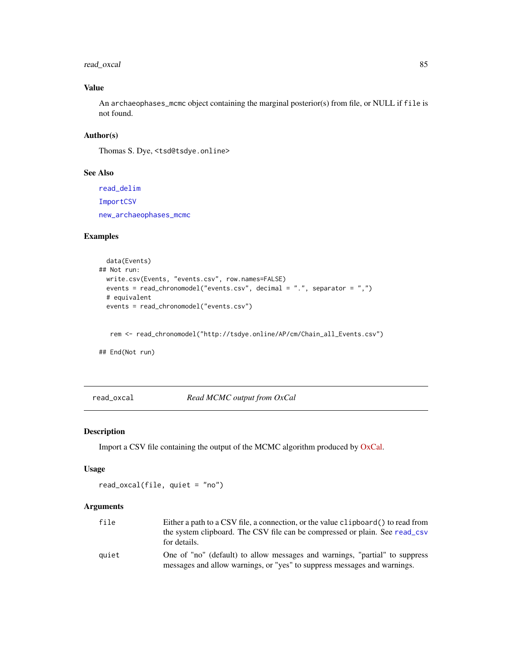# <span id="page-84-0"></span>read\_oxcal 85

# Value

An archaeophases\_mcmc object containing the marginal posterior(s) from file, or NULL if file is not found.

# Author(s)

Thomas S. Dye, <tsd@tsdye.online>

#### See Also

[read\\_delim](#page-0-0) [ImportCSV](#page-32-0) [new\\_archaeophases\\_mcmc](#page-63-0)

# Examples

```
data(Events)
## Not run:
 write.csv(Events, "events.csv", row.names=FALSE)
 events = read_chronomodel("events.csv", decimal = ".", separator = ",")
 # equivalent
 events = read_chronomodel("events.csv")
```
rem <- read\_chronomodel("http://tsdye.online/AP/cm/Chain\_all\_Events.csv")

## End(Not run)

read\_oxcal *Read MCMC output from OxCal*

#### Description

Import a CSV file containing the output of the MCMC algorithm produced by [OxCal.](https://c14.arch.ox.ac.uk/oxcal.html)

#### Usage

read\_oxcal(file, quiet = "no")

| file  | Either a path to a CSV file, a connection, or the value clipboard () to read from |
|-------|-----------------------------------------------------------------------------------|
|       | the system clipboard. The CSV file can be compressed or plain. See read_csv       |
|       | for details.                                                                      |
| auiet | One of "no" (default) to allow messages and warnings, "partial" to suppress       |
|       | messages and allow warnings, or "yes" to suppress messages and warnings.          |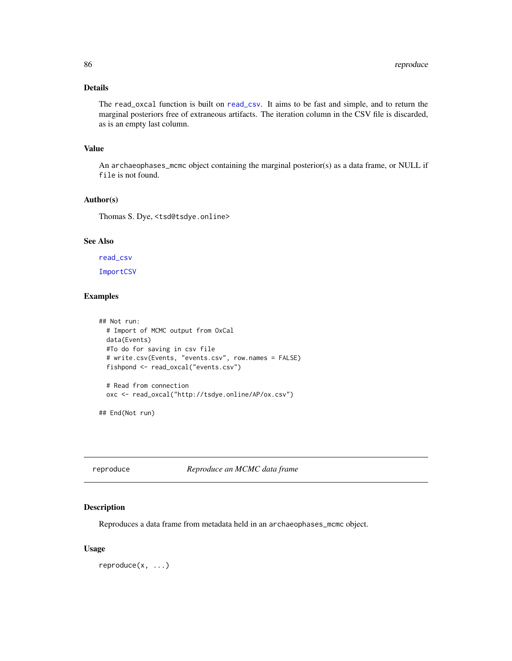<span id="page-85-0"></span>The read\_oxcal function is built on [read\\_csv](#page-0-0). It aims to be fast and simple, and to return the marginal posteriors free of extraneous artifacts. The iteration column in the CSV file is discarded, as is an empty last column.

#### Value

An archaeophases\_mcmc object containing the marginal posterior(s) as a data frame, or NULL if file is not found.

#### Author(s)

Thomas S. Dye, <tsd@tsdye.online>

# See Also

[read\\_csv](#page-0-0) [ImportCSV](#page-32-0)

# Examples

```
## Not run:
 # Import of MCMC output from OxCal
 data(Events)
 #To do for saving in csv file
 # write.csv(Events, "events.csv", row.names = FALSE)
 fishpond <- read_oxcal("events.csv")
 # Read from connection
 oxc <- read_oxcal("http://tsdye.online/AP/ox.csv")
```
## End(Not run)

reproduce *Reproduce an MCMC data frame*

#### Description

Reproduces a data frame from metadata held in an archaeophases\_mcmc object.

#### Usage

reproduce(x, ...)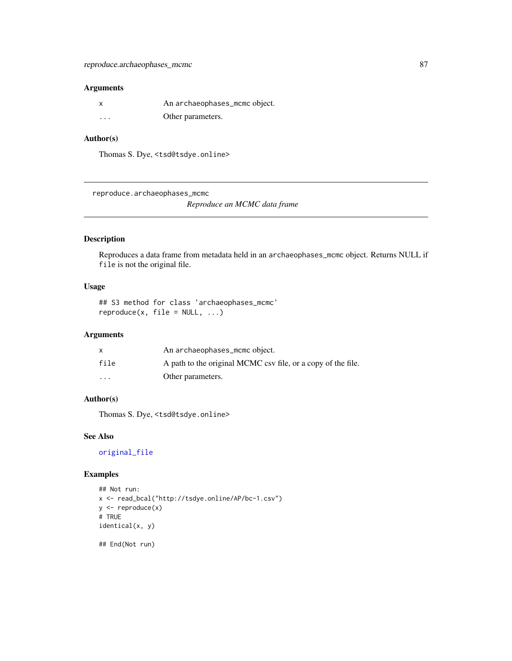#### <span id="page-86-0"></span>Arguments

| X        | An archaeophases_mcmc object. |
|----------|-------------------------------|
| $\cdots$ | Other parameters.             |

# Author(s)

Thomas S. Dye, <tsd@tsdye.online>

reproduce.archaeophases\_mcmc

*Reproduce an MCMC data frame*

# Description

Reproduces a data frame from metadata held in an archaeophases\_mcmc object. Returns NULL if file is not the original file.

#### Usage

## S3 method for class 'archaeophases\_mcmc'  $reproduce(x, file = NULL, ...)$ 

# Arguments

|         | An archaeophases_mcmc object.                                |
|---------|--------------------------------------------------------------|
| file    | A path to the original MCMC csv file, or a copy of the file. |
| $\cdot$ | Other parameters.                                            |

# Author(s)

Thomas S. Dye, <tsd@tsdye.online>

# See Also

[original\\_file](#page-70-0)

# Examples

```
## Not run:
x <- read_bcal("http://tsdye.online/AP/bc-1.csv")
y <- reproduce(x)
# TRUE
identical(x, y)
```
## End(Not run)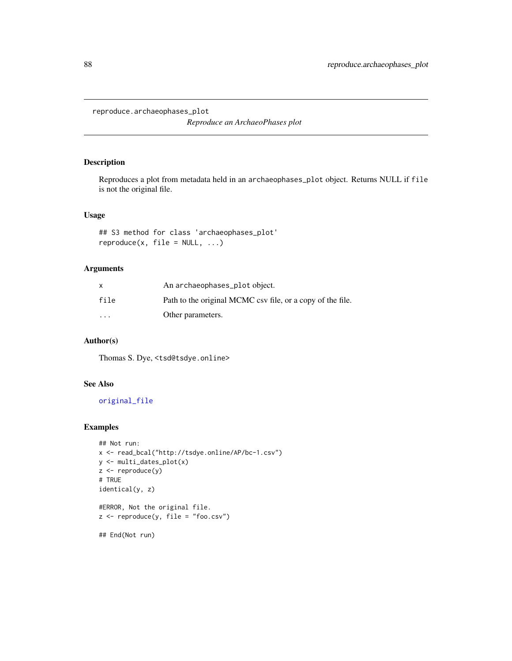<span id="page-87-0"></span>reproduce.archaeophases\_plot

*Reproduce an ArchaeoPhases plot*

# Description

Reproduces a plot from metadata held in an archaeophases\_plot object. Returns NULL if file is not the original file.

#### Usage

```
## S3 method for class 'archaeophases_plot'
reproduce(x, file = NULL, ...)
```
#### Arguments

|                      | An archaeophases_plot object.                              |
|----------------------|------------------------------------------------------------|
| file                 | Path to the original MCMC csv file, or a copy of the file. |
| $\ddot{\phantom{0}}$ | Other parameters.                                          |

# Author(s)

Thomas S. Dye, <tsd@tsdye.online>

# See Also

[original\\_file](#page-70-0)

# Examples

```
## Not run:
x <- read_bcal("http://tsdye.online/AP/bc-1.csv")
y <- multi_dates_plot(x)
z <- reproduce(y)
# TRUE
identical(y, z)
#ERROR, Not the original file.
z \leftarrow reproduce(y, file = "foo.csv")
## End(Not run)
```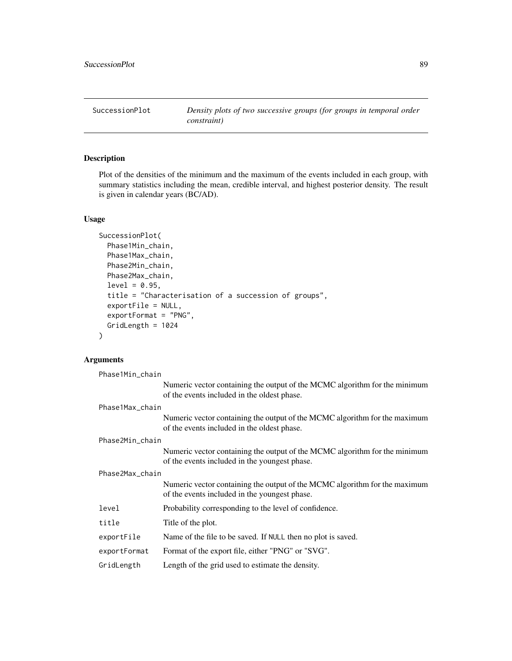<span id="page-88-0"></span>SuccessionPlot *Density plots of two successive groups (for groups in temporal order constraint)*

# Description

Plot of the densities of the minimum and the maximum of the events included in each group, with summary statistics including the mean, credible interval, and highest posterior density. The result is given in calendar years (BC/AD).

# Usage

```
SuccessionPlot(
  Phase1Min_chain,
  Phase1Max_chain,
 Phase2Min_chain,
  Phase2Max_chain,
  level = 0.95,
  title = "Characterisation of a succession of groups",
  exportFile = NULL,
  exportFormat = "PNG",
  GridLength = 1024
\mathcal{L}
```

| Phase1Min_chain |                                                                                                                             |  |  |
|-----------------|-----------------------------------------------------------------------------------------------------------------------------|--|--|
|                 | Numeric vector containing the output of the MCMC algorithm for the minimum<br>of the events included in the oldest phase.   |  |  |
|                 | Phase1Max_chain                                                                                                             |  |  |
|                 | Numeric vector containing the output of the MCMC algorithm for the maximum<br>of the events included in the oldest phase.   |  |  |
| Phase2Min_chain |                                                                                                                             |  |  |
|                 | Numeric vector containing the output of the MCMC algorithm for the minimum<br>of the events included in the youngest phase. |  |  |
| Phase2Max_chain |                                                                                                                             |  |  |
|                 | Numeric vector containing the output of the MCMC algorithm for the maximum<br>of the events included in the youngest phase. |  |  |
| level           | Probability corresponding to the level of confidence.                                                                       |  |  |
| title           | Title of the plot.                                                                                                          |  |  |
| exportFile      | Name of the file to be saved. If NULL then no plot is saved.                                                                |  |  |
| exportFormat    | Format of the export file, either "PNG" or "SVG".                                                                           |  |  |
| GridLength      | Length of the grid used to estimate the density.                                                                            |  |  |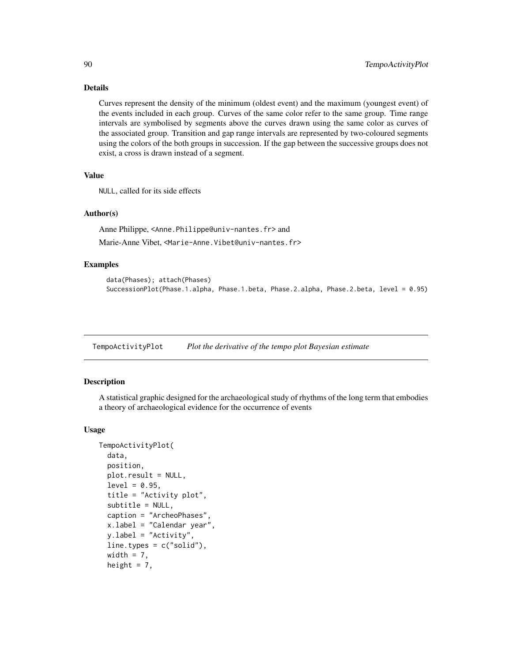Curves represent the density of the minimum (oldest event) and the maximum (youngest event) of the events included in each group. Curves of the same color refer to the same group. Time range intervals are symbolised by segments above the curves drawn using the same color as curves of the associated group. Transition and gap range intervals are represented by two-coloured segments using the colors of the both groups in succession. If the gap between the successive groups does not exist, a cross is drawn instead of a segment.

#### Value

NULL, called for its side effects

#### Author(s)

Anne Philippe, <Anne.Philippe@univ-nantes.fr> and

Marie-Anne Vibet, <Marie-Anne.Vibet@univ-nantes.fr>

#### Examples

```
data(Phases); attach(Phases)
SuccessionPlot(Phase.1.alpha, Phase.1.beta, Phase.2.alpha, Phase.2.beta, level = 0.95)
```
TempoActivityPlot *Plot the derivative of the tempo plot Bayesian estimate*

#### Description

A statistical graphic designed for the archaeological study of rhythms of the long term that embodies a theory of archaeological evidence for the occurrence of events

#### Usage

```
TempoActivityPlot(
  data,
 position,
 plot.result = NULL,
  level = 0.95,title = "Activity plot",
  subtitle = NULL,
  caption = "ArcheoPhases",
  x.label = "Calendar year",
 y.label = "Activity",
  line.types = c("solid"),width = 7,
  height = 7,
```
<span id="page-89-0"></span>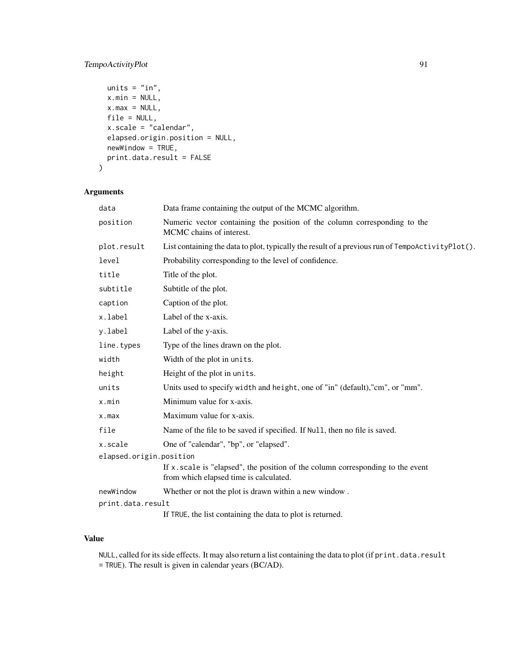# TempoActivityPlot 91

```
units = "in",x.min = NULL,x.max = NULL,file = NULL,
x.scale = "calendar",
elapsed.origin.position = NULL,
newWindow = TRUE,
print.data.result = FALSE
```
# Arguments

)

| data                    | Data frame containing the output of the MCMC algorithm.                                                                      |
|-------------------------|------------------------------------------------------------------------------------------------------------------------------|
| position                | Numeric vector containing the position of the column corresponding to the<br>MCMC chains of interest.                        |
| plot.result             | List containing the data to plot, typically the result of a previous run of $TempoActivityPlot()$ .                          |
| level                   | Probability corresponding to the level of confidence.                                                                        |
| title                   | Title of the plot.                                                                                                           |
| subtitle                | Subtitle of the plot.                                                                                                        |
| caption                 | Caption of the plot.                                                                                                         |
| x.label                 | Label of the x-axis.                                                                                                         |
| y.label                 | Label of the y-axis.                                                                                                         |
| line.types              | Type of the lines drawn on the plot.                                                                                         |
| width                   | Width of the plot in units.                                                                                                  |
| height                  | Height of the plot in units.                                                                                                 |
| units                   | Units used to specify width and height, one of "in" (default), "cm", or "mm".                                                |
| x.min                   | Minimum value for x-axis.                                                                                                    |
| x.max                   | Maximum value for x-axis.                                                                                                    |
| file                    | Name of the file to be saved if specified. If Null, then no file is saved.                                                   |
| x.scale                 | One of "calendar", "bp", or "elapsed".                                                                                       |
| elapsed.origin.position |                                                                                                                              |
|                         | If $x$ , scale is "elapsed", the position of the column corresponding to the event<br>from which elapsed time is calculated. |
| newWindow               | Whether or not the plot is drawn within a new window.                                                                        |
| print.data.result       |                                                                                                                              |
|                         | If TRUE, the list containing the data to plot is returned.                                                                   |

# Value

NULL, called for its side effects. It may also return a list containing the data to plot (if print.data.result = TRUE). The result is given in calendar years (BC/AD).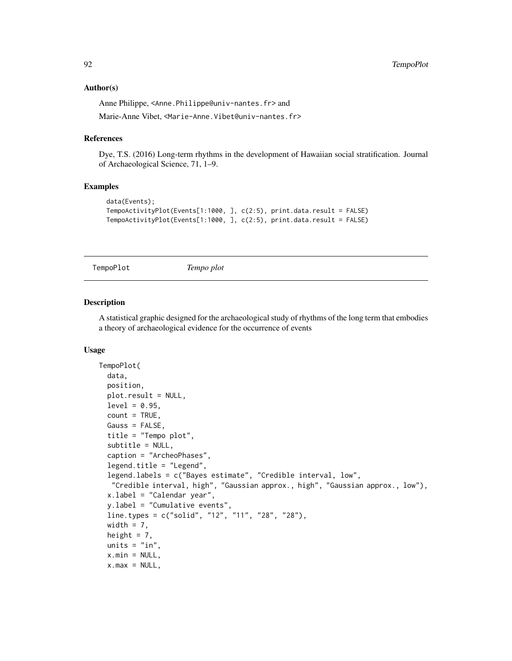#### <span id="page-91-1"></span>Author(s)

Anne Philippe, <Anne.Philippe@univ-nantes.fr> and Marie-Anne Vibet, <Marie-Anne.Vibet@univ-nantes.fr>

### References

Dye, T.S. (2016) Long-term rhythms in the development of Hawaiian social stratification. Journal of Archaeological Science, 71, 1–9.

#### Examples

```
data(Events);
TempoActivityPlot(Events[1:1000, ], c(2:5), print.data.result = FALSE)
TempoActivityPlot(Events[1:1000, ], c(2:5), print.data.result = FALSE)
```
<span id="page-91-0"></span>TempoPlot *Tempo plot*

#### Description

A statistical graphic designed for the archaeological study of rhythms of the long term that embodies a theory of archaeological evidence for the occurrence of events

#### Usage

```
TempoPlot(
  data,
 position,
 plot.result = NULL,
  level = 0.95,
  count = TRUE,Gauss = FALSE,
  title = "Tempo plot",
  subtitle = NULL,
  caption = "ArcheoPhases",
  legend.title = "Legend",
  legend.labels = c("Bayes estimate", "Credible interval, low",
   "Credible interval, high", "Gaussian approx., high", "Gaussian approx., low"),
  x.label = "Calendar year",
  y.label = "Cumulative events",
  line.types = c("solid", "12", "11", "28", "28"),
 width = 7,
  height = 7,
  units = "in",x.min = NULL,x.max = NULL,
```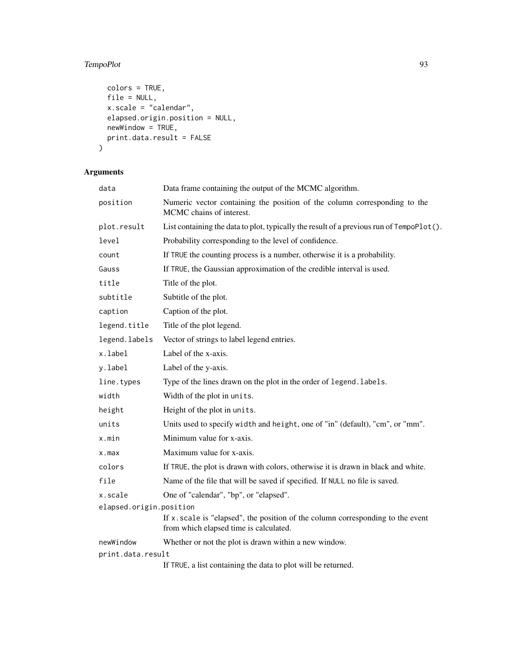# TempoPlot 93

```
colors = TRUE,
 file = NULL,
 x.\text{scale} = "calendar",elapsed.origin.position = NULL,
 newWindow = TRUE,print.data.result = FALSE
)
```

| data                    | Data frame containing the output of the MCMC algorithm.                                                                      |
|-------------------------|------------------------------------------------------------------------------------------------------------------------------|
| position                | Numeric vector containing the position of the column corresponding to the<br>MCMC chains of interest.                        |
| plot.result             | List containing the data to plot, typically the result of a previous run of TempoPlot().                                     |
| level                   | Probability corresponding to the level of confidence.                                                                        |
| count                   | If TRUE the counting process is a number, otherwise it is a probability.                                                     |
| Gauss                   | If TRUE, the Gaussian approximation of the credible interval is used.                                                        |
| title                   | Title of the plot.                                                                                                           |
| subtitle                | Subtitle of the plot.                                                                                                        |
| caption                 | Caption of the plot.                                                                                                         |
| legend.title            | Title of the plot legend.                                                                                                    |
| legend.labels           | Vector of strings to label legend entries.                                                                                   |
| x.label                 | Label of the x-axis.                                                                                                         |
| y.label                 | Label of the y-axis.                                                                                                         |
| line.types              | Type of the lines drawn on the plot in the order of legend. labels.                                                          |
| width                   | Width of the plot in units.                                                                                                  |
| height                  | Height of the plot in units.                                                                                                 |
| units                   | Units used to specify width and height, one of "in" (default), "cm", or "mm".                                                |
| x.min                   | Minimum value for x-axis.                                                                                                    |
| x.max                   | Maximum value for x-axis.                                                                                                    |
| colors                  | If TRUE, the plot is drawn with colors, otherwise it is drawn in black and white.                                            |
| file                    | Name of the file that will be saved if specified. If NULL no file is saved.                                                  |
| x.scale                 | One of "calendar", "bp", or "elapsed".                                                                                       |
| elapsed.origin.position |                                                                                                                              |
|                         | If $x$ . scale is "elapsed", the position of the column corresponding to the event<br>from which elapsed time is calculated. |
| newWindow               | Whether or not the plot is drawn within a new window.                                                                        |
| print.data.result       |                                                                                                                              |
|                         | If TRUE, a list containing the data to plot will be returned.                                                                |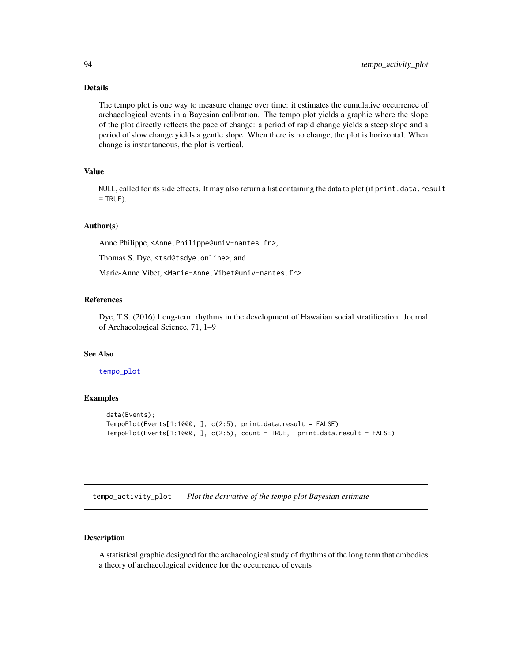<span id="page-93-1"></span>The tempo plot is one way to measure change over time: it estimates the cumulative occurrence of archaeological events in a Bayesian calibration. The tempo plot yields a graphic where the slope of the plot directly reflects the pace of change: a period of rapid change yields a steep slope and a period of slow change yields a gentle slope. When there is no change, the plot is horizontal. When change is instantaneous, the plot is vertical.

#### Value

NULL, called for its side effects. It may also return a list containing the data to plot (if print.data.result  $=$  TRUE).

# Author(s)

Anne Philippe, <Anne.Philippe@univ-nantes.fr>,

Thomas S. Dye, <tsd@tsdye.online>, and

Marie-Anne Vibet, <Marie-Anne.Vibet@univ-nantes.fr>

#### References

Dye, T.S. (2016) Long-term rhythms in the development of Hawaiian social stratification. Journal of Archaeological Science, 71, 1–9

#### See Also

#### [tempo\\_plot](#page-95-0)

#### Examples

```
data(Events);
TempoPlot(Events[1:1000, ], c(2:5), print.data.result = FALSE)
TempoPlot(Events[1:1000, ], c(2:5), count = TRUE, print.data.result = FALSE)
```
<span id="page-93-0"></span>tempo\_activity\_plot *Plot the derivative of the tempo plot Bayesian estimate*

# Description

A statistical graphic designed for the archaeological study of rhythms of the long term that embodies a theory of archaeological evidence for the occurrence of events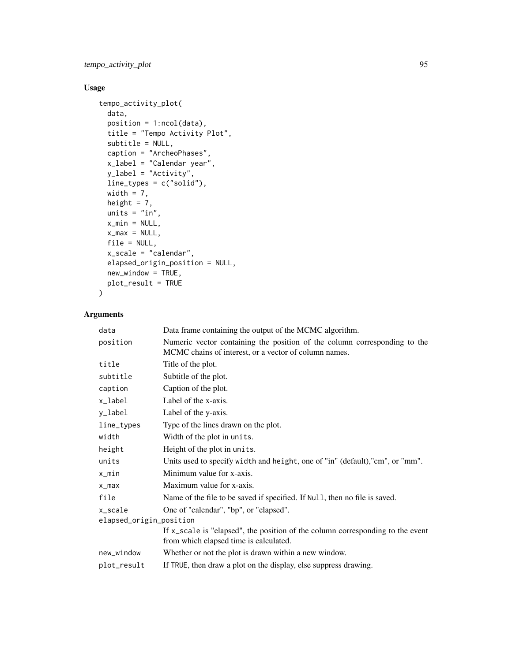tempo\_activity\_plot 95

# Usage

```
tempo_activity_plot(
 data,
 position = 1:ncol(data),
 title = "Tempo Activity Plot",
  subtitle = NULL,
  caption = "ArcheoPhases",
 x_label = "Calendar year",
 y_label = "Activity",
 line_types = c("solid"),
 width = 7,height = 7,
 units = "in",x_min = NULL,
 x_max = NULL,
 file = NULL,
 x_scale = "calendar",
 elapsed_origin_position = NULL,
 new_window = TRUE,
 plot_result = TRUE
\mathcal{L}
```

| data                    | Data frame containing the output of the MCMC algorithm.                                                                            |  |
|-------------------------|------------------------------------------------------------------------------------------------------------------------------------|--|
| position                | Numeric vector containing the position of the column corresponding to the<br>MCMC chains of interest, or a vector of column names. |  |
| title                   | Title of the plot.                                                                                                                 |  |
| subtitle                | Subtitle of the plot.                                                                                                              |  |
| caption                 | Caption of the plot.                                                                                                               |  |
| x_label                 | Label of the x-axis.                                                                                                               |  |
| y_label                 | Label of the y-axis.                                                                                                               |  |
| line_types              | Type of the lines drawn on the plot.                                                                                               |  |
| width                   | Width of the plot in units.                                                                                                        |  |
| height                  | Height of the plot in units.                                                                                                       |  |
| units                   | Units used to specify width and height, one of "in" (default), "cm", or "mm".                                                      |  |
| x_min                   | Minimum value for x-axis.                                                                                                          |  |
| $x_{max}$               | Maximum value for x-axis.                                                                                                          |  |
| file                    | Name of the file to be saved if specified. If Null, then no file is saved.                                                         |  |
| x_scale                 | One of "calendar", "bp", or "elapsed".                                                                                             |  |
| elapsed_origin_position |                                                                                                                                    |  |
|                         | If $x$ _scale is "elapsed", the position of the column corresponding to the event<br>from which elapsed time is calculated.        |  |
| new_window              | Whether or not the plot is drawn within a new window.                                                                              |  |
| plot_result             | If TRUE, then draw a plot on the display, else suppress drawing.                                                                   |  |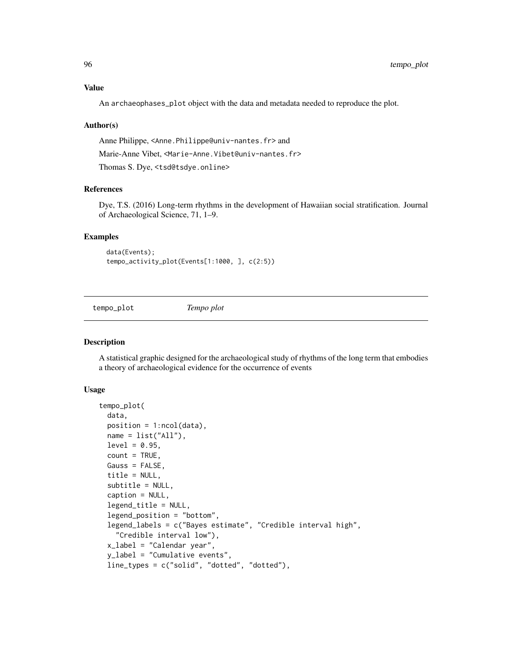# <span id="page-95-1"></span>Value

An archaeophases\_plot object with the data and metadata needed to reproduce the plot.

#### Author(s)

Anne Philippe, <Anne.Philippe@univ-nantes.fr> and Marie-Anne Vibet, <Marie-Anne.Vibet@univ-nantes.fr> Thomas S. Dye, <tsd@tsdye.online>

#### References

Dye, T.S. (2016) Long-term rhythms in the development of Hawaiian social stratification. Journal of Archaeological Science, 71, 1–9.

#### Examples

```
data(Events);
tempo_activity_plot(Events[1:1000, ], c(2:5))
```
<span id="page-95-0"></span>tempo\_plot *Tempo plot*

#### Description

A statistical graphic designed for the archaeological study of rhythms of the long term that embodies a theory of archaeological evidence for the occurrence of events

#### Usage

```
tempo_plot(
  data,
 position = 1:ncol(data),
 name = list("All"),level = 0.95,count = TRUE,Gauss = FALSE,
  title = NULL,
  subtitle = NULL,
  caption = NULL,
  legend_title = NULL,
  legend_position = "bottom",
  legend_labels = c("Bayes estimate", "Credible interval high",
    "Credible interval low"),
  x_label = "Calendar year",
  y_label = "Cumulative events",
  line_types = c("solid", "dotted", "dotted"),
```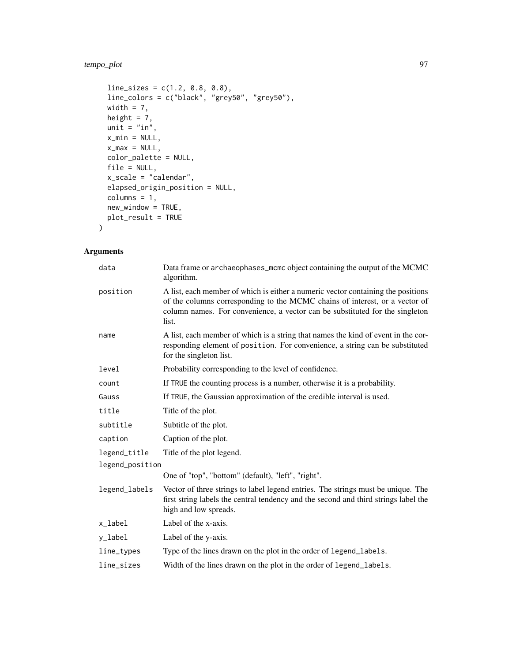# tempo\_plot 97

```
line\_ sizes = c(1.2, 0.8, 0.8),line_colors = c("black", "grey50", "grey50"),
 width = 7,
 height = 7,unit = "in",
 x_{min} = NULL,x_max = NULL,
 color_palette = NULL,
 file = NULL,
 x_scale = "calendar",
 elapsed_origin_position = NULL,
 columns = 1,
 new_window = TRUE,
 plot_result = TRUE
)
```

| data            | Data frame or archaeophases_mcmc object containing the output of the MCMC<br>algorithm.                                                                                                                                                                  |
|-----------------|----------------------------------------------------------------------------------------------------------------------------------------------------------------------------------------------------------------------------------------------------------|
| position        | A list, each member of which is either a numeric vector containing the positions<br>of the columns corresponding to the MCMC chains of interest, or a vector of<br>column names. For convenience, a vector can be substituted for the singleton<br>list. |
| name            | A list, each member of which is a string that names the kind of event in the cor-<br>responding element of position. For convenience, a string can be substituted<br>for the singleton list.                                                             |
| level           | Probability corresponding to the level of confidence.                                                                                                                                                                                                    |
| count           | If TRUE the counting process is a number, otherwise it is a probability.                                                                                                                                                                                 |
| Gauss           | If TRUE, the Gaussian approximation of the credible interval is used.                                                                                                                                                                                    |
| title           | Title of the plot.                                                                                                                                                                                                                                       |
| subtitle        | Subtitle of the plot.                                                                                                                                                                                                                                    |
| caption         | Caption of the plot.                                                                                                                                                                                                                                     |
| legend_title    | Title of the plot legend.                                                                                                                                                                                                                                |
| legend_position |                                                                                                                                                                                                                                                          |
|                 | One of "top", "bottom" (default), "left", "right".                                                                                                                                                                                                       |
| legend_labels   | Vector of three strings to label legend entries. The strings must be unique. The<br>first string labels the central tendency and the second and third strings label the<br>high and low spreads.                                                         |
| x_label         | Label of the x-axis.                                                                                                                                                                                                                                     |
| y_label         | Label of the y-axis.                                                                                                                                                                                                                                     |
| line_types      | Type of the lines drawn on the plot in the order of legend_labels.                                                                                                                                                                                       |
| line_sizes      | Width of the lines drawn on the plot in the order of legend_labels.                                                                                                                                                                                      |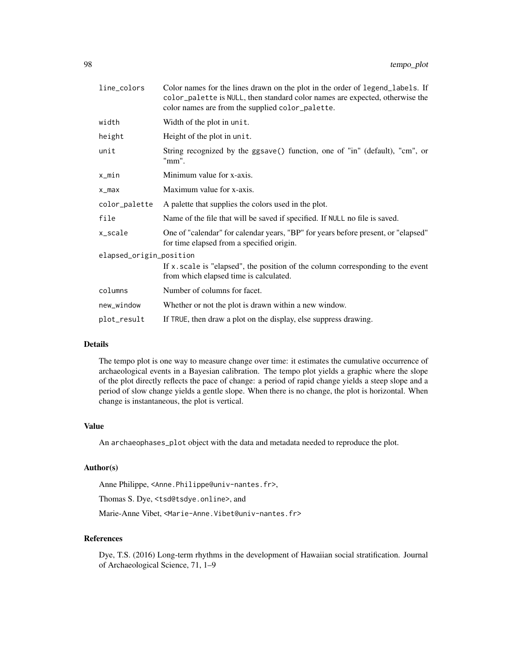| Color names for the lines drawn on the plot in the order of legend_labels. If<br>color_palette is NULL, then standard color names are expected, otherwise the<br>color names are from the supplied color_palette. |
|-------------------------------------------------------------------------------------------------------------------------------------------------------------------------------------------------------------------|
| Width of the plot in unit.                                                                                                                                                                                        |
| Height of the plot in unit.                                                                                                                                                                                       |
| String recognized by the ggsave() function, one of "in" (default), "cm", or<br>"mm".                                                                                                                              |
| Minimum value for x-axis.                                                                                                                                                                                         |
| Maximum value for x-axis.                                                                                                                                                                                         |
| A palette that supplies the colors used in the plot.                                                                                                                                                              |
| Name of the file that will be saved if specified. If NULL no file is saved.                                                                                                                                       |
| One of "calendar" for calendar years, "BP" for years before present, or "elapsed"<br>for time elapsed from a specified origin.                                                                                    |
| elapsed_origin_position                                                                                                                                                                                           |
| If x, scale is "elapsed", the position of the column corresponding to the event<br>from which elapsed time is calculated.                                                                                         |
| Number of columns for facet.                                                                                                                                                                                      |
| Whether or not the plot is drawn within a new window.                                                                                                                                                             |
| If TRUE, then draw a plot on the display, else suppress drawing.                                                                                                                                                  |
|                                                                                                                                                                                                                   |

The tempo plot is one way to measure change over time: it estimates the cumulative occurrence of archaeological events in a Bayesian calibration. The tempo plot yields a graphic where the slope of the plot directly reflects the pace of change: a period of rapid change yields a steep slope and a period of slow change yields a gentle slope. When there is no change, the plot is horizontal. When change is instantaneous, the plot is vertical.

# Value

An archaeophases\_plot object with the data and metadata needed to reproduce the plot.

# Author(s)

Anne Philippe, <Anne.Philippe@univ-nantes.fr>,

Thomas S. Dye, <tsd@tsdye.online>, and

Marie-Anne Vibet, <Marie-Anne.Vibet@univ-nantes.fr>

#### References

Dye, T.S. (2016) Long-term rhythms in the development of Hawaiian social stratification. Journal of Archaeological Science, 71, 1–9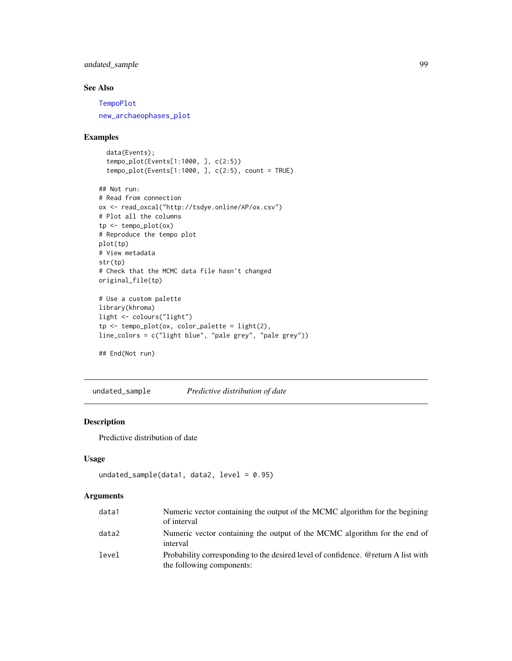# <span id="page-98-0"></span>undated\_sample 99

# See Also

[TempoPlot](#page-91-0)

[new\\_archaeophases\\_plot](#page-64-0)

# Examples

data(Events); tempo\_plot(Events[1:1000, ], c(2:5)) tempo\_plot(Events[1:1000, ],  $c(2:5)$ , count = TRUE)

```
## Not run:
# Read from connection
ox <- read_oxcal("http://tsdye.online/AP/ox.csv")
# Plot all the columns
tp <- tempo_plot(ox)
# Reproduce the tempo plot
plot(tp)
# View metadata
str(tp)
# Check that the MCMC data file hasn't changed
original_file(tp)
# Use a custom palette
library(khroma)
light <- colours("light")
tp <- tempo_plot(ox, color_palette = light(2),
line_colors = c("light blue", "pale grey", "pale grey"))
```
## End(Not run)

undated\_sample *Predictive distribution of date*

# Description

Predictive distribution of date

# Usage

```
undated_sample(data1, data2, level = 0.95)
```

| data1 | Numeric vector containing the output of the MCMC algorithm for the begining<br>of interval                     |
|-------|----------------------------------------------------------------------------------------------------------------|
| data2 | Numeric vector containing the output of the MCMC algorithm for the end of<br>interval                          |
| level | Probability corresponding to the desired level of confidence. @return A list with<br>the following components: |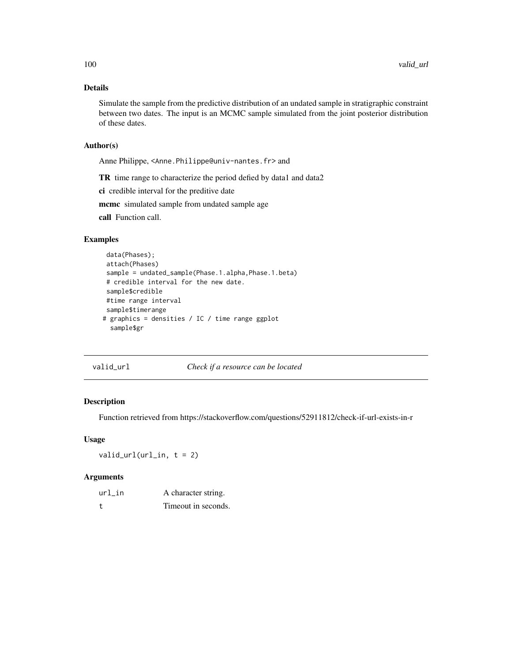Simulate the sample from the predictive distribution of an undated sample in stratigraphic constraint between two dates. The input is an MCMC sample simulated from the joint posterior distribution of these dates.

#### Author(s)

Anne Philippe, <Anne.Philippe@univ-nantes.fr> and

TR time range to characterize the period defied by data1 and data2

ci credible interval for the preditive date

mcmc simulated sample from undated sample age

call Function call.

# Examples

```
data(Phases);
attach(Phases)
sample = undated_sample(Phase.1.alpha,Phase.1.beta)
# credible interval for the new date.
sample$credible
#time range interval
sample$timerange
# graphics = densities / IC / time range ggplot
  sample$gr
```
valid\_url *Check if a resource can be located*

#### Description

Function retrieved from https://stackoverflow.com/questions/52911812/check-if-url-exists-in-r

#### Usage

 $valid\_url(url_in, t = 2)$ 

| url in | A character string. |
|--------|---------------------|
|        | Timeout in seconds. |

<span id="page-99-0"></span>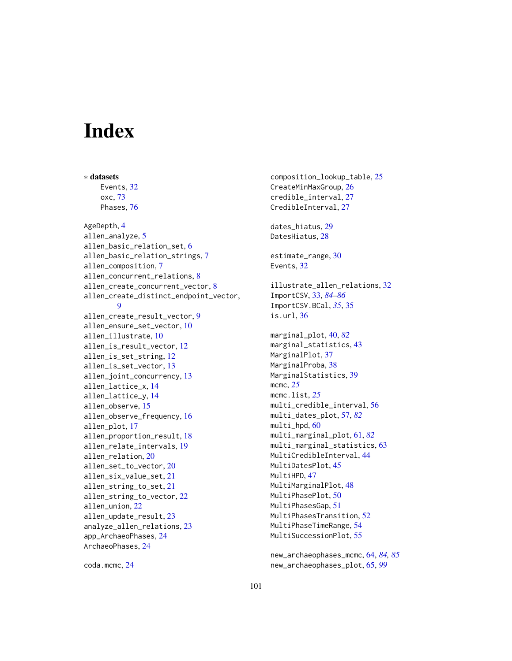# **Index**

∗ datasets

Events, [32](#page-31-0) oxc, [73](#page-72-0) Phases, [76](#page-75-0) AgeDepth, [4](#page-3-0) allen\_analyze, [5](#page-4-0) allen\_basic\_relation\_set, [6](#page-5-0) allen\_basic\_relation\_strings, [7](#page-6-0) allen\_composition, [7](#page-6-0) allen\_concurrent\_relations, [8](#page-7-0) allen\_create\_concurrent\_vector, [8](#page-7-0) allen\_create\_distinct\_endpoint\_vector, **[9](#page-8-0)** allen\_create\_result\_vector, [9](#page-8-0) allen\_ensure\_set\_vector, [10](#page-9-0) allen\_illustrate, [10](#page-9-0) allen\_is\_result\_vector, [12](#page-11-0) allen\_is\_set\_string, [12](#page-11-0) allen\_is\_set\_vector, [13](#page-12-0) allen\_joint\_concurrency, [13](#page-12-0) allen\_lattice\_x, [14](#page-13-0) allen\_lattice\_y, [14](#page-13-0) allen\_observe, [15](#page-14-0) allen\_observe\_frequency, [16](#page-15-0) allen\_plot, [17](#page-16-0) allen\_proportion\_result, [18](#page-17-0) allen\_relate\_intervals, [19](#page-18-0) allen\_relation, [20](#page-19-0) allen\_set\_to\_vector, [20](#page-19-0) allen\_six\_value\_set, [21](#page-20-0) allen\_string\_to\_set, [21](#page-20-0) allen\_string\_to\_vector, [22](#page-21-0) allen\_union, [22](#page-21-0) allen\_update\_result, [23](#page-22-0) analyze\_allen\_relations, [23](#page-22-0) app\_ArchaeoPhases, [24](#page-23-0) ArchaeoPhases, [24](#page-23-0)

coda.mcmc, [24](#page-23-0)

composition\_lookup\_table, [25](#page-24-0) CreateMinMaxGroup, [26](#page-25-0) credible\_interval, [27](#page-26-0) CredibleInterval, [27](#page-26-0) dates\_hiatus, [29](#page-28-0) DatesHiatus, [28](#page-27-0) estimate\_range, [30](#page-29-0) Events, [32](#page-31-0) illustrate\_allen\_relations, [32](#page-31-0) ImportCSV, [33,](#page-32-1) *[84](#page-83-0)[–86](#page-85-0)* ImportCSV.BCal, *[35](#page-34-0)*, [35](#page-34-0) is.url, [36](#page-35-0) marginal\_plot, [40,](#page-39-1) *[82](#page-81-0)* marginal\_statistics, [43](#page-42-0) MarginalPlot, [37](#page-36-0) MarginalProba, [38](#page-37-0) MarginalStatistics, [39](#page-38-0) mcmc, *[25](#page-24-0)* mcmc.list, *[25](#page-24-0)* multi\_credible\_interval, [56](#page-55-0) multi\_dates\_plot, [57,](#page-56-1) *[82](#page-81-0)* multi\_hpd, [60](#page-59-0) multi\_marginal\_plot, [61,](#page-60-1) *[82](#page-81-0)* multi\_marginal\_statistics, [63](#page-62-0) MultiCredibleInterval, [44](#page-43-0) MultiDatesPlot, [45](#page-44-0) MultiHPD, [47](#page-46-0) MultiMarginalPlot, [48](#page-47-0) MultiPhasePlot, [50](#page-49-0) MultiPhasesGap, [51](#page-50-0) MultiPhasesTransition, [52](#page-51-0) MultiPhaseTimeRange, [54](#page-53-0) MultiSuccessionPlot, [55](#page-54-0)

new\_archaeophases\_mcmc, [64,](#page-63-1) *[84,](#page-83-0) [85](#page-84-0)* new\_archaeophases\_plot, [65,](#page-64-1) *[99](#page-98-0)*